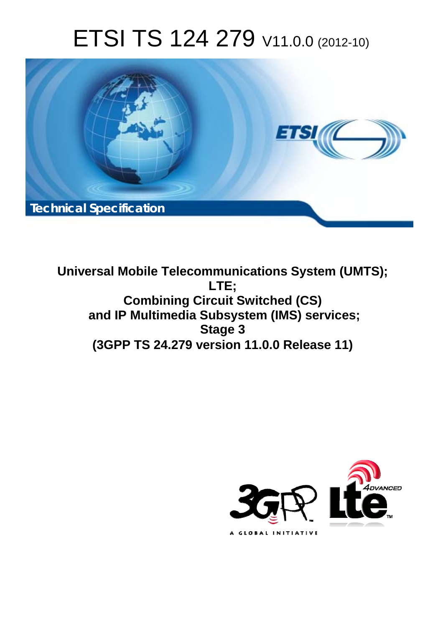# ETSI TS 124 279 V11.0.0 (2012-10)



**Universal Mobile Telecommunications System (UMTS); LTE; Combining Circuit Switched (CS) and IP Multimedia Subsystem (IMS) services; Stage 3 (3GPP TS 24.279 version 11.0.0 Release 11)** 

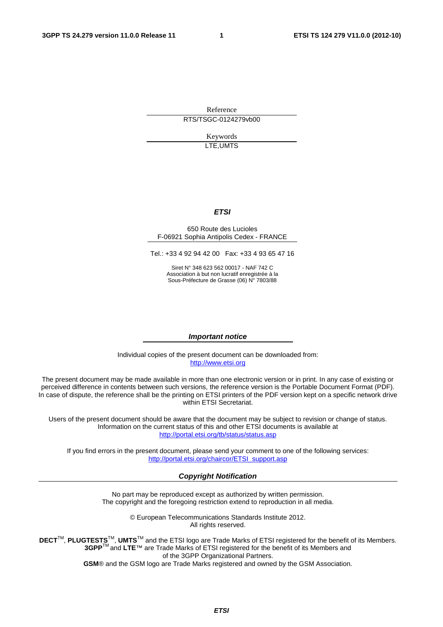Reference RTS/TSGC-0124279vb00

> Keywords LTE,UMTS

#### *ETSI*

#### 650 Route des Lucioles F-06921 Sophia Antipolis Cedex - FRANCE

Tel.: +33 4 92 94 42 00 Fax: +33 4 93 65 47 16

Siret N° 348 623 562 00017 - NAF 742 C Association à but non lucratif enregistrée à la Sous-Préfecture de Grasse (06) N° 7803/88

#### *Important notice*

Individual copies of the present document can be downloaded from: http://www.etsi.org

The present document may be made available in more than one electronic version or in print. In any case of existing or perceived difference in contents between such versions, the reference version is the Portable Document Format (PDF). In case of dispute, the reference shall be the printing on ETSI printers of the PDF version kept on a specific network drive within ETSI Secretariat.

Users of the present document should be aware that the document may be subject to revision or change of status. Information on the current status of this and other ETSI documents is available at http://portal.etsi.org/tb/status/status.asp

If you find errors in the present document, please send your comment to one of the following services: http://portal.etsi.org/chaircor/ETSI\_support.asp

#### *Copyright Notification*

No part may be reproduced except as authorized by written permission. The copyright and the foregoing restriction extend to reproduction in all media.

> © European Telecommunications Standards Institute 2012. All rights reserved.

**DECT**TM, **PLUGTESTS**TM, **UMTS**TM and the ETSI logo are Trade Marks of ETSI registered for the benefit of its Members. **3GPP**TM and **LTE**™ are Trade Marks of ETSI registered for the benefit of its Members and of the 3GPP Organizational Partners.

**GSM**® and the GSM logo are Trade Marks registered and owned by the GSM Association.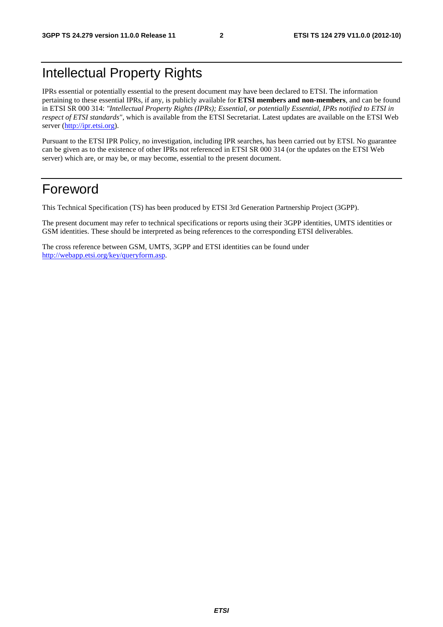## Intellectual Property Rights

IPRs essential or potentially essential to the present document may have been declared to ETSI. The information pertaining to these essential IPRs, if any, is publicly available for **ETSI members and non-members**, and can be found in ETSI SR 000 314: *"Intellectual Property Rights (IPRs); Essential, or potentially Essential, IPRs notified to ETSI in respect of ETSI standards"*, which is available from the ETSI Secretariat. Latest updates are available on the ETSI Web server (http://ipr.etsi.org).

Pursuant to the ETSI IPR Policy, no investigation, including IPR searches, has been carried out by ETSI. No guarantee can be given as to the existence of other IPRs not referenced in ETSI SR 000 314 (or the updates on the ETSI Web server) which are, or may be, or may become, essential to the present document.

## Foreword

This Technical Specification (TS) has been produced by ETSI 3rd Generation Partnership Project (3GPP).

The present document may refer to technical specifications or reports using their 3GPP identities, UMTS identities or GSM identities. These should be interpreted as being references to the corresponding ETSI deliverables.

The cross reference between GSM, UMTS, 3GPP and ETSI identities can be found under http://webapp.etsi.org/key/queryform.asp.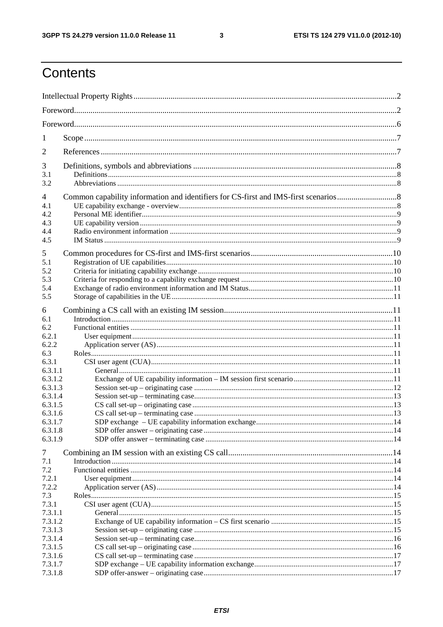$\mathbf{3}$ 

## Contents

| 1          |  |  |  |
|------------|--|--|--|
| 2          |  |  |  |
| 3          |  |  |  |
| 3.1<br>3.2 |  |  |  |
| 4          |  |  |  |
| 4.1        |  |  |  |
| 4.2        |  |  |  |
| 4.3        |  |  |  |
| 4.4        |  |  |  |
| 4.5        |  |  |  |
| 5          |  |  |  |
| 5.1        |  |  |  |
| 5.2        |  |  |  |
| 5.3        |  |  |  |
| 5.4        |  |  |  |
| 5.5        |  |  |  |
| 6          |  |  |  |
| 6.1        |  |  |  |
| 6.2        |  |  |  |
| 6.2.1      |  |  |  |
| 6.2.2      |  |  |  |
| 6.3        |  |  |  |
| 6.3.1      |  |  |  |
| 6.3.1.1    |  |  |  |
| 6.3.1.2    |  |  |  |
| 6.3.1.3    |  |  |  |
| 6.3.1.4    |  |  |  |
| 6.3.1.5    |  |  |  |
| 6.3.1.6    |  |  |  |
| 6.3.1.7    |  |  |  |
| 6.3.1.8    |  |  |  |
| 6.3.1.9    |  |  |  |
| 7          |  |  |  |
| 7.1        |  |  |  |
| 7.2        |  |  |  |
| 7.2.1      |  |  |  |
| 7.2.2      |  |  |  |
| 7.3        |  |  |  |
| 7.3.1      |  |  |  |
| 7.3.1.1    |  |  |  |
| 7.3.1.2    |  |  |  |
| 7.3.1.3    |  |  |  |
| 7.3.1.4    |  |  |  |
| 7.3.1.5    |  |  |  |
| 7.3.1.6    |  |  |  |
| 7.3.1.7    |  |  |  |
| 7.3.1.8    |  |  |  |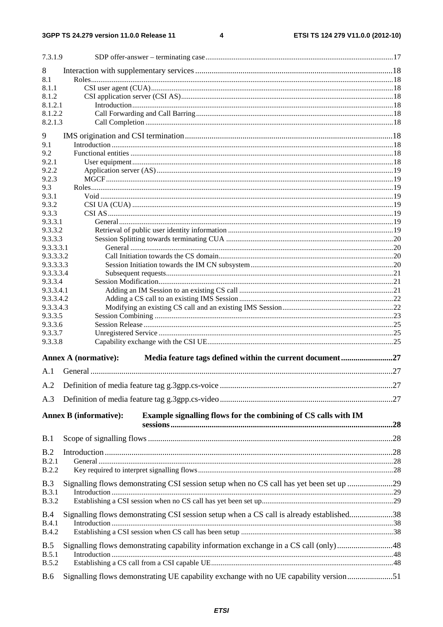$\overline{\mathbf{4}}$ 

| 7.3.1.9                    |                                                                                                 |  |
|----------------------------|-------------------------------------------------------------------------------------------------|--|
| 8                          |                                                                                                 |  |
| 8.1                        |                                                                                                 |  |
| 8.1.1                      |                                                                                                 |  |
| 8.1.2                      |                                                                                                 |  |
| 8.1.2.1                    |                                                                                                 |  |
| 8.1.2.2                    |                                                                                                 |  |
| 8.2.1.3                    |                                                                                                 |  |
| 9                          |                                                                                                 |  |
| 9.1                        |                                                                                                 |  |
| 9.2                        |                                                                                                 |  |
| 9.2.1                      |                                                                                                 |  |
| 9.2.2<br>9.2.3             |                                                                                                 |  |
| 9.3                        |                                                                                                 |  |
| 9.3.1                      |                                                                                                 |  |
| 9.3.2                      |                                                                                                 |  |
| 9.3.3                      |                                                                                                 |  |
| 9.3.3.1                    |                                                                                                 |  |
| 9.3.3.2                    |                                                                                                 |  |
| 9.3.3.3                    |                                                                                                 |  |
| 9.3.3.3.1                  |                                                                                                 |  |
| 9.3.3.3.2                  |                                                                                                 |  |
| 9.3.3.3.3<br>9.3.3.3.4     |                                                                                                 |  |
| 9.3.3.4                    |                                                                                                 |  |
| 9.3.3.4.1                  |                                                                                                 |  |
| 9.3.3.4.2                  |                                                                                                 |  |
| 9.3.3.4.3                  |                                                                                                 |  |
| 9.3.3.5                    |                                                                                                 |  |
| 9.3.3.6                    |                                                                                                 |  |
| 9.3.3.7                    |                                                                                                 |  |
| 9.3.3.8                    |                                                                                                 |  |
|                            | Media feature tags defined within the current document27<br><b>Annex A (normative):</b>         |  |
| A.1                        |                                                                                                 |  |
|                            |                                                                                                 |  |
| A.3                        |                                                                                                 |  |
|                            |                                                                                                 |  |
|                            | Example signalling flows for the combining of CS calls with IM<br><b>Annex B</b> (informative): |  |
| B.1                        |                                                                                                 |  |
|                            |                                                                                                 |  |
| B.2                        |                                                                                                 |  |
| B.2.1<br><b>B.2.2</b>      |                                                                                                 |  |
|                            |                                                                                                 |  |
| B.3                        | Signalling flows demonstrating CSI session setup when no CS call has yet been set up 29         |  |
| <b>B.3.1</b>               |                                                                                                 |  |
| <b>B.3.2</b>               |                                                                                                 |  |
| B.4                        | Signalling flows demonstrating CSI session setup when a CS call is already established38        |  |
| <b>B.4.1</b>               |                                                                                                 |  |
| <b>B.4.2</b>               |                                                                                                 |  |
|                            |                                                                                                 |  |
|                            |                                                                                                 |  |
| B.5                        | Signalling flows demonstrating capability information exchange in a CS call (only)48            |  |
| B.5.1                      |                                                                                                 |  |
| <b>B.5.2</b><br><b>B.6</b> | Signalling flows demonstrating UE capability exchange with no UE capability version51           |  |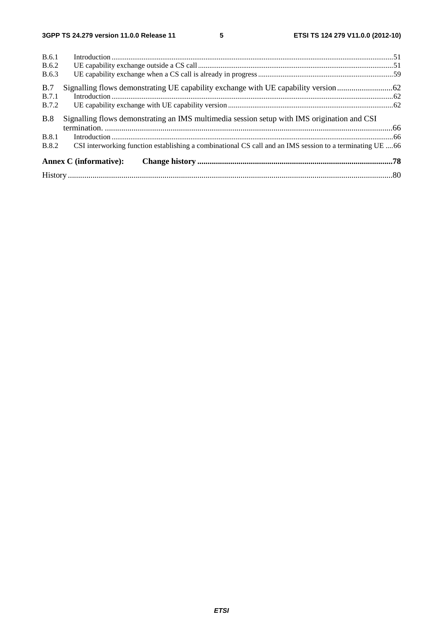| B.6.1        |                                                                                                          |  |
|--------------|----------------------------------------------------------------------------------------------------------|--|
| <b>B.6.2</b> |                                                                                                          |  |
| <b>B.6.3</b> |                                                                                                          |  |
| B.7          |                                                                                                          |  |
| <b>B.7.1</b> |                                                                                                          |  |
| <b>B.7.2</b> |                                                                                                          |  |
| B.8          | Signalling flows demonstrating an IMS multimedia session setup with IMS origination and CSI              |  |
|              |                                                                                                          |  |
| <b>B.8.1</b> |                                                                                                          |  |
| <b>B.8.2</b> | CSI interworking function establishing a combinational CS call and an IMS session to a terminating UE 66 |  |
|              | <b>Annex C</b> (informative):                                                                            |  |
|              |                                                                                                          |  |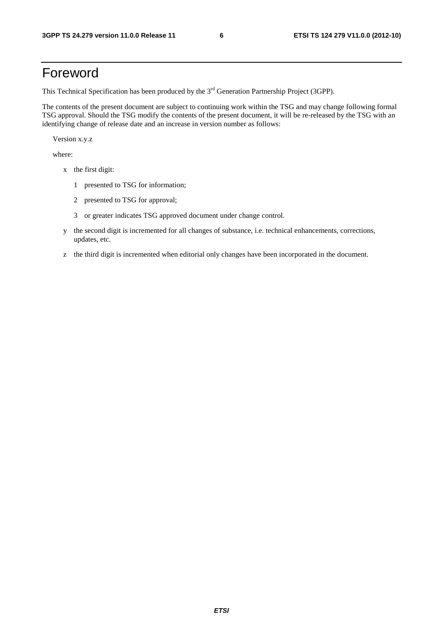## Foreword

This Technical Specification has been produced by the 3<sup>rd</sup> Generation Partnership Project (3GPP).

The contents of the present document are subject to continuing work within the TSG and may change following formal TSG approval. Should the TSG modify the contents of the present document, it will be re-released by the TSG with an identifying change of release date and an increase in version number as follows:

Version x.y.z

where:

- x the first digit:
	- 1 presented to TSG for information;
	- 2 presented to TSG for approval;
	- 3 or greater indicates TSG approved document under change control.
- y the second digit is incremented for all changes of substance, i.e. technical enhancements, corrections, updates, etc.
- z the third digit is incremented when editorial only changes have been incorporated in the document.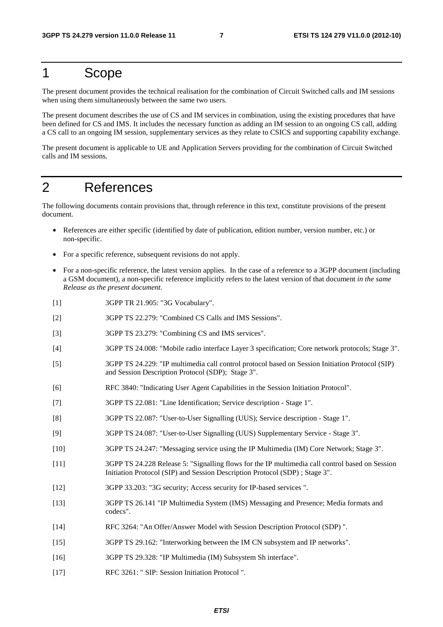### 1 Scope

The present document provides the technical realisation for the combination of Circuit Switched calls and IM sessions when using them simultaneously between the same two users.

The present document describes the use of CS and IM services in combination, using the existing procedures that have been defined for CS and IMS. It includes the necessary function as adding an IM session to an ongoing CS call, adding a CS call to an ongoing IM session, supplementary services as they relate to CSICS and supporting capability exchange.

The present document is applicable to UE and Application Servers providing for the combination of Circuit Switched calls and IM sessions.

### 2 References

The following documents contain provisions that, through reference in this text, constitute provisions of the present document.

- References are either specific (identified by date of publication, edition number, version number, etc.) or non-specific.
- For a specific reference, subsequent revisions do not apply.
- For a non-specific reference, the latest version applies. In the case of a reference to a 3GPP document (including a GSM document), a non-specific reference implicitly refers to the latest version of that document *in the same Release as the present document*.
- [1] 3GPP TR 21.905: "3G Vocabulary".
- [2] 3GPP TS 22.279: "Combined CS Calls and IMS Sessions".
- [3] 3GPP TS 23.279: "Combining CS and IMS services".
- [4] 3GPP TS 24.008: "Mobile radio interface Layer 3 specification; Core network protocols; Stage 3".
- [5] 3GPP TS 24.229: "IP multimedia call control protocol based on Session Initiation Protocol (SIP) and Session Description Protocol (SDP); Stage 3".
- [6] RFC 3840: "Indicating User Agent Capabilities in the Session Initiation Protocol".
- [7] 3GPP TS 22.081: "Line Identification; Service description Stage 1".
- [8] 3GPP TS 22.087: "User-to-User Signalling (UUS); Service description Stage 1".
- [9] 3GPP TS 24.087: "User-to-User Signalling (UUS) Supplementary Service Stage 3".
- [10] 3GPP TS 24.247: "Messaging service using the IP Multimedia (IM) Core Network; Stage 3".
- [11] 3GPP TS 24.228 Release 5: "Signalling flows for the IP multimedia call control based on Session Initiation Protocol (SIP) and Session Description Protocol (SDP) ; Stage 3".
- [12] 3GPP 33.203: "3G security; Access security for IP-based services ".
- [13] 3GPP TS 26.141 "IP Multimedia System (IMS) Messaging and Presence; Media formats and codecs".
- [14] RFC 3264: "An Offer/Answer Model with Session Description Protocol (SDP) ".
- [15] 3GPP TS 29.162: "Interworking between the IM CN subsystem and IP networks".
- [16] 3GPP TS 29.328: "IP Multimedia (IM) Subsystem Sh interface".
- [17] RFC 3261: " SIP: Session Initiation Protocol ".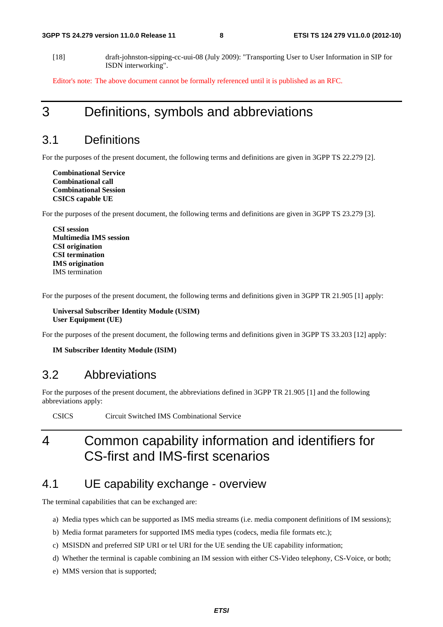[18] draft-johnston-sipping-cc-uui-08 (July 2009): "Transporting User to User Information in SIP for ISDN interworking".

Editor's note: The above document cannot be formally referenced until it is published as an RFC.

## 3 Definitions, symbols and abbreviations

### 3.1 Definitions

For the purposes of the present document, the following terms and definitions are given in 3GPP TS 22.279 [2].

**Combinational Service Combinational call Combinational Session CSICS capable UE** 

For the purposes of the present document, the following terms and definitions are given in 3GPP TS 23.279 [3].

**CSI session Multimedia IMS session CSI origination CSI termination IMS origination**  IMS termination

For the purposes of the present document, the following terms and definitions given in 3GPP TR 21.905 [1] apply:

**Universal Subscriber Identity Module (USIM) User Equipment (UE)**

For the purposes of the present document, the following terms and definitions given in 3GPP TS 33.203 [12] apply:

**IM Subscriber Identity Module (ISIM)** 

### 3.2 Abbreviations

For the purposes of the present document, the abbreviations defined in 3GPP TR 21.905 [1] and the following abbreviations apply:

CSICS Circuit Switched IMS Combinational Service

## 4 Common capability information and identifiers for CS-first and IMS-first scenarios

### 4.1 UE capability exchange - overview

The terminal capabilities that can be exchanged are:

- a) Media types which can be supported as IMS media streams (i.e. media component definitions of IM sessions);
- b) Media format parameters for supported IMS media types (codecs, media file formats etc.);
- c) MSISDN and preferred SIP URI or tel URI for the UE sending the UE capability information;
- d) Whether the terminal is capable combining an IM session with either CS-Video telephony, CS-Voice, or both;
- e) MMS version that is supported;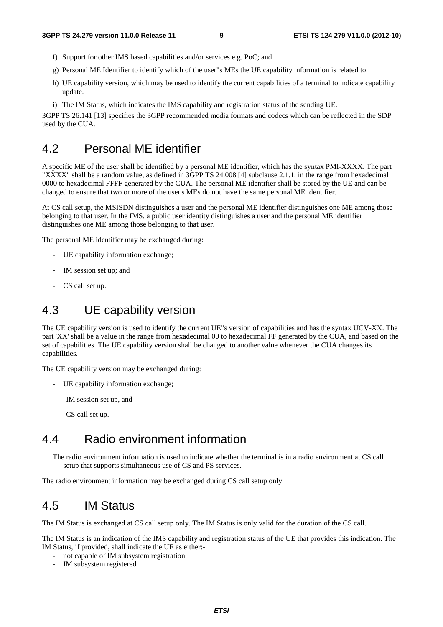- f) Support for other IMS based capabilities and/or services e.g. PoC; and
- g) Personal ME Identifier to identify which of the user"s MEs the UE capability information is related to.
- h) UE capability version, which may be used to identify the current capabilities of a terminal to indicate capability update.
- i) The IM Status, which indicates the IMS capability and registration status of the sending UE.

3GPP TS 26.141 [13] specifies the 3GPP recommended media formats and codecs which can be reflected in the SDP used by the CUA.

### 4.2 Personal ME identifier

A specific ME of the user shall be identified by a personal ME identifier, which has the syntax PMI-XXXX. The part "XXXX" shall be a random value, as defined in 3GPP TS 24.008 [4] subclause 2.1.1, in the range from hexadecimal 0000 to hexadecimal FFFF generated by the CUA. The personal ME identifier shall be stored by the UE and can be changed to ensure that two or more of the user's MEs do not have the same personal ME identifier.

At CS call setup, the MSISDN distinguishes a user and the personal ME identifier distinguishes one ME among those belonging to that user. In the IMS, a public user identity distinguishes a user and the personal ME identifier distinguishes one ME among those belonging to that user.

The personal ME identifier may be exchanged during:

- UE capability information exchange;
- IM session set up; and
- CS call set up.

### 4.3 UE capability version

The UE capability version is used to identify the current UE"s version of capabilities and has the syntax UCV-XX. The part 'XX' shall be a value in the range from hexadecimal 00 to hexadecimal FF generated by the CUA, and based on the set of capabilities. The UE capability version shall be changed to another value whenever the CUA changes its capabilities.

The UE capability version may be exchanged during:

- UE capability information exchange;
- IM session set up, and
- CS call set up.

### 4.4 Radio environment information

The radio environment information is used to indicate whether the terminal is in a radio environment at CS call setup that supports simultaneous use of CS and PS services.

The radio environment information may be exchanged during CS call setup only.

### 4.5 IM Status

The IM Status is exchanged at CS call setup only. The IM Status is only valid for the duration of the CS call.

The IM Status is an indication of the IMS capability and registration status of the UE that provides this indication. The IM Status, if provided, shall indicate the UE as either:-

- not capable of IM subsystem registration
- IM subsystem registered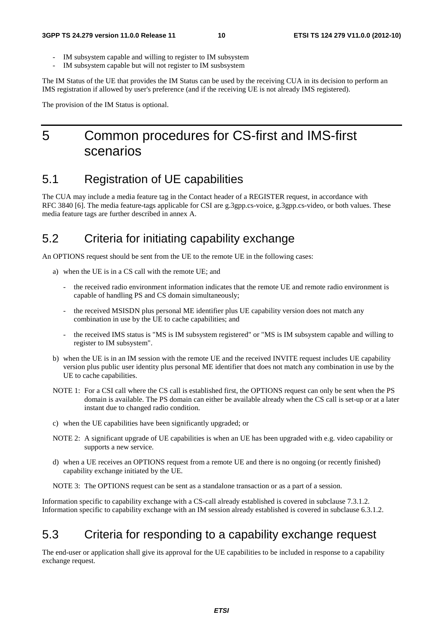- IM subsystem capable and willing to register to IM subsystem
- IM subsystem capable but will not register to IM susbsystem

The IM Status of the UE that provides the IM Status can be used by the receiving CUA in its decision to perform an IMS registration if allowed by user's preference (and if the receiving UE is not already IMS registered).

The provision of the IM Status is optional.

## 5 Common procedures for CS-first and IMS-first scenarios

### 5.1 Registration of UE capabilities

The CUA may include a media feature tag in the Contact header of a REGISTER request, in accordance with RFC 3840 [6]. The media feature-tags applicable for CSI are g.3gpp.cs-voice, g.3gpp.cs-video, or both values. These media feature tags are further described in annex A.

### 5.2 Criteria for initiating capability exchange

An OPTIONS request should be sent from the UE to the remote UE in the following cases:

- a) when the UE is in a CS call with the remote UE; and
	- the received radio environment information indicates that the remote UE and remote radio environment is capable of handling PS and CS domain simultaneously;
	- the received MSISDN plus personal ME identifier plus UE capability version does not match any combination in use by the UE to cache capabilities; and
	- the received IMS status is "MS is IM subsystem registered" or "MS is IM subsystem capable and willing to register to IM subsystem".
- b) when the UE is in an IM session with the remote UE and the received INVITE request includes UE capability version plus public user identity plus personal ME identifier that does not match any combination in use by the UE to cache capabilities.
- NOTE 1: For a CSI call where the CS call is established first, the OPTIONS request can only be sent when the PS domain is available. The PS domain can either be available already when the CS call is set-up or at a later instant due to changed radio condition.
- c) when the UE capabilities have been significantly upgraded; or
- NOTE 2: A significant upgrade of UE capabilities is when an UE has been upgraded with e.g. video capability or supports a new service.
- d) when a UE receives an OPTIONS request from a remote UE and there is no ongoing (or recently finished) capability exchange initiated by the UE.
- NOTE 3: The OPTIONS request can be sent as a standalone transaction or as a part of a session.

Information specific to capability exchange with a CS-call already established is covered in subclause 7.3.1.2. Information specific to capability exchange with an IM session already established is covered in subclause 6.3.1.2.

### 5.3 Criteria for responding to a capability exchange request

The end-user or application shall give its approval for the UE capabilities to be included in response to a capability exchange request.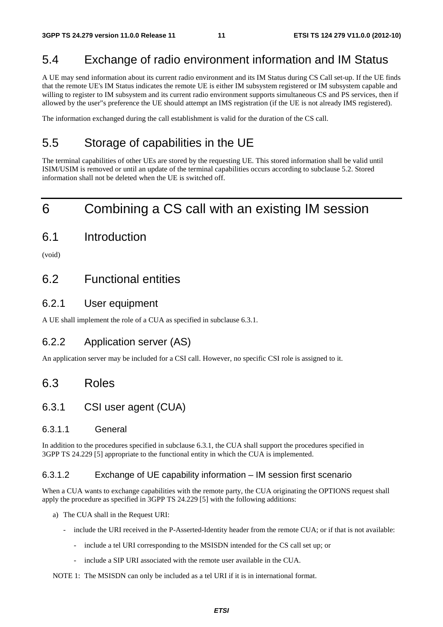### 5.4 Exchange of radio environment information and IM Status

A UE may send information about its current radio environment and its IM Status during CS Call set-up. If the UE finds that the remote UE's IM Status indicates the remote UE is either IM subsystem registered or IM subsystem capable and willing to register to IM subsystem and its current radio environment supports simultaneous CS and PS services, then if allowed by the user"s preference the UE should attempt an IMS registration (if the UE is not already IMS registered).

The information exchanged during the call establishment is valid for the duration of the CS call.

## 5.5 Storage of capabilities in the UE

The terminal capabilities of other UEs are stored by the requesting UE. This stored information shall be valid until ISIM/USIM is removed or until an update of the terminal capabilities occurs according to subclause 5.2. Stored information shall not be deleted when the UE is switched off.

## 6 Combining a CS call with an existing IM session

6.1 Introduction

(void)

### 6.2 Functional entities

### 6.2.1 User equipment

A UE shall implement the role of a CUA as specified in subclause 6.3.1.

### 6.2.2 Application server (AS)

An application server may be included for a CSI call. However, no specific CSI role is assigned to it.

### 6.3 Roles

### 6.3.1 CSI user agent (CUA)

### 6.3.1.1 General

In addition to the procedures specified in subclause 6.3.1, the CUA shall support the procedures specified in 3GPP TS 24.229 [5] appropriate to the functional entity in which the CUA is implemented.

#### 6.3.1.2 Exchange of UE capability information – IM session first scenario

When a CUA wants to exchange capabilities with the remote party, the CUA originating the OPTIONS request shall apply the procedure as specified in 3GPP TS 24.229 [5] with the following additions:

- a) The CUA shall in the Request URI:
	- include the URI received in the P-Asserted-Identity header from the remote CUA; or if that is not available:
		- include a tel URI corresponding to the MSISDN intended for the CS call set up; or
		- include a SIP URI associated with the remote user available in the CUA.

NOTE 1: The MSISDN can only be included as a tel URI if it is in international format.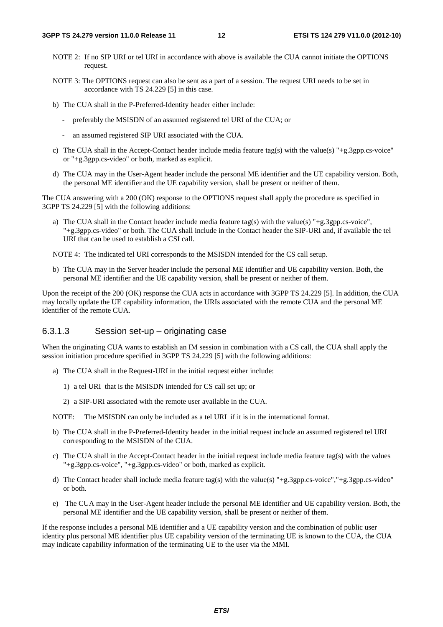- NOTE 2: If no SIP URI or tel URI in accordance with above is available the CUA cannot initiate the OPTIONS request.
- NOTE 3: The OPTIONS request can also be sent as a part of a session. The request URI needs to be set in accordance with TS 24.229 [5] in this case.
- b) The CUA shall in the P-Preferred-Identity header either include:
	- preferably the MSISDN of an assumed registered tel URI of the CUA; or
	- an assumed registered SIP URI associated with the CUA.
- c) The CUA shall in the Accept-Contact header include media feature tag(s) with the value(s) "+g.3gpp.cs-voice" or "+g.3gpp.cs-video" or both, marked as explicit.
- d) The CUA may in the User-Agent header include the personal ME identifier and the UE capability version. Both, the personal ME identifier and the UE capability version, shall be present or neither of them.

The CUA answering with a 200 (OK) response to the OPTIONS request shall apply the procedure as specified in 3GPP TS 24.229 [5] with the following additions:

a) The CUA shall in the Contact header include media feature tag(s) with the value(s) "+g.3gpp.cs-voice", "+g.3gpp.cs-video" or both. The CUA shall include in the Contact header the SIP-URI and, if available the tel URI that can be used to establish a CSI call.

NOTE 4: The indicated tel URI corresponds to the MSISDN intended for the CS call setup.

b) The CUA may in the Server header include the personal ME identifier and UE capability version. Both, the personal ME identifier and the UE capability version, shall be present or neither of them.

Upon the receipt of the 200 (OK) response the CUA acts in accordance with 3GPP TS 24.229 [5]. In addition, the CUA may locally update the UE capability information, the URIs associated with the remote CUA and the personal ME identifier of the remote CUA.

### 6.3.1.3 Session set-up – originating case

When the originating CUA wants to establish an IM session in combination with a CS call, the CUA shall apply the session initiation procedure specified in 3GPP TS 24.229 [5] with the following additions:

- a) The CUA shall in the Request-URI in the initial request either include:
	- 1) a tel URI that is the MSISDN intended for CS call set up; or
	- 2) a SIP-URI associated with the remote user available in the CUA.
- NOTE: The MSISDN can only be included as a tel URI if it is in the international format.
- b) The CUA shall in the P-Preferred-Identity header in the initial request include an assumed registered tel URI corresponding to the MSISDN of the CUA.
- c) The CUA shall in the Accept-Contact header in the initial request include media feature tag(s) with the values "+g.3gpp.cs-voice", "+g.3gpp.cs-video" or both, marked as explicit.
- d) The Contact header shall include media feature tag(s) with the value(s) "+g.3gpp.cs-voice","+g.3gpp.cs-video" or both.
- e) The CUA may in the User-Agent header include the personal ME identifier and UE capability version. Both, the personal ME identifier and the UE capability version, shall be present or neither of them.

If the response includes a personal ME identifier and a UE capability version and the combination of public user identity plus personal ME identifier plus UE capability version of the terminating UE is known to the CUA, the CUA may indicate capability information of the terminating UE to the user via the MMI.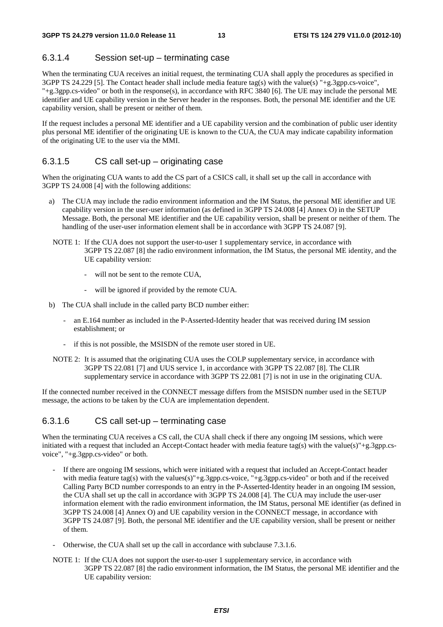### 6.3.1.4 Session set-up – terminating case

When the terminating CUA receives an initial request, the terminating CUA shall apply the procedures as specified in 3GPP TS 24.229 [5]. The Contact header shall include media feature tag(s) with the value(s) "+g.3gpp.cs-voice", "+g.3gpp.cs-video" or both in the response(s), in accordance with RFC 3840 [6]. The UE may include the personal ME identifier and UE capability version in the Server header in the responses. Both, the personal ME identifier and the UE capability version, shall be present or neither of them.

If the request includes a personal ME identifier and a UE capability version and the combination of public user identity plus personal ME identifier of the originating UE is known to the CUA, the CUA may indicate capability information of the originating UE to the user via the MMI.

#### 6.3.1.5 CS call set-up – originating case

When the originating CUA wants to add the CS part of a CSICS call, it shall set up the call in accordance with 3GPP TS 24.008 [4] with the following additions:

- a) The CUA may include the radio environment information and the IM Status, the personal ME identifier and UE capability version in the user-user information (as defined in 3GPP TS 24.008 [4] Annex O) in the SETUP Message. Both, the personal ME identifier and the UE capability version, shall be present or neither of them. The handling of the user-user information element shall be in accordance with 3GPP TS 24.087 [9].
- NOTE 1: If the CUA does not support the user-to-user 1 supplementary service, in accordance with 3GPP TS 22.087 [8] the radio environment information, the IM Status, the personal ME identity, and the UE capability version:
	- will not be sent to the remote CUA,
	- will be ignored if provided by the remote CUA.
- b) The CUA shall include in the called party BCD number either:
	- an E.164 number as included in the P-Asserted-Identity header that was received during IM session establishment; or
	- if this is not possible, the MSISDN of the remote user stored in UE.
- NOTE 2: It is assumed that the originating CUA uses the COLP supplementary service, in accordance with 3GPP TS 22.081 [7] and UUS service 1, in accordance with 3GPP TS 22.087 [8]. The CLIR supplementary service in accordance with 3GPP TS 22.081 [7] is not in use in the originating CUA.

If the connected number received in the CONNECT message differs from the MSISDN number used in the SETUP message, the actions to be taken by the CUA are implementation dependent.

### 6.3.1.6 CS call set-up – terminating case

When the terminating CUA receives a CS call, the CUA shall check if there any ongoing IM sessions, which were initiated with a request that included an Accept-Contact header with media feature tag(s) with the value(s)"+g.3gpp.csvoice", "+g.3gpp.cs-video" or both.

- If there are ongoing IM sessions, which were initiated with a request that included an Accept-Contact header with media feature tag(s) with the values(s)"+g.3gpp.cs-voice, "+g.3gpp.cs-video" or both and if the received Calling Party BCD number corresponds to an entry in the P-Asserted-Identity header in an ongoing IM session, the CUA shall set up the call in accordance with 3GPP TS 24.008 [4]. The CUA may include the user-user information element with the radio environment information, the IM Status, personal ME identifier (as defined in 3GPP TS 24.008 [4] Annex O) and UE capability version in the CONNECT message, in accordance with 3GPP TS 24.087 [9]. Both, the personal ME identifier and the UE capability version, shall be present or neither of them.
- Otherwise, the CUA shall set up the call in accordance with subclause 7.3.1.6.
- NOTE 1: If the CUA does not support the user-to-user 1 supplementary service, in accordance with 3GPP TS 22.087 [8] the radio environment information, the IM Status, the personal ME identifier and the UE capability version: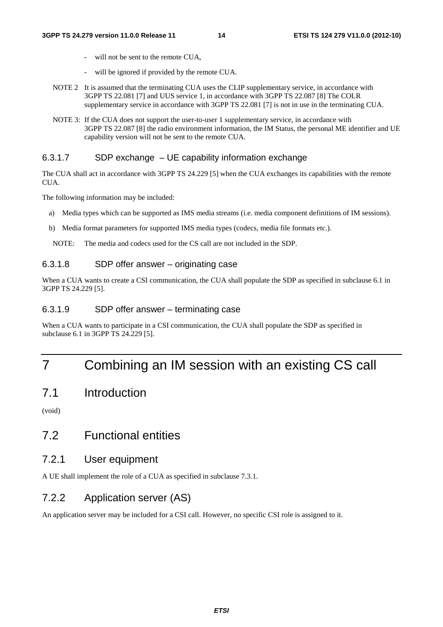- will not be sent to the remote CUA,
- will be ignored if provided by the remote CUA.
- NOTE 2 It is assumed that the terminating CUA uses the CLIP supplementary service, in accordance with 3GPP TS 22.081 [7] and UUS service 1, in accordance with 3GPP TS 22.087 [8] The COLR supplementary service in accordance with 3GPP TS 22.081 [7] is not in use in the terminating CUA.
- NOTE 3: If the CUA does not support the user-to-user 1 supplementary service, in accordance with 3GPP TS 22.087 [8] the radio environment information, the IM Status, the personal ME identifier and UE capability version will not be sent to the remote CUA.

#### 6.3.1.7 SDP exchange – UE capability information exchange

The CUA shall act in accordance with 3GPP TS 24.229 [5] when the CUA exchanges its capabilities with the remote CUA.

The following information may be included:

- a) Media types which can be supported as IMS media streams (i.e. media component definitions of IM sessions).
- b) Media format parameters for supported IMS media types (codecs, media file formats etc.).

NOTE: The media and codecs used for the CS call are not included in the SDP.

### 6.3.1.8 SDP offer answer – originating case

When a CUA wants to create a CSI communication, the CUA shall populate the SDP as specified in subclause 6.1 in 3GPP TS 24.229 [5].

### 6.3.1.9 SDP offer answer – terminating case

When a CUA wants to participate in a CSI communication, the CUA shall populate the SDP as specified in subclause 6.1 in 3GPP TS 24.229 [5].

## 7 Combining an IM session with an existing CS call

### 7.1 Introduction

(void)

### 7.2 Functional entities

### 7.2.1 User equipment

A UE shall implement the role of a CUA as specified in subclause 7.3.1.

### 7.2.2 Application server (AS)

An application server may be included for a CSI call. However, no specific CSI role is assigned to it.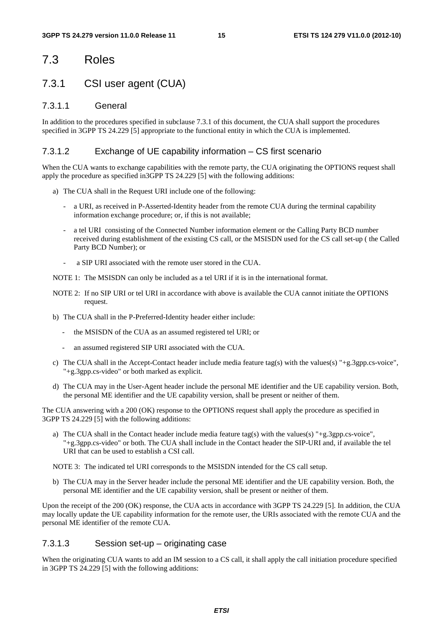### 7.3 Roles

### 7.3.1 CSI user agent (CUA)

### 7.3.1.1 General

In addition to the procedures specified in subclause 7.3.1 of this document, the CUA shall support the procedures specified in 3GPP TS 24.229 [5] appropriate to the functional entity in which the CUA is implemented.

### 7.3.1.2 Exchange of UE capability information – CS first scenario

When the CUA wants to exchange capabilities with the remote party, the CUA originating the OPTIONS request shall apply the procedure as specified in3GPP TS 24.229 [5] with the following additions:

- a) The CUA shall in the Request URI include one of the following:
	- a URI, as received in P-Asserted-Identity header from the remote CUA during the terminal capability information exchange procedure; or, if this is not available;
	- a tel URI consisting of the Connected Number information element or the Calling Party BCD number received during establishment of the existing CS call, or the MSISDN used for the CS call set-up ( the Called Party BCD Number); or
	- a SIP URI associated with the remote user stored in the CUA.

NOTE 1: The MSISDN can only be included as a tel URI if it is in the international format.

- NOTE 2: If no SIP URI or tel URI in accordance with above is available the CUA cannot initiate the OPTIONS request.
- b) The CUA shall in the P-Preferred-Identity header either include:
	- the MSISDN of the CUA as an assumed registered tel URI; or
	- an assumed registered SIP URI associated with the CUA.
- c) The CUA shall in the Accept-Contact header include media feature tag(s) with the values(s) "+g.3gpp.cs-voice", "+g.3gpp.cs-video" or both marked as explicit.
- d) The CUA may in the User-Agent header include the personal ME identifier and the UE capability version. Both, the personal ME identifier and the UE capability version, shall be present or neither of them.

The CUA answering with a 200 (OK) response to the OPTIONS request shall apply the procedure as specified in 3GPP TS 24.229 [5] with the following additions:

a) The CUA shall in the Contact header include media feature tag(s) with the values(s) "+g.3gpp.cs-voice", "+g.3gpp.cs-video" or both. The CUA shall include in the Contact header the SIP-URI and, if available the tel URI that can be used to establish a CSI call.

NOTE 3: The indicated tel URI corresponds to the MSISDN intended for the CS call setup.

b) The CUA may in the Server header include the personal ME identifier and the UE capability version. Both, the personal ME identifier and the UE capability version, shall be present or neither of them.

Upon the receipt of the 200 (OK) response, the CUA acts in accordance with 3GPP TS 24.229 [5]. In addition, the CUA may locally update the UE capability information for the remote user, the URIs associated with the remote CUA and the personal ME identifier of the remote CUA.

### 7.3.1.3 Session set-up – originating case

When the originating CUA wants to add an IM session to a CS call, it shall apply the call initiation procedure specified in 3GPP TS 24.229 [5] with the following additions: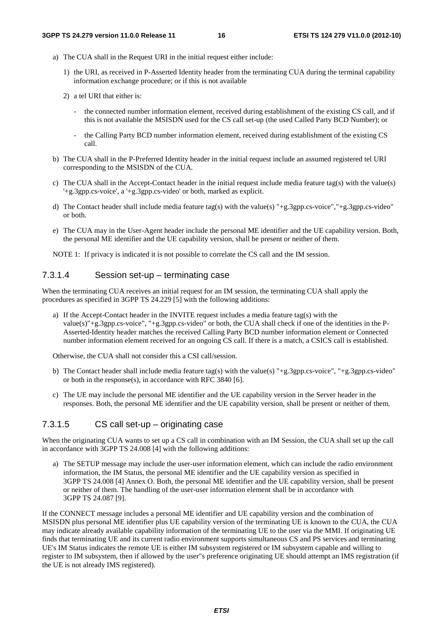- a) The CUA shall in the Request URI in the initial request either include:
	- 1) the URI, as received in P-Asserted Identity header from the terminating CUA during the terminal capability information exchange procedure; or if this is not available
	- 2) a tel URI that either is:
		- the connected number information element, received during establishment of the existing CS call, and if this is not available the MSISDN used for the CS call set-up (the used Called Party BCD Number); or
		- the Calling Party BCD number information element, received during establishment of the existing CS call.
- b) The CUA shall in the P-Preferred Identity header in the initial request include an assumed registered tel URI corresponding to the MSISDN of the CUA.
- c) The CUA shall in the Accept-Contact header in the initial request include media feature tag(s) with the value(s) '+g.3gpp.cs-voice', a '+g.3gpp.cs-video' or both, marked as explicit.
- d) The Contact header shall include media feature tag(s) with the value(s) "+g.3gpp.cs-voice","+g.3gpp.cs-video" or both.
- e) The CUA may in the User-Agent header include the personal ME identifier and the UE capability version. Both, the personal ME identifier and the UE capability version, shall be present or neither of them.

NOTE 1: If privacy is indicated it is not possible to correlate the CS call and the IM session.

### 7.3.1.4 Session set-up – terminating case

When the terminating CUA receives an initial request for an IM session, the terminating CUA shall apply the procedures as specified in 3GPP TS 24.229 [5] with the following additions:

a) If the Accept-Contact header in the INVITE request includes a media feature tag(s) with the value(s)"+g.3gpp.cs-voice", "+g.3gpp.cs-video" or both, the CUA shall check if one of the identities in the P-Asserted-Identity header matches the received Calling Party BCD number information element or Connected number information element received for an ongoing CS call. If there is a match, a CSICS call is established.

Otherwise, the CUA shall not consider this a CSI call/session.

- b) The Contact header shall include media feature tag(s) with the value(s) "+g.3gpp.cs-voice", "+g.3gpp.cs-video" or both in the response(s), in accordance with RFC 3840 [6].
- c) The UE may include the personal ME identifier and the UE capability version in the Server header in the responses. Both, the personal ME identifier and the UE capability version, shall be present or neither of them.

### 7.3.1.5 CS call set-up – originating case

When the originating CUA wants to set up a CS call in combination with an IM Session, the CUA shall set up the call in accordance with 3GPP TS 24.008 [4] with the following additions:

a) The SETUP message may include the user-user information element, which can include the radio environment information, the IM Status, the personal ME identifier and the UE capability version as specified in 3GPP TS 24.008 [4] Annex O. Both, the personal ME identifier and the UE capability version, shall be present or neither of them. The handling of the user-user information element shall be in accordance with 3GPP TS 24.087 [9].

If the CONNECT message includes a personal ME identifier and UE capability version and the combination of MSISDN plus personal ME identifier plus UE capability version of the terminating UE is known to the CUA, the CUA may indicate already available capability information of the terminating UE to the user via the MMI. If originating UE finds that terminating UE and its current radio environment supports simultaneous CS and PS services and terminating UE's IM Status indicates the remote UE is either IM subsystem registered or IM subsystem capable and willing to register to IM subsystem, then if allowed by the user"s preference originating UE should attempt an IMS registration (if the UE is not already IMS registered).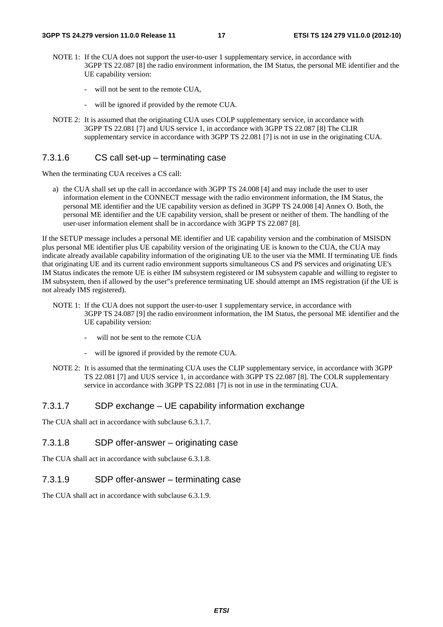- NOTE 1: If the CUA does not support the user-to-user 1 supplementary service, in accordance with 3GPP TS 22.087 [8] the radio environment information, the IM Status, the personal ME identifier and the UE capability version:
	- will not be sent to the remote CUA,
	- will be ignored if provided by the remote CUA.
- NOTE 2: It is assumed that the originating CUA uses COLP supplementary service, in accordance with 3GPP TS 22.081 [7] and UUS service 1, in accordance with 3GPP TS 22.087 [8] The CLIR supplementary service in accordance with 3GPP TS 22.081 [7] is not in use in the originating CUA.

### 7.3.1.6 CS call set-up – terminating case

When the terminating CUA receives a CS call:

a) the CUA shall set up the call in accordance with 3GPP TS 24.008 [4] and may include the user to user information element in the CONNECT message with the radio environment information, the IM Status, the personal ME identifier and the UE capability version as defined in 3GPP TS 24.008 [4] Annex O. Both, the personal ME identifier and the UE capability version, shall be present or neither of them. The handling of the user-user information element shall be in accordance with 3GPP TS 22.087 [8].

If the SETUP message includes a personal ME identifier and UE capability version and the combination of MSISDN plus personal ME identifier plus UE capability version of the originating UE is known to the CUA, the CUA may indicate already available capability information of the originating UE to the user via the MMI. If terminating UE finds that originating UE and its current radio environment supports simultaneous CS and PS services and originating UE's IM Status indicates the remote UE is either IM subsystem registered or IM subsystem capable and willing to register to IM subsystem, then if allowed by the user"s preference terminating UE should attempt an IMS registration (if the UE is not already IMS registered).

- NOTE 1: If the CUA does not support the user-to-user 1 supplementary service, in accordance with 3GPP TS 24.087 [9] the radio environment information, the IM Status, the personal ME identifier and the UE capability version:
	- will not be sent to the remote CUA
	- will be ignored if provided by the remote CUA.
- NOTE 2: It is assumed that the terminating CUA uses the CLIP supplementary service, in accordance with 3GPP TS 22.081 [7] and UUS service 1, in accordance with 3GPP TS 22.087 [8]. The COLR supplementary service in accordance with 3GPP TS 22.081 [7] is not in use in the terminating CUA.

### 7.3.1.7 SDP exchange – UE capability information exchange

The CUA shall act in accordance with subclause 6.3.1.7.

### 7.3.1.8 SDP offer-answer – originating case

The CUA shall act in accordance with subclause 6.3.1.8.

### 7.3.1.9 SDP offer-answer – terminating case

The CUA shall act in accordance with subclause 6.3.1.9.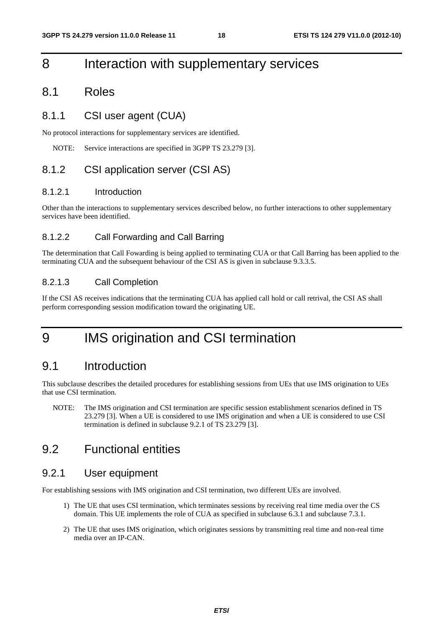## 8 Interaction with supplementary services

### 8.1 Roles

### 8.1.1 CSI user agent (CUA)

No protocol interactions for supplementary services are identified.

NOTE: Service interactions are specified in 3GPP TS 23.279 [3].

### 8.1.2 CSI application server (CSI AS)

### 8.1.2.1 Introduction

Other than the interactions to supplementary services described below, no further interactions to other supplementary services have been identified.

#### 8.1.2.2 Call Forwarding and Call Barring

The determination that Call Fowarding is being applied to terminating CUA or that Call Barring has been applied to the terminating CUA and the subsequent behaviour of the CSI AS is given in subclause 9.3.3.5.

### 8.2.1.3 Call Completion

If the CSI AS receives indications that the terminating CUA has applied call hold or call retrival, the CSI AS shall perform corresponding session modification toward the originating UE.

## 9 IMS origination and CSI termination

### 9.1 Introduction

This subclause describes the detailed procedures for establishing sessions from UEs that use IMS origination to UEs that use CSI termination.

NOTE: The IMS origination and CSI termination are specific session establishment scenarios defined in TS 23.279 [3]. When a UE is considered to use IMS origination and when a UE is considered to use CSI termination is defined in subclause 9.2.1 of TS 23.279 [3].

### 9.2 Functional entities

### 9.2.1 User equipment

For establishing sessions with IMS origination and CSI termination, two different UEs are involved.

- 1) The UE that uses CSI termination, which terminates sessions by receiving real time media over the CS domain. This UE implements the role of CUA as specified in subclause 6.3.1 and subclause 7.3.1.
- 2) The UE that uses IMS origination, which originates sessions by transmitting real time and non-real time media over an IP-CAN.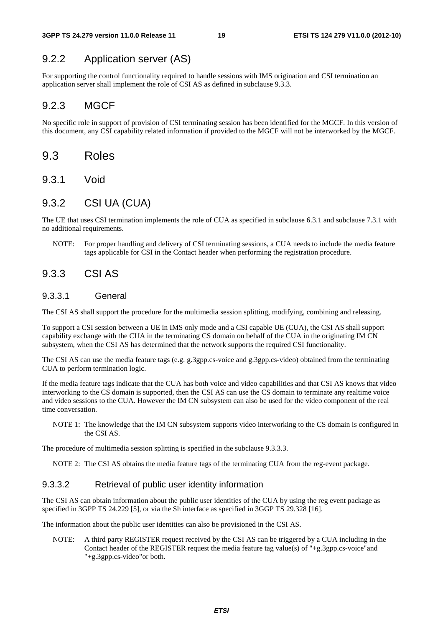### 9.2.2 Application server (AS)

For supporting the control functionality required to handle sessions with IMS origination and CSI termination an application server shall implement the role of CSI AS as defined in subclause 9.3.3.

### 9.2.3 MGCF

No specific role in support of provision of CSI terminating session has been identified for the MGCF. In this version of this document, any CSI capability related information if provided to the MGCF will not be interworked by the MGCF.

### 9.3 Roles

9.3.1 Void

### 9.3.2 CSI UA (CUA)

The UE that uses CSI termination implements the role of CUA as specified in subclause 6.3.1 and subclause 7.3.1 with no additional requirements.

NOTE: For proper handling and delivery of CSI terminating sessions, a CUA needs to include the media feature tags applicable for CSI in the Contact header when performing the registration procedure.

### 9.3.3 CSI AS

### 9.3.3.1 General

The CSI AS shall support the procedure for the multimedia session splitting, modifying, combining and releasing.

To support a CSI session between a UE in IMS only mode and a CSI capable UE (CUA), the CSI AS shall support capability exchange with the CUA in the terminating CS domain on behalf of the CUA in the originating IM CN subsystem, when the CSI AS has determined that the network supports the required CSI functionality.

The CSI AS can use the media feature tags (e.g. g.3gpp.cs-voice and g.3gpp.cs-video) obtained from the terminating CUA to perform termination logic.

If the media feature tags indicate that the CUA has both voice and video capabilities and that CSI AS knows that video interworking to the CS domain is supported, then the CSI AS can use the CS domain to terminate any realtime voice and video sessions to the CUA. However the IM CN subsystem can also be used for the video component of the real time conversation.

NOTE 1: The knowledge that the IM CN subsystem supports video interworking to the CS domain is configured in the CSI AS.

The procedure of multimedia session splitting is specified in the subclause 9.3.3.3.

NOTE 2: The CSI AS obtains the media feature tags of the terminating CUA from the reg-event package.

### 9.3.3.2 Retrieval of public user identity information

The CSI AS can obtain information about the public user identities of the CUA by using the reg event package as specified in 3GPP TS 24.229 [5], or via the Sh interface as specified in 3GGP TS 29.328 [16].

The information about the public user identities can also be provisioned in the CSI AS.

NOTE: A third party REGISTER request received by the CSI AS can be triggered by a CUA including in the Contact header of the REGISTER request the media feature tag value(s) of "+g.3gpp.cs-voice"and "+g.3gpp.cs-video"or both.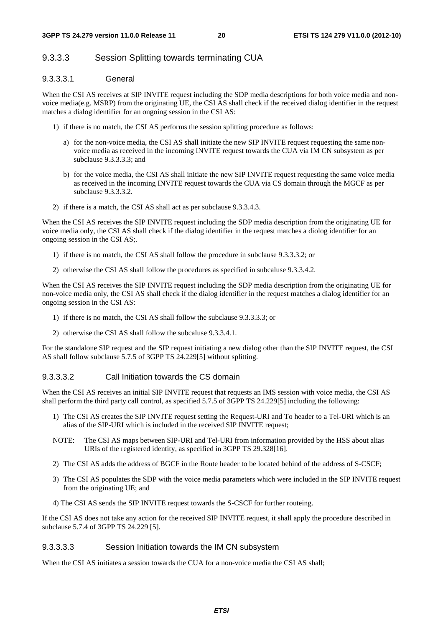### 9.3.3.3 Session Splitting towards terminating CUA

### 9.3.3.3.1 General

When the CSI AS receives at SIP INVITE request including the SDP media descriptions for both voice media and nonvoice media(e.g. MSRP) from the originating UE, the CSI AS shall check if the received dialog identifier in the request matches a dialog identifier for an ongoing session in the CSI AS:

- 1) if there is no match, the CSI AS performs the session splitting procedure as follows:
	- a) for the non-voice media, the CSI AS shall initiate the new SIP INVITE request requesting the same nonvoice media as received in the incoming INVITE request towards the CUA via IM CN subsystem as per subclause 9.3.3.3.3; and
	- b) for the voice media, the CSI AS shall initiate the new SIP INVITE request requesting the same voice media as received in the incoming INVITE request towards the CUA via CS domain through the MGCF as per subclause 9.3.3.3.2.
- 2) if there is a match, the CSI AS shall act as per subclause 9.3.3.4.3.

When the CSI AS receives the SIP INVITE request including the SDP media description from the originating UE for voice media only, the CSI AS shall check if the dialog identifier in the request matches a diolog identifier for an ongoing session in the CSI AS;.

- 1) if there is no match, the CSI AS shall follow the procedure in subclause 9.3.3.3.2; or
- 2) otherwise the CSI AS shall follow the procedures as specified in subcaluse 9.3.3.4.2.

When the CSI AS receives the SIP INVITE request including the SDP media description from the originating UE for non-voice media only, the CSI AS shall check if the dialog identifier in the request matches a dialog identifier for an ongoing session in the CSI AS:

- 1) if there is no match, the CSI AS shall follow the subclause 9.3.3.3.3; or
- 2) otherwise the CSI AS shall follow the subcaluse 9.3.3.4.1.

For the standalone SIP request and the SIP request initiating a new dialog other than the SIP INVITE request, the CSI AS shall follow subclause 5.7.5 of 3GPP TS 24.229[5] without splitting.

#### 9.3.3.3.2 Call Initiation towards the CS domain

When the CSI AS receives an initial SIP INVITE request that requests an IMS session with voice media, the CSI AS shall perform the third party call control, as specified 5.7.5 of 3GPP TS 24.229[5] including the following:

- 1) The CSI AS creates the SIP INVITE request setting the Request-URI and To header to a Tel-URI which is an alias of the SIP-URI which is included in the received SIP INVITE request;
- NOTE: The CSI AS maps between SIP-URI and Tel-URI from information provided by the HSS about alias URIs of the registered identity, as specified in 3GPP TS 29.328[16].
- 2) The CSI AS adds the address of BGCF in the Route header to be located behind of the address of S-CSCF;
- 3) The CSI AS populates the SDP with the voice media parameters which were included in the SIP INVITE request from the originating UE; and
- 4) The CSI AS sends the SIP INVITE request towards the S-CSCF for further routeing.

If the CSI AS does not take any action for the received SIP INVITE request, it shall apply the procedure described in subclause 5.7.4 of 3GPP TS 24.229 [5].

#### 9.3.3.3.3 Session Initiation towards the IM CN subsystem

When the CSI AS initiates a session towards the CUA for a non-voice media the CSI AS shall;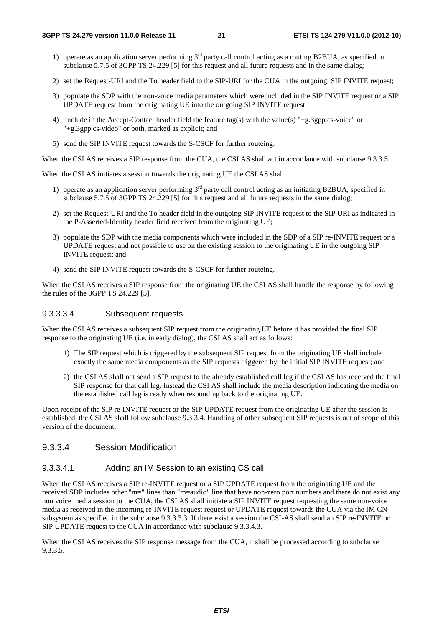- 1) operate as an application server performing  $3<sup>rd</sup>$  party call control acting as a routing B2BUA, as specified in subclause 5.7.5 of 3GPP TS 24.229 [5] for this request and all future requests and in the same dialog;
- 2) set the Request-URI and the To header field to the SIP-URI for the CUA in the outgoing SIP INVITE request;
- 3) populate the SDP with the non-voice media parameters which were included in the SIP INVITE request or a SIP UPDATE request from the originating UE into the outgoing SIP INVITE request;
- 4) include in the Accept-Contact header field the feature tag(s) with the value(s) "+g.3gpp.cs-voice" or "+g.3gpp.cs-video" or both, marked as explicit; and
- 5) send the SIP INVITE request towards the S-CSCF for further routeing.

When the CSI AS receives a SIP response from the CUA, the CSI AS shall act in accordance with subclause 9.3.3.5.

When the CSI AS initiates a session towards the originating UE the CSI AS shall:

- 1) operate as an application server performing  $3<sup>rd</sup>$  party call control acting as an initiating B2BUA, specified in subclause 5.7.5 of 3GPP TS 24.229 [5] for this request and all future requests in the same dialog;
- 2) set the Request-URI and the To header field in the outgoing SIP INVITE request to the SIP URI as indicated in the P-Asserted-Identity header field received from the originating UE;
- 3) populate the SDP with the media components which were included in the SDP of a SIP re-INVITE request or a UPDATE request and not possible to use on the existing session to the originating UE in the outgoing SIP INVITE request; and
- 4) send the SIP INVITE request towards the S-CSCF for further routeing.

When the CSI AS receives a SIP response from the originating UE the CSI AS shall handle the response by following the rules of the 3GPP TS 24.229 [5].

#### 9.3.3.3.4 Subsequent requests

When the CSI AS receives a subsequent SIP request from the originating UE before it has provided the final SIP response to the originating UE (i.e. in early dialog), the CSI AS shall act as follows:

- 1) The SIP request which is triggered by the subsequent SIP request from the originating UE shall include exactly the same media components as the SIP requests triggered by the initial SIP INVITE request; and
- 2) the CSI AS shall not send a SIP request to the already established call leg if the CSI AS has received the final SIP response for that call leg. Instead the CSI AS shall include the media description indicating the media on the established call leg is ready when responding back to the originating UE.

Upon receipt of the SIP re-INVITE request or the SIP UPDATE request from the originating UE after the session is established, the CSI AS shall follow subclause 9.3.3.4. Handling of other subsequent SIP requests is out of scope of this version of the document.

### 9.3.3.4 Session Modification

#### 9.3.3.4.1 Adding an IM Session to an existing CS call

When the CSI AS receives a SIP re-INVITE request or a SIP UPDATE request from the originating UE and the received SDP includes other "m=" lines than "m=audio" line that have non-zero port numbers and there do not exist any non voice media session to the CUA, the CSI AS shall initiate a SIP INVITE request requesting the same non-voice media as received in the incoming re-INVITE request request or UPDATE request towards the CUA via the IM CN subsystem as specified in the subclause 9.3.3.3.3. If there exist a session the CSI-AS shall send an SIP re-INVITE or SIP UPDATE request to the CUA in accordance with subclause 9.3.3.4.3.

When the CSI AS receives the SIP response message from the CUA, it shall be processed according to subclause 9.3.3.5.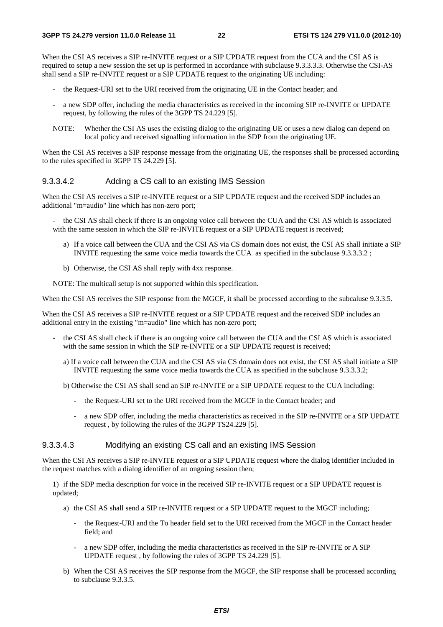When the CSI AS receives a SIP re-INVITE request or a SIP UPDATE request from the CUA and the CSI AS is required to setup a new session the set up is performed in accordance with subclause 9.3.3.3.3. Otherwise the CSI-AS shall send a SIP re-INVITE request or a SIP UPDATE request to the originating UE including:

- the Request-URI set to the URI received from the originating UE in the Contact header; and
- a new SDP offer, including the media characteristics as received in the incoming SIP re-INVITE or UPDATE request, by following the rules of the 3GPP TS 24.229 [5].
- NOTE: Whether the CSI AS uses the existing dialog to the originating UE or uses a new dialog can depend on local policy and received signalling information in the SDP from the originating UE.

When the CSI AS receives a SIP response message from the originating UE, the responses shall be processed according to the rules specified in 3GPP TS 24.229 [5].

#### 9.3.3.4.2 Adding a CS call to an existing IMS Session

When the CSI AS receives a SIP re-INVITE request or a SIP UPDATE request and the received SDP includes an additional "m=audio" line which has non-zero port;

the CSI AS shall check if there is an ongoing voice call between the CUA and the CSI AS which is associated with the same session in which the SIP re-INVITE request or a SIP UPDATE request is received;

- a) If a voice call between the CUA and the CSI AS via CS domain does not exist, the CSI AS shall initiate a SIP INVITE requesting the same voice media towards the CUA as specified in the subclause 9.3.3.3.2 ;
- b) Otherwise, the CSI AS shall reply with 4xx response.

NOTE: The multicall setup is not supported within this specification.

When the CSI AS receives the SIP response from the MGCF, it shall be processed according to the subcaluse 9.3.3.5.

When the CSI AS receives a SIP re-INVITE request or a SIP UPDATE request and the received SDP includes an additional entry in the existing "m=audio" line which has non-zero port;

- the CSI AS shall check if there is an ongoing voice call between the CUA and the CSI AS which is associated with the same session in which the SIP re-INVITE or a SIP UPDATE request is received;
	- a) If a voice call between the CUA and the CSI AS via CS domain does not exist, the CSI AS shall initiate a SIP INVITE requesting the same voice media towards the CUA as specified in the subclause 9.3.3.3.2;
	- b) Otherwise the CSI AS shall send an SIP re-INVITE or a SIP UPDATE request to the CUA including:
		- the Request-URI set to the URI received from the MGCF in the Contact header; and
		- a new SDP offer, including the media characteristics as received in the SIP re-INVITE or a SIP UPDATE request , by following the rules of the 3GPP TS24.229 [5].

#### 9.3.3.4.3 Modifying an existing CS call and an existing IMS Session

When the CSI AS receives a SIP re-INVITE request or a SIP UPDATE request where the dialog identifier included in the request matches with a dialog identifier of an ongoing session then;

1) if the SDP media description for voice in the received SIP re-INVITE request or a SIP UPDATE request is updated;

- a) the CSI AS shall send a SIP re-INVITE request or a SIP UPDATE request to the MGCF including;
	- the Request-URI and the To header field set to the URI received from the MGCF in the Contact header field; and
	- a new SDP offer, including the media characteristics as received in the SIP re-INVITE or A SIP UPDATE request , by following the rules of 3GPP TS 24.229 [5].
- b) When the CSI AS receives the SIP response from the MGCF, the SIP response shall be processed according to subclause 9.3.3.5.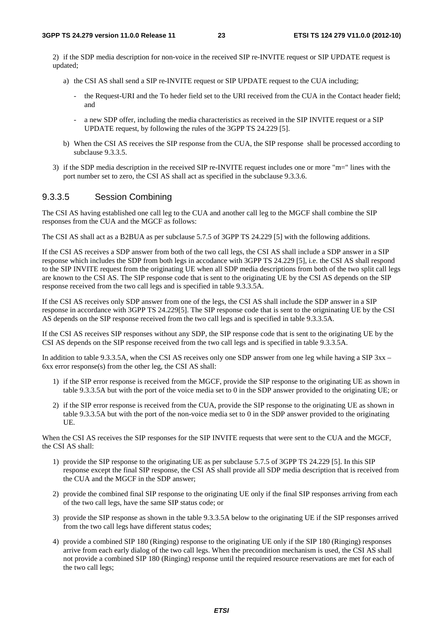2) if the SDP media description for non-voice in the received SIP re-INVITE request or SIP UPDATE request is updated;

- a) the CSI AS shall send a SIP re-INVITE request or SIP UPDATE request to the CUA including;
	- the Request-URI and the To heder field set to the URI received from the CUA in the Contact header field; and
	- a new SDP offer, including the media characteristics as received in the SIP INVITE request or a SIP UPDATE request, by following the rules of the 3GPP TS 24.229 [5].
- b) When the CSI AS receives the SIP response from the CUA, the SIP response shall be processed according to subclause 9.3.3.5.
- 3) if the SDP media description in the received SIP re-INVITE request includes one or more "m=" lines with the port number set to zero, the CSI AS shall act as specified in the subclause 9.3.3.6.

### 9.3.3.5 Session Combining

The CSI AS having established one call leg to the CUA and another call leg to the MGCF shall combine the SIP responses from the CUA and the MGCF as follows:

The CSI AS shall act as a B2BUA as per subclause 5.7.5 of 3GPP TS 24.229 [5] with the following additions.

If the CSI AS receives a SDP answer from both of the two call legs, the CSI AS shall include a SDP answer in a SIP response which includes the SDP from both legs in accodance with 3GPP TS 24.229 [5], i.e. the CSI AS shall respond to the SIP INVITE request from the originating UE when all SDP media descriptions from both of the two split call legs are known to the CSI AS. The SIP response code that is sent to the originating UE by the CSI AS depends on the SIP response received from the two call legs and is specified in table 9.3.3.5A.

If the CSI AS receives only SDP answer from one of the legs, the CSI AS shall include the SDP answer in a SIP response in accordance with 3GPP TS 24.229[5]. The SIP response code that is sent to the origninating UE by the CSI AS depends on the SIP response received from the two call legs and is specified in table 9.3.3.5A.

If the CSI AS receives SIP responses without any SDP, the SIP response code that is sent to the originating UE by the CSI AS depends on the SIP response received from the two call legs and is specified in table 9.3.3.5A.

In addition to table 9.3.3.5A, when the CSI AS receives only one SDP answer from one leg while having a SIP 3xx – 6xx error response(s) from the other leg, the CSI AS shall:

- 1) if the SIP error response is received from the MGCF, provide the SIP response to the originating UE as shown in table 9.3.3.5A but with the port of the voice media set to 0 in the SDP answer provided to the originating UE; or
- 2) if the SIP error response is received from the CUA, provide the SIP response to the originating UE as shown in table 9.3.3.5A but with the port of the non-voice media set to 0 in the SDP answer provided to the originating UE.

When the CSI AS receives the SIP responses for the SIP INVITE requests that were sent to the CUA and the MGCF, the CSI AS shall:

- 1) provide the SIP response to the originating UE as per subclause 5.7.5 of 3GPP TS 24.229 [5]. In this SIP response except the final SIP response, the CSI AS shall provide all SDP media description that is received from the CUA and the MGCF in the SDP answer;
- 2) provide the combined final SIP response to the originating UE only if the final SIP responses arriving from each of the two call legs, have the same SIP status code; or
- 3) provide the SIP response as shown in the table 9.3.3.5A below to the originating UE if the SIP responses arrived from the two call legs have different status codes;
- 4) provide a combined SIP 180 (Ringing) response to the originating UE only if the SIP 180 (Ringing) responses arrive from each early dialog of the two call legs. When the precondition mechanism is used, the CSI AS shall not provide a combined SIP 180 (Ringing) response until the required resource reservations are met for each of the two call legs;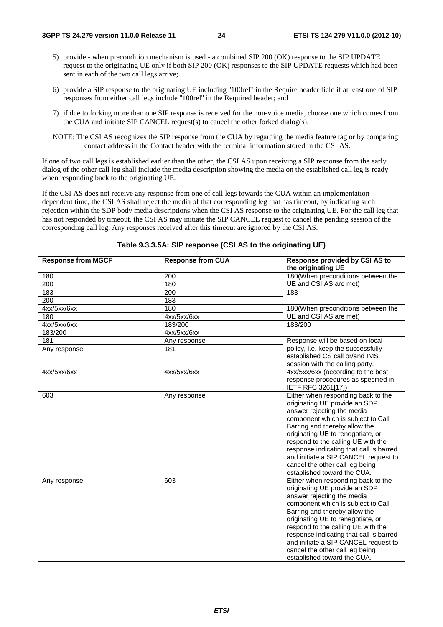- 5) provide when precondition mechanism is used a combined SIP 200 (OK) response to the SIP UPDATE request to the originating UE only if both SIP 200 (OK) responses to the SIP UPDATE requests which had been sent in each of the two call legs arrive;
- 6) provide a SIP response to the originating UE including "100rel" in the Require header field if at least one of SIP responses from either call legs include "100rel" in the Required header; and
- 7) if due to forking more than one SIP response is received for the non-voice media, choose one which comes from the CUA and initiate SIP CANCEL request(s) to cancel the other forked dialog(s).
- NOTE: The CSI AS recognizes the SIP response from the CUA by regarding the media feature tag or by comparing contact address in the Contact header with the terminal information stored in the CSI AS.

If one of two call legs is established earlier than the other, the CSI AS upon receiving a SIP response from the early dialog of the other call leg shall include the media description showing the media on the established call leg is ready when responding back to the originating UE.

If the CSI AS does not receive any response from one of call legs towards the CUA within an implementation dependent time, the CSI AS shall reject the media of that corresponding leg that has timeout, by indicating such rejection within the SDP body media descriptions when the CSI AS response to the originating UE. For the call leg that has not responded by timeout, the CSI AS may initiate the SIP CANCEL request to cancel the pending session of the corresponding call leg. Any responses received after this timeout are ignored by the CSI AS.

| <b>Response from MGCF</b> | <b>Response from CUA</b> | Response provided by CSI AS to<br>the originating UE                                                                                                                                                                                                                                                                                                                                                     |
|---------------------------|--------------------------|----------------------------------------------------------------------------------------------------------------------------------------------------------------------------------------------------------------------------------------------------------------------------------------------------------------------------------------------------------------------------------------------------------|
| 180                       | 200                      | 180(When preconditions between the                                                                                                                                                                                                                                                                                                                                                                       |
| 200                       | 180                      | UE and CSI AS are met)                                                                                                                                                                                                                                                                                                                                                                                   |
| 183                       | 200                      | 183                                                                                                                                                                                                                                                                                                                                                                                                      |
| 200                       | 183                      |                                                                                                                                                                                                                                                                                                                                                                                                          |
| 4xx/5xx/6xx               | 180                      | 180(When preconditions between the                                                                                                                                                                                                                                                                                                                                                                       |
| 180                       | 4xx/5xx/6xx              | UE and CSI AS are met)                                                                                                                                                                                                                                                                                                                                                                                   |
| 4xx/5xx/6xx               | 183/200                  | 183/200                                                                                                                                                                                                                                                                                                                                                                                                  |
| 183/200                   | 4xx/5xx/6xx              |                                                                                                                                                                                                                                                                                                                                                                                                          |
| 181                       | Any response             | Response will be based on local                                                                                                                                                                                                                                                                                                                                                                          |
| Any response              | 181                      | policy, i.e. keep the successfully<br>established CS call or/and IMS<br>session with the calling party.                                                                                                                                                                                                                                                                                                  |
| 4xx/5xx/6xx               | 4xx/5xx/6xx              | 4xx/5xx/6xx (according to the best<br>response procedures as specified in<br>IETF RFC 3261[17])                                                                                                                                                                                                                                                                                                          |
| 603                       | Any response             | Either when responding back to the<br>originating UE provide an SDP<br>answer rejecting the media<br>component which is subject to Call<br>Barring and thereby allow the<br>originating UE to renegotiate, or<br>respond to the calling UE with the<br>response indicating that call is barred<br>and initiate a SIP CANCEL request to<br>cancel the other call leg being<br>established toward the CUA. |
| Any response              | 603                      | Either when responding back to the<br>originating UE provide an SDP<br>answer rejecting the media<br>component which is subject to Call<br>Barring and thereby allow the<br>originating UE to renegotiate, or<br>respond to the calling UE with the<br>response indicating that call is barred<br>and initiate a SIP CANCEL request to<br>cancel the other call leg being<br>established toward the CUA. |

#### **Table 9.3.3.5A: SIP response (CSI AS to the originating UE)**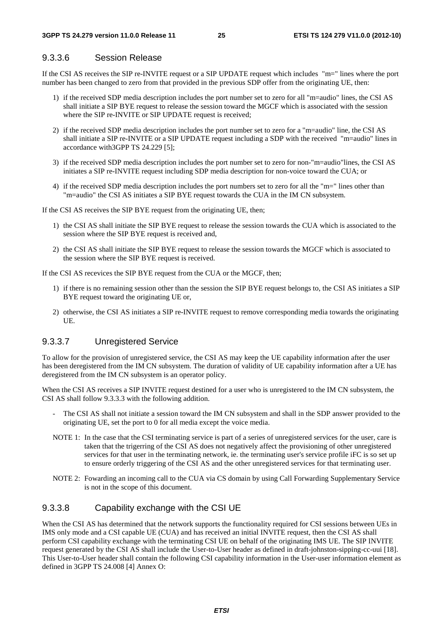### 9.3.3.6 Session Release

If the CSI AS receives the SIP re-INVITE request or a SIP UPDATE request which includes "m=" lines where the port number has been changed to zero from that provided in the previous SDP offer from the originating UE, then:

- 1) if the received SDP media description includes the port number set to zero for all "m=audio" lines, the CSI AS shall initiate a SIP BYE request to release the session toward the MGCF which is associated with the session where the SIP re-INVITE or SIP UPDATE request is received;
- 2) if the received SDP media description includes the port number set to zero for a "m=audio" line, the CSI AS shall initiate a SIP re-INVITE or a SIP UPDATE request including a SDP with the received "m=audio" lines in accordance with3GPP TS 24.229 [5];
- 3) if the received SDP media description includes the port number set to zero for non-"m=audio"lines, the CSI AS initiates a SIP re-INVITE request including SDP media description for non-voice toward the CUA; or
- 4) if the received SDP media description includes the port numbers set to zero for all the "m=" lines other than "m=audio" the CSI AS initiates a SIP BYE request towards the CUA in the IM CN subsystem.

If the CSI AS receives the SIP BYE request from the originating UE, then;

- 1) the CSI AS shall initiate the SIP BYE request to release the session towards the CUA which is associated to the session where the SIP BYE request is received and,
- 2) the CSI AS shall initiate the SIP BYE request to release the session towards the MGCF which is associated to the session where the SIP BYE request is received.

If the CSI AS recevices the SIP BYE request from the CUA or the MGCF, then;

- 1) if there is no remaining session other than the session the SIP BYE request belongs to, the CSI AS initiates a SIP BYE request toward the originating UE or,
- 2) otherwise, the CSI AS initiates a SIP re-INVITE request to remove corresponding media towards the originating UE.

### 9.3.3.7 Unregistered Service

To allow for the provision of unregistered service, the CSI AS may keep the UE capability information after the user has been deregistered from the IM CN subsystem. The duration of validity of UE capability information after a UE has deregistered from the IM CN subsystem is an operator policy.

When the CSI AS receives a SIP INVITE request destined for a user who is unregistered to the IM CN subsystem, the CSI AS shall follow 9.3.3.3 with the following addition.

- The CSI AS shall not initiate a session toward the IM CN subsystem and shall in the SDP answer provided to the originating UE, set the port to 0 for all media except the voice media.
- NOTE 1: In the case that the CSI terminating service is part of a series of unregistered services for the user, care is taken that the trigerring of the CSI AS does not negatively affect the provisioning of other unregistered services for that user in the terminating network, ie. the terminating user's service profile iFC is so set up to ensure orderly triggering of the CSI AS and the other unregistered services for that terminating user.
- NOTE 2: Fowarding an incoming call to the CUA via CS domain by using Call Forwarding Supplementary Service is not in the scope of this document.

### 9.3.3.8 Capability exchange with the CSI UE

When the CSI AS has determined that the network supports the functionality required for CSI sessions between UEs in IMS only mode and a CSI capable UE (CUA) and has received an initial INVITE request, then the CSI AS shall perform CSI capability exchange with the terminating CSI UE on behalf of the originating IMS UE. The SIP INVITE request generated by the CSI AS shall include the User-to-User header as defined in draft-johnston-sipping-cc-uui [18]. This User-to-User header shall contain the following CSI capability information in the User-user information element as defined in 3GPP TS 24.008 [4] Annex O: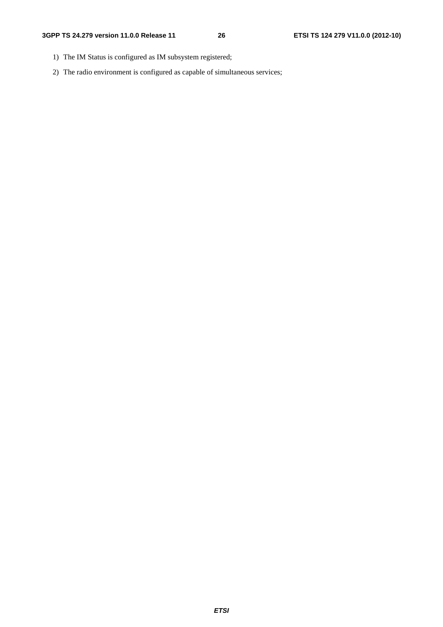- 1) The IM Status is configured as IM subsystem registered;
- 2) The radio environment is configured as capable of simultaneous services;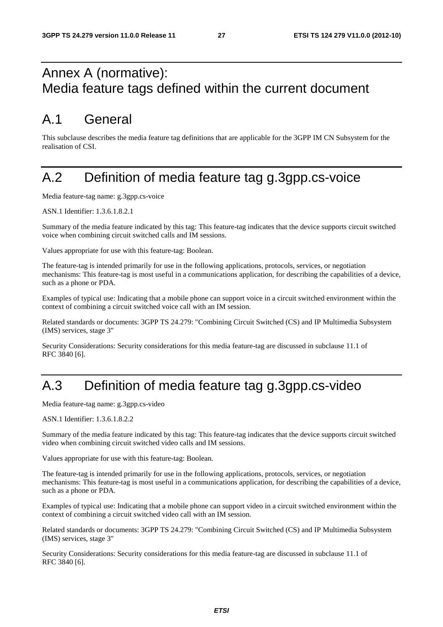## Annex A (normative): Media feature tags defined within the current document

## A.1 General

This subclause describes the media feature tag definitions that are applicable for the 3GPP IM CN Subsystem for the realisation of CSI.

## A.2 Definition of media feature tag g.3gpp.cs-voice

Media feature-tag name: g.3gpp.cs-voice

ASN.1 Identifier: 1.3.6.1.8.2.1

Summary of the media feature indicated by this tag: This feature-tag indicates that the device supports circuit switched voice when combining circuit switched calls and IM sessions.

Values appropriate for use with this feature-tag: Boolean.

The feature-tag is intended primarily for use in the following applications, protocols, services, or negotiation mechanisms: This feature-tag is most useful in a communications application, for describing the capabilities of a device, such as a phone or PDA.

Examples of typical use: Indicating that a mobile phone can support voice in a circuit switched environment within the context of combining a circuit switched voice call with an IM session.

Related standards or documents: 3GPP TS 24.279: "Combining Circuit Switched (CS) and IP Multimedia Subsystem (IMS) services, stage 3"

Security Considerations: Security considerations for this media feature-tag are discussed in subclause 11.1 of RFC 3840 [6].

## A.3 Definition of media feature tag g.3gpp.cs-video

Media feature-tag name: g.3gpp.cs-video

ASN.1 Identifier: 1.3.6.1.8.2.2

Summary of the media feature indicated by this tag: This feature-tag indicates that the device supports circuit switched video when combining circuit switched video calls and IM sessions.

Values appropriate for use with this feature-tag: Boolean.

The feature-tag is intended primarily for use in the following applications, protocols, services, or negotiation mechanisms: This feature-tag is most useful in a communications application, for describing the capabilities of a device, such as a phone or PDA.

Examples of typical use: Indicating that a mobile phone can support video in a circuit switched environment within the context of combining a circuit switched video call with an IM session.

Related standards or documents: 3GPP TS 24.279: "Combining Circuit Switched (CS) and IP Multimedia Subsystem (IMS) services, stage 3"

Security Considerations: Security considerations for this media feature-tag are discussed in subclause 11.1 of RFC 3840 [6].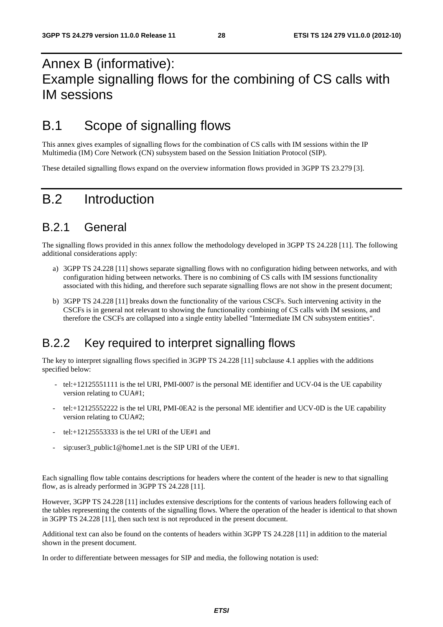## Annex B (informative): Example signalling flows for the combining of CS calls with IM sessions

## B.1 Scope of signalling flows

This annex gives examples of signalling flows for the combination of CS calls with IM sessions within the IP Multimedia (IM) Core Network (CN) subsystem based on the Session Initiation Protocol (SIP).

These detailed signalling flows expand on the overview information flows provided in 3GPP TS 23.279 [3].

## B.2 Introduction

### B.2.1 General

The signalling flows provided in this annex follow the methodology developed in 3GPP TS 24.228 [11]. The following additional considerations apply:

- a) 3GPP TS 24.228 [11] shows separate signalling flows with no configuration hiding between networks, and with configuration hiding between networks. There is no combining of CS calls with IM sessions functionality associated with this hiding, and therefore such separate signalling flows are not show in the present document;
- b) 3GPP TS 24.228 [11] breaks down the functionality of the various CSCFs. Such intervening activity in the CSCFs is in general not relevant to showing the functionality combining of CS calls with IM sessions, and therefore the CSCFs are collapsed into a single entity labelled "Intermediate IM CN subsystem entities".

## B.2.2 Key required to interpret signalling flows

The key to interpret signalling flows specified in 3GPP TS 24.228 [11] subclause 4.1 applies with the additions specified below:

- tel:+12125551111 is the tel URI, PMI-0007 is the personal ME identifier and UCV-04 is the UE capability version relating to CUA#1;
- tel:+12125552222 is the tel URI, PMI-0EA2 is the personal ME identifier and UCV-0D is the UE capability version relating to CUA#2;
- tel: $+12125553333$  is the tel URI of the UE#1 and
- sip:user3\_public1@home1.net is the SIP URI of the UE#1.

Each signalling flow table contains descriptions for headers where the content of the header is new to that signalling flow, as is already performed in 3GPP TS 24.228 [11].

However, 3GPP TS 24.228 [11] includes extensive descriptions for the contents of various headers following each of the tables representing the contents of the signalling flows. Where the operation of the header is identical to that shown in 3GPP TS 24.228 [11], then such text is not reproduced in the present document.

Additional text can also be found on the contents of headers within 3GPP TS 24.228 [11] in addition to the material shown in the present document.

In order to differentiate between messages for SIP and media, the following notation is used: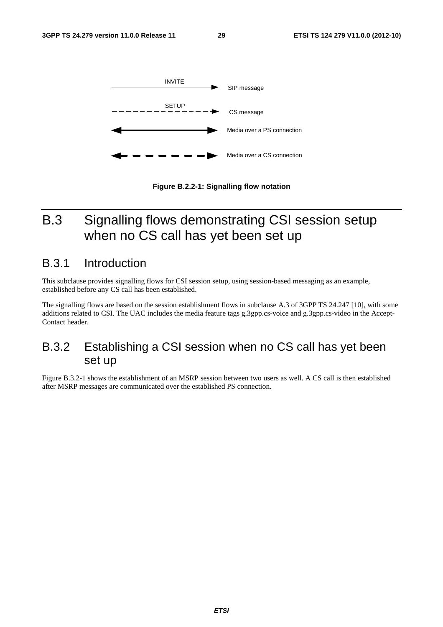

**Figure B.2.2-1: Signalling flow notation** 

## B.3 Signalling flows demonstrating CSI session setup when no CS call has yet been set up

### B.3.1 Introduction

This subclause provides signalling flows for CSI session setup, using session-based messaging as an example, established before any CS call has been established.

The signalling flows are based on the session establishment flows in subclause A.3 of 3GPP TS 24.247 [10], with some additions related to CSI. The UAC includes the media feature tags g.3gpp.cs-voice and g.3gpp.cs-video in the Accept-Contact header.

### B.3.2 Establishing a CSI session when no CS call has yet been set up

Figure B.3.2-1 shows the establishment of an MSRP session between two users as well. A CS call is then established after MSRP messages are communicated over the established PS connection.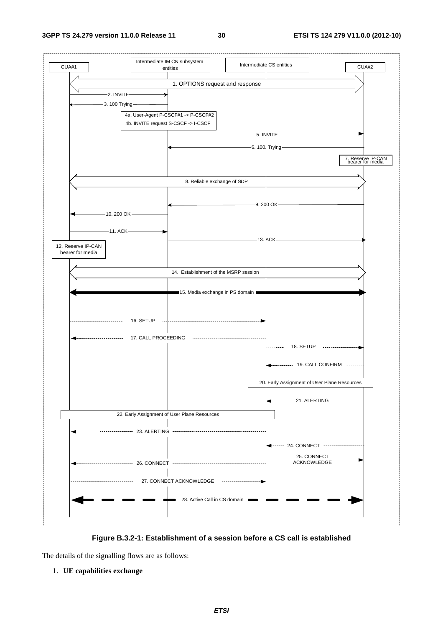

**Figure B.3.2-1: Establishment of a session before a CS call is established** 

The details of the signalling flows are as follows:

#### 1. **UE capabilities exchange**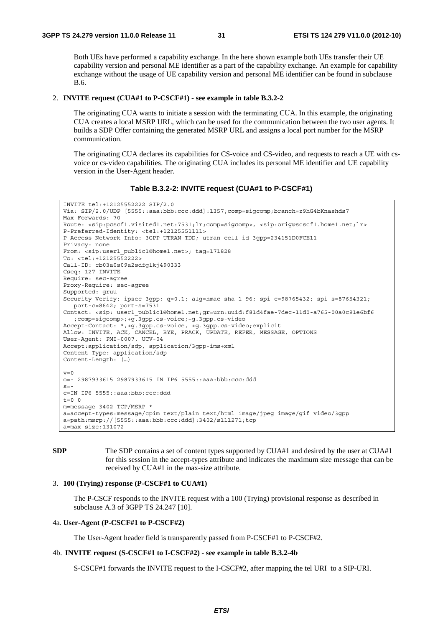Both UEs have performed a capability exchange. In the here shown example both UEs transfer their UE capability version and personal ME identifier as a part of the capability exchange. An example for capability exchange without the usage of UE capability version and personal ME identifier can be found in subclause B.6.

#### 2. **INVITE request (CUA#1 to P-CSCF#1) - see example in table B.3.2-2**

 The originating CUA wants to initiate a session with the terminating CUA. In this example, the originating CUA creates a local MSRP URL, which can be used for the communication between the two user agents. It builds a SDP Offer containing the generated MSRP URL and assigns a local port number for the MSRP communication.

The originating CUA declares its capabilities for CS-voice and CS-video, and requests to reach a UE with csvoice or cs-video capabilities. The originating CUA includes its personal ME identifier and UE capability version in the User-Agent header.

#### **Table B.3.2-2: INVITE request (CUA#1 to P-CSCF#1)**

```
INVITE tel:+12125552222 SIP/2.0 
Via: SIP/2.0/UDP [5555::aaa:bbb:ccc:ddd]:1357;comp=sigcomp;branch=z9hG4bKnashds7 
Max-Forwards: 70 
Route: <sip:pcscf1.visited1.net:7531;lr;comp=sigcomp>, <sip:orig@scscf1.home1.net;lr> 
P-Preferred-Identity: <tel:+12125551111> 
P-Access-Network-Info: 3GPP-UTRAN-TDD; utran-cell-id-3gpp=234151D0FCE11 
Privacy: none 
From: <sip:user1_public1@home1.net>; tag=171828 
To: <tel:+12125552222> 
Call-ID: cb03a0s09a2sdfglkj490333 
Cseq: 127 INVITE 
Require: sec-agree 
Proxy-Require: sec-agree 
Supported: gruu 
Security-Verify: ipsec-3gpp; q=0.1; alg=hmac-sha-1-96; spi-c=98765432; spi-s=87654321; 
  port-c=8642; port-s=7531 
Contact: <sip: user1_public1@home1.net;gr=urn:uuid:f81d4fae-7dec-11d0-a765-00a0c91e6bf6 
   ;comp=sigcomp>;+g.3gpp.cs-voice;+g.3gpp.cs-video 
Accept-Contact: *,+g.3gpp.cs-voice, +g.3gpp.cs-video;explicit 
Allow: INVITE, ACK, CANCEL, BYE, PRACK, UPDATE, REFER, MESSAGE, OPTIONS 
User-Agent: PMI-0007, UCV-04 
Accept:application/sdp, application/3gpp-ims+xml 
Content-Type: application/sdp 
Content-Length: (…) 
v=0o=- 2987933615 2987933615 IN IP6 5555::aaa:bbb:ccc:ddd 
s=-c=IN IP6 5555::aaa:bbb:ccc:ddd 
t=0 0
m=message 3402 TCP/MSRP * 
a=accept-types:message/cpim text/plain text/html image/jpeg image/gif video/3gpp 
a=path:msrp://[5555::aaa:bbb:ccc:ddd]:3402/s111271;tcp 
a=max-size:131072
```
**SDP** The SDP contains a set of content types supported by CUA#1 and desired by the user at CUA#1 for this session in the accept-types attribute and indicates the maximum size message that can be received by CUA#1 in the max-size attribute.

#### 3. **100 (Trying) response (P-CSCF#1 to CUA#1)**

 The P-CSCF responds to the INVITE request with a 100 (Trying) provisional response as described in subclause A.3 of 3GPP TS 24.247 [10].

#### 4a. **User-Agent (P-CSCF#1 to P-CSCF#2)**

The User-Agent header field is transparently passed from P-CSCF#1 to P-CSCF#2.

#### 4b. **INVITE request (S-CSCF#1 to I-CSCF#2) - see example in table B.3.2-4b**

S-CSCF#1 forwards the INVITE request to the I-CSCF#2, after mapping the tel URI to a SIP-URI.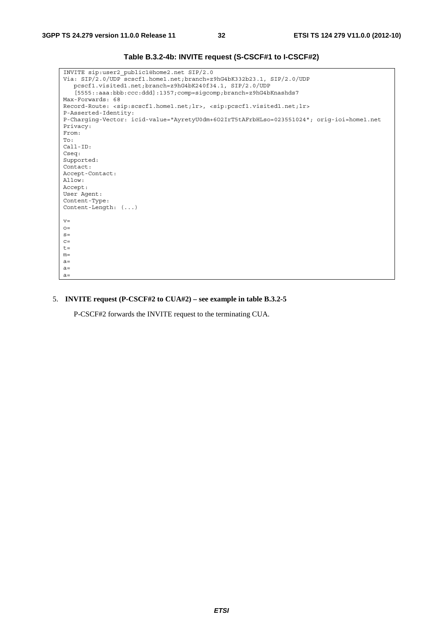| INVITE sip:user2 public1@home2.net SIP/2.0<br>Via: SIP/2.0/UDP scscf1.home1.net;branch=z9hG4bK332b23.1, SIP/2.0/UDP          |
|------------------------------------------------------------------------------------------------------------------------------|
| pcscf1.visited1.net;branch=z9hG4bK240f34.1, SIP/2.0/UDP                                                                      |
| [5555::aaa:bbb:ccc:ddd]:1357;comp=sigcomp;branch=z9hG4bKnashds7                                                              |
| Max-Forwards: 68                                                                                                             |
|                                                                                                                              |
| Record-Route: <sip:scscf1.home1.net;lr>, <sip:pcscf1.visited1.net;lr></sip:pcscf1.visited1.net;lr></sip:scscf1.home1.net;lr> |
| P-Asserted-Identity:                                                                                                         |
| P-Charging-Vector: icid-value="AyretyU0dm+602IrT5tAFrbHLso=023551024"; orig-ioi=home1.net                                    |
| Privacy:                                                                                                                     |
| From:                                                                                                                        |
| To:                                                                                                                          |
| $Call-ID:$                                                                                                                   |
| Cseq:                                                                                                                        |
| Supported:                                                                                                                   |
| Contact:                                                                                                                     |
| Accept-Contact:                                                                                                              |
| Allow:                                                                                                                       |
| Accept:                                                                                                                      |
| User Agent:                                                                                                                  |
| Content-Type:                                                                                                                |
| Content-Length: $( \ldots )$                                                                                                 |
|                                                                                                                              |
| $V =$                                                                                                                        |
| $O =$                                                                                                                        |
| $S =$                                                                                                                        |
| $C =$                                                                                                                        |
| $t =$                                                                                                                        |
| $m=$                                                                                                                         |
| $a=$                                                                                                                         |
| $a=$                                                                                                                         |
| $a=$                                                                                                                         |
|                                                                                                                              |

**Table B.3.2-4b: INVITE request (S-CSCF#1 to I-CSCF#2)** 

### 5. **INVITE request (P-CSCF#2 to CUA#2) – see example in table B.3.2-5**

P-CSCF#2 forwards the INVITE request to the terminating CUA.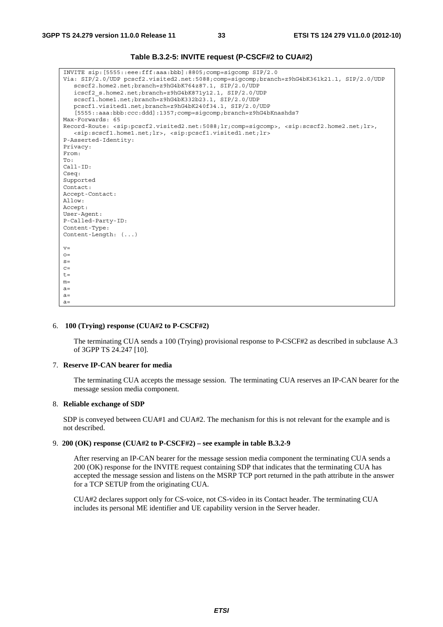#### **Table B.3.2-5: INVITE request (P-CSCF#2 to CUA#2)**

| INVITE sip: [5555::eee:fff:aaa:bbb]:8805;comp=sigcomp SIP/2.0                                                                                                     |
|-------------------------------------------------------------------------------------------------------------------------------------------------------------------|
| Via: SIP/2.0/UDP pcscf2.visited2.net:5088;comp=sigcomp;branch=z9hG4bK361k21.1, SIP/2.0/UDP                                                                        |
| scscf2.home2.net;branch=z9hG4bK764z87.1, SIP/2.0/UDP                                                                                                              |
| icscf2 s.home2.net;branch=z9hG4bK871y12.1, SIP/2.0/UDP                                                                                                            |
| scscf1.home1.net;branch=z9hG4bK332b23.1, SIP/2.0/UDP                                                                                                              |
| pcscf1.visited1.net;branch=z9hG4bK240f34.1, SIP/2.0/UDP                                                                                                           |
| [5555::aaa:bbb:ccc:ddd]:1357;comp=sigcomp;branch=z9hG4bKnashds7                                                                                                   |
| Max-Forwards: 65                                                                                                                                                  |
| Record-Route: <sip:pcscf2.visited2.net:5088;lr;comp=sigcomp>, <sip:scscf2.home2.net;lr>,</sip:scscf2.home2.net;lr></sip:pcscf2.visited2.net:5088;lr;comp=sigcomp> |
| <sip:scscf1.home1.net;lr>, <sip:pcscf1.visited1.net;lr></sip:pcscf1.visited1.net;lr></sip:scscf1.home1.net;lr>                                                    |
| P-Asserted-Identity:                                                                                                                                              |
| Privacy:                                                                                                                                                          |
| From:                                                                                                                                                             |
| To:                                                                                                                                                               |
| $Call-ID:$                                                                                                                                                        |
| Cseq:                                                                                                                                                             |
| Supported                                                                                                                                                         |
| Contact:                                                                                                                                                          |
| Accept-Contact:                                                                                                                                                   |
| Allow:                                                                                                                                                            |
| Accept:                                                                                                                                                           |
| User-Agent:                                                                                                                                                       |
| P-Called-Party-ID:                                                                                                                                                |
| Content-Type:                                                                                                                                                     |
| Content-Length: $( \ldots )$                                                                                                                                      |
|                                                                                                                                                                   |
| $V =$                                                                                                                                                             |
| $O =$                                                                                                                                                             |
| $S =$<br>$C =$                                                                                                                                                    |
| $t =$                                                                                                                                                             |
| $m=$                                                                                                                                                              |
| $a=$                                                                                                                                                              |
| $a =$                                                                                                                                                             |
| $a=$                                                                                                                                                              |
|                                                                                                                                                                   |

#### 6. **100 (Trying) response (CUA#2 to P-CSCF#2)**

 The terminating CUA sends a 100 (Trying) provisional response to P-CSCF#2 as described in subclause A.3 of 3GPP TS 24.247 [10].

#### 7. **Reserve IP-CAN bearer for media**

 The terminating CUA accepts the message session. The terminating CUA reserves an IP-CAN bearer for the message session media component.

#### 8. **Reliable exchange of SDP**

 SDP is conveyed between CUA#1 and CUA#2. The mechanism for this is not relevant for the example and is not described.

#### 9. **200 (OK) response (CUA#2 to P-CSCF#2) – see example in table B.3.2-9**

After reserving an IP-CAN bearer for the message session media component the terminating CUA sends a 200 (OK) response for the INVITE request containing SDP that indicates that the terminating CUA has accepted the message session and listens on the MSRP TCP port returned in the path attribute in the answer for a TCP SETUP from the originating CUA.

CUA#2 declares support only for CS-voice, not CS-video in its Contact header. The terminating CUA includes its personal ME identifier and UE capability version in the Server header.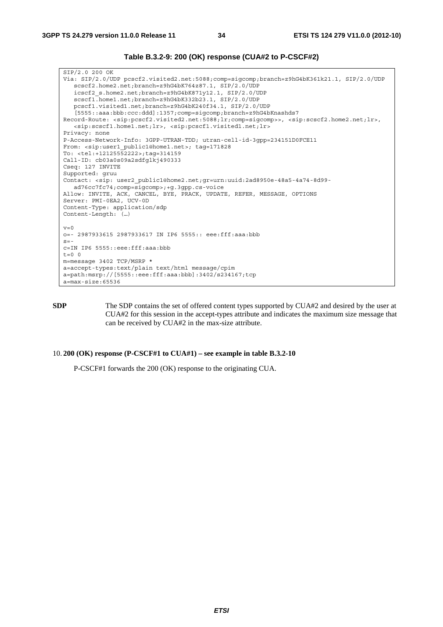#### **Table B.3.2-9: 200 (OK) response (CUA#2 to P-CSCF#2)**

SIP/2.0 200 OK Via: SIP/2.0/UDP pcscf2.visited2.net:5088;comp=sigcomp;branch=z9hG4bK361k21.1, SIP/2.0/UDP scscf2.home2.net;branch=z9hG4bK764z87.1, SIP/2.0/UDP icscf2\_s.home2.net;branch=z9hG4bK871y12.1, SIP/2.0/UDP scscf1.home1.net;branch=z9hG4bK332b23.1, SIP/2.0/UDP pcscf1.visited1.net;branch=z9hG4bK240f34.1, SIP/2.0/UDP [5555::aaa:bbb:ccc:ddd]:1357;comp=sigcomp;branch=z9hG4bKnashds7 Record-Route: <sip:pcscf2.visited2.net:5088;lr;comp=sigcomp>>, <sip:scscf2.home2.net;lr>, <sip:scscf1.home1.net;lr>, <sip:pcscf1.visited1.net;lr> Privacy: none P-Access-Network-Info: 3GPP-UTRAN-TDD; utran-cell-id-3gpp=234151D0FCE11 From: <sip:user1\_public1@home1.net>; tag=171828 To: <tel:+12125552222>;tag=314159 Call-ID: cb03a0s09a2sdfglkj490333 Cseq: 127 INVITE Supported: gruu Contact: <sip: user2\_public1@home2.net;gr=urn:uuid:2ad8950e-48a5-4a74-8d99 ad76cc7fc74;comp=sigcomp>;+g.3gpp.cs-voice Allow: INVITE, ACK, CANCEL, BYE, PRACK, UPDATE, REFER, MESSAGE, OPTIONS Server: PMI-0EA2, UCV-0D Content-Type: application/sdp Content-Length: (…)  $v=0$ o=- 2987933615 2987933617 IN IP6 5555:: eee:fff:aaa:bbb  $s=$ c=IN IP6 5555::eee:fff:aaa:bbb  $t=0$  0 m=message 3402 TCP/MSRP \* a=accept-types:text/plain text/html message/cpim a=path:msrp://[5555::eee:fff:aaa:bbb]:3402/s234167;tcp a=max-size:65536

**SDP** The SDP contains the set of offered content types supported by CUA#2 and desired by the user at CUA#2 for this session in the accept-types attribute and indicates the maximum size message that can be received by CUA#2 in the max-size attribute.

#### 10. **200 (OK) response (P-CSCF#1 to CUA#1) – see example in table B.3.2-10**

P-CSCF#1 forwards the 200 (OK) response to the originating CUA.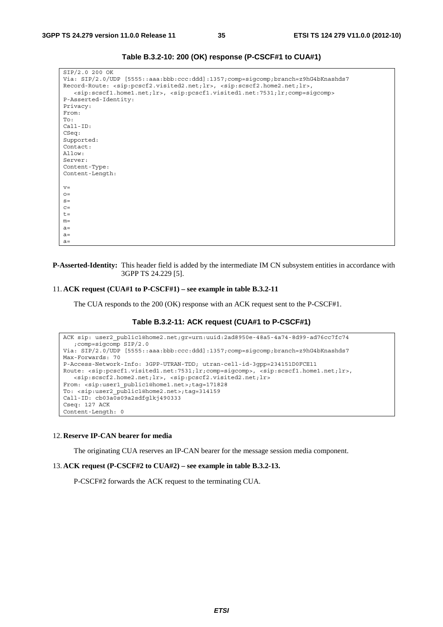| SIP/2.0 200 OK                                                                                                                |
|-------------------------------------------------------------------------------------------------------------------------------|
| Via: SIP/2.0/UDP [5555::aaa:bbb:ccc:ddd]:1357;comp=siqcomp;branch=z9hG4bKnashds7                                              |
| Record-Route: <sip:pcscf2.visited2.net;lr>, <sip:scscf2.home2.net;lr>,</sip:scscf2.home2.net;lr></sip:pcscf2.visited2.net;lr> |
| $\langle$ sip:scscf1.home1.net;lr>, $\langle$ sip:pcscf1.visited1.net:7531;lr;comp=siqcomp>                                   |
| P-Asserted-Identity:                                                                                                          |
| Privacy:                                                                                                                      |
| From:                                                                                                                         |
| To:                                                                                                                           |
| $Call-ID:$                                                                                                                    |
| CSeq:                                                                                                                         |
| Supported:                                                                                                                    |
| Contact:                                                                                                                      |
| Allow:                                                                                                                        |
| Server:                                                                                                                       |
| Content-Type:                                                                                                                 |
| Content-Length:                                                                                                               |
|                                                                                                                               |
| $V =$                                                                                                                         |
| $Q =$                                                                                                                         |
| $S =$                                                                                                                         |
| $C =$                                                                                                                         |
| $t =$                                                                                                                         |
| $m=$                                                                                                                          |
| $a=$                                                                                                                          |
| $a=$                                                                                                                          |
| $a=$                                                                                                                          |

**Table B.3.2-10: 200 (OK) response (P-CSCF#1 to CUA#1)** 

**P-Asserted-Identity:** This header field is added by the intermediate IM CN subsystem entities in accordance with 3GPP TS 24.229 [5].

#### 11. **ACK request (CUA#1 to P-CSCF#1) – see example in table B.3.2-11**

The CUA responds to the 200 (OK) response with an ACK request sent to the P-CSCF#1.

#### **Table B.3.2-11: ACK request (CUA#1 to P-CSCF#1)**

```
ACK sip: user2_public1@home2.net;gr=urn:uuid:2ad8950e-48a5-4a74-8d99-ad76cc7fc74 
   ;comp=sigcomp SIP/2.0 
Via: SIP/2.0/UDP [5555::aaa:bbb:ccc:ddd]:1357;comp=sigcomp;branch=z9hG4bKnashds7 
Max-Forwards: 70 
P-Access-Network-Info: 3GPP-UTRAN-TDD; utran-cell-id-3gpp=234151D0FCE11 
Route: <sip:pcscf1.visited1.net:7531;lr;comp=sigcomp>, <sip:scscf1.home1.net;lr>, 
  <sip:scscf2.home2.net;lr>, <sip:pcscf2.visited2.net;lr> 
From: <sip:user1 public1@home1.net>;tag=171828
To: <sip:user2_public1@home2.net>;tag=314159 
Call-ID: cb03a0s09a2sdfglkj490333 
Cseq: 127 ACK 
Content-Length: 0
```
#### 12. **Reserve IP-CAN bearer for media**

The originating CUA reserves an IP-CAN bearer for the message session media component.

#### 13. **ACK request (P-CSCF#2 to CUA#2) – see example in table B.3.2-13.**

P-CSCF#2 forwards the ACK request to the terminating CUA.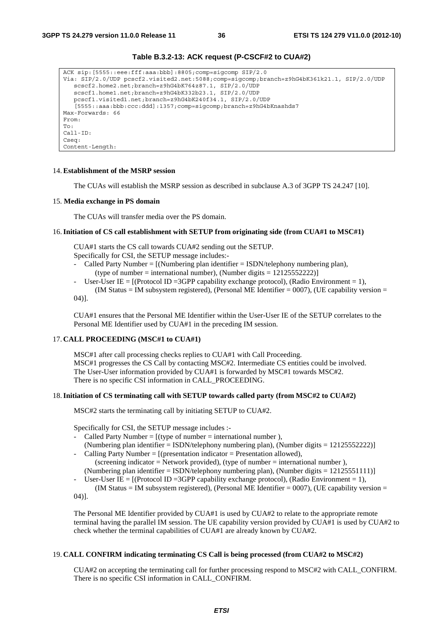| ACK $\sin:$ [5555::eee:fff:aaa:bbb]:8805;comp=sigcomp SIP/2.0                              |
|--------------------------------------------------------------------------------------------|
| Via: SIP/2.0/UDP pcscf2.visited2.net:5088;comp=sigcomp;branch=z9hG4bK361k21.1, SIP/2.0/UDP |
| scscf2.home2.net;branch=z9hG4bK764z87.1, SIP/2.0/UDP                                       |
| scscf1.home1.net;branch=z9hG4bK332b23.1, SIP/2.0/UDP                                       |
| pcscf1.visited1.net;branch=z9hG4bK240f34.1, SIP/2.0/UDP                                    |
| [5555::aaa:bbb:ccc:ddd]:1357;comp=siqcomp;branch=z9hG4bKnashds7                            |
| Max-Forwards: 66                                                                           |
| From:                                                                                      |
| To:                                                                                        |
| $Call-ID:$                                                                                 |
| Cseq:                                                                                      |
| Content-Length:                                                                            |

## **Table B.3.2-13: ACK request (P-CSCF#2 to CUA#2)**

#### 14. **Establishment of the MSRP session**

The CUAs will establish the MSRP session as described in subclause A.3 of 3GPP TS 24.247 [10].

#### 15. **Media exchange in PS domain**

The CUAs will transfer media over the PS domain.

#### 16. **Initiation of CS call establishment with SETUP from originating side (from CUA#1 to MSC#1)**

CUA#1 starts the CS call towards CUA#2 sending out the SETUP. Specifically for CSI, the SETUP message includes:-

- Called Party Number =  $[(Numbering plan identifier = ISBN/telephony numbering plan),$ (type of number = international number), (Number digits =  $12125552222$ )]
- User-User IE =  $[$ (Protocol ID = 3GPP capability exchange protocol), (Radio Environment = 1), (IM Status = IM subsystem registered), (Personal ME Identifier =  $0007$ ), (UE capability version =
- 04)].

CUA#1 ensures that the Personal ME Identifier within the User-User IE of the SETUP correlates to the Personal ME Identifier used by CUA#1 in the preceding IM session.

## 17. **CALL PROCEEDING (MSC#1 to CUA#1)**

MSC#1 after call processing checks replies to CUA#1 with Call Proceeding. MSC#1 progresses the CS Call by contacting MSC#2. Intermediate CS entities could be involved. The User-User information provided by CUA#1 is forwarded by MSC#1 towards MSC#2. There is no specific CSI information in CALL\_PROCEEDING.

## 18. **Initiation of CS terminating call with SETUP towards called party (from MSC#2 to CUA#2)**

MSC#2 starts the terminating call by initiating SETUP to CUA#2.

Specifically for CSI, the SETUP message includes :-

Called Party Number =  $[(\text{type of number} = \text{intermational number})]$ .

(Numbering plan identifier = ISDN/telephony numbering plan), (Number digits =  $12125552222$ ) - Calling Party Number =  $[$  (presentation indicator = Presentation allowed),

(screening indicator = Network provided), (type of number = international number), (Numbering plan identifier = ISDN/telephony numbering plan), (Number digits =  $12125551111$ )

- User-User IE =  $[$ (Protocol ID = 3GPP capability exchange protocol), (Radio Environment = 1), (IM Status = IM subsystem registered), (Personal ME Identifier =  $0007$ ), (UE capability version =

04)].

The Personal ME Identifier provided by CUA#1 is used by CUA#2 to relate to the appropriate remote terminal having the parallel IM session. The UE capability version provided by CUA#1 is used by CUA#2 to check whether the terminal capabilities of CUA#1 are already known by CUA#2.

## 19. **CALL CONFIRM indicating terminating CS Call is being processed (from CUA#2 to MSC#2)**

CUA#2 on accepting the terminating call for further processing respond to MSC#2 with CALL\_CONFIRM. There is no specific CSI information in CALL\_CONFIRM.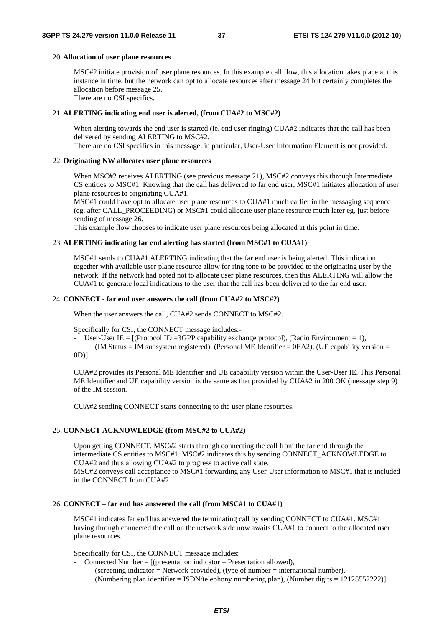## 20. **Allocation of user plane resources**

MSC#2 initiate provision of user plane resources. In this example call flow, this allocation takes place at this instance in time, but the network can opt to allocate resources after message 24 but certainly completes the allocation before message 25.

There are no CSI specifics.

## 21. **ALERTING indicating end user is alerted, (from CUA#2 to MSC#2)**

When alerting towards the end user is started (ie. end user ringing) CUA#2 indicates that the call has been delivered by sending ALERTING to MSC#2.

There are no CSI specifics in this message; in particular, User-User Information Element is not provided.

## 22. **Originating NW allocates user plane resources**

When MSC#2 receives ALERTING (see previous message 21), MSC#2 conveys this through Intermediate CS entities to MSC#1. Knowing that the call has delivered to far end user, MSC#1 initiates allocation of user plane resources to originating CUA#1.

MSC#1 could have opt to allocate user plane resources to CUA#1 much earlier in the messaging sequence (eg. after CALL\_PROCEEDING) or MSC#1 could allocate user plane resource much later eg. just before sending of message 26.

This example flow chooses to indicate user plane resources being allocated at this point in time.

### 23. **ALERTING indicating far end alerting has started (from MSC#1 to CUA#1)**

MSC#1 sends to CUA#1 ALERTING indicating that the far end user is being alerted. This indication together with available user plane resource allow for ring tone to be provided to the originating user by the network. If the network had opted not to allocate user plane resources, then this ALERTING will allow the CUA#1 to generate local indications to the user that the call has been delivered to the far end user.

## 24. **CONNECT - far end user answers the call (from CUA#2 to MSC#2)**

When the user answers the call, CUA#2 sends CONNECT to MSC#2.

Specifically for CSI, the CONNECT message includes:-

- User-User IE =  $[$ (Protocol ID = 3GPP capability exchange protocol), (Radio Environment = 1),

(IM Status = IM subsystem registered), (Personal ME Identifier =  $0EA2$ ), (UE capability version = 0D)].

CUA#2 provides its Personal ME Identifier and UE capability version within the User-User IE. This Personal ME Identifier and UE capability version is the same as that provided by CUA#2 in 200 OK (message step 9) of the IM session.

CUA#2 sending CONNECT starts connecting to the user plane resources.

## 25. **CONNECT ACKNOWLEDGE (from MSC#2 to CUA#2)**

Upon getting CONNECT, MSC#2 starts through connecting the call from the far end through the intermediate CS entities to MSC#1. MSC#2 indicates this by sending CONNECT\_ACKNOWLEDGE to CUA#2 and thus allowing CUA#2 to progress to active call state. MSC#2 conveys call acceptance to MSC#1 forwarding any User-User information to MSC#1 that is included

in the CONNECT from CUA#2.

## 26. **CONNECT – far end has answered the call (from MSC#1 to CUA#1)**

MSC#1 indicates far end has answered the terminating call by sending CONNECT to CUA#1. MSC#1 having through connected the call on the network side now awaits CUA#1 to connect to the allocated user plane resources.

Specifically for CSI, the CONNECT message includes:

Connected Number =  $[$ (presentation indicator = Presentation allowed),  $(\text{screening indicator} = \text{Network provided}), (\text{type of number} = \text{interrational number}),$ (Numbering plan identifier = ISDN/telephony numbering plan), (Number digits = 12125552222)]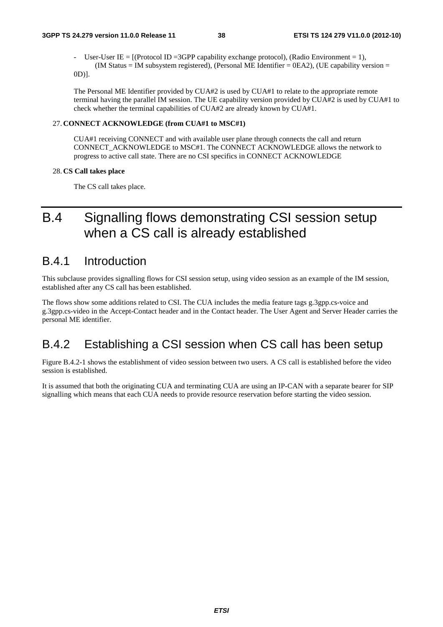User-User IE =  $[(Protocol ID = 3GPP capability exchange protocol), (Radio Environment = 1),]$ (IM Status = IM subsystem registered), (Personal ME Identifier =  $0E A2$ ), (UE capability version =

0D)].

The Personal ME Identifier provided by CUA#2 is used by CUA#1 to relate to the appropriate remote terminal having the parallel IM session. The UE capability version provided by CUA#2 is used by CUA#1 to check whether the terminal capabilities of CUA#2 are already known by CUA#1.

## 27. **CONNECT ACKNOWLEDGE (from CUA#1 to MSC#1)**

CUA#1 receiving CONNECT and with available user plane through connects the call and return CONNECT\_ACKNOWLEDGE to MSC#1. The CONNECT ACKNOWLEDGE allows the network to progress to active call state. There are no CSI specifics in CONNECT ACKNOWLEDGE

## 28. **CS Call takes place**

The CS call takes place.

## B.4 Signalling flows demonstrating CSI session setup when a CS call is already established

## B.4.1 Introduction

This subclause provides signalling flows for CSI session setup, using video session as an example of the IM session, established after any CS call has been established.

The flows show some additions related to CSI. The CUA includes the media feature tags g.3gpp.cs-voice and g.3gpp.cs-video in the Accept-Contact header and in the Contact header. The User Agent and Server Header carries the personal ME identifier.

## B.4.2 Establishing a CSI session when CS call has been setup

Figure B.4.2-1 shows the establishment of video session between two users. A CS call is established before the video session is established.

It is assumed that both the originating CUA and terminating CUA are using an IP-CAN with a separate bearer for SIP signalling which means that each CUA needs to provide resource reservation before starting the video session.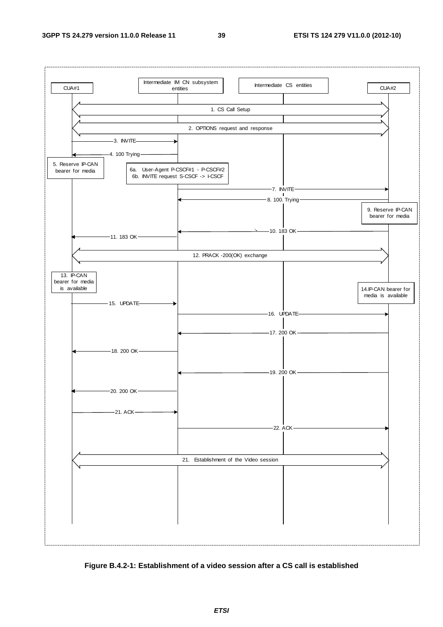

**Figure B.4.2-1: Establishment of a video session after a CS call is established**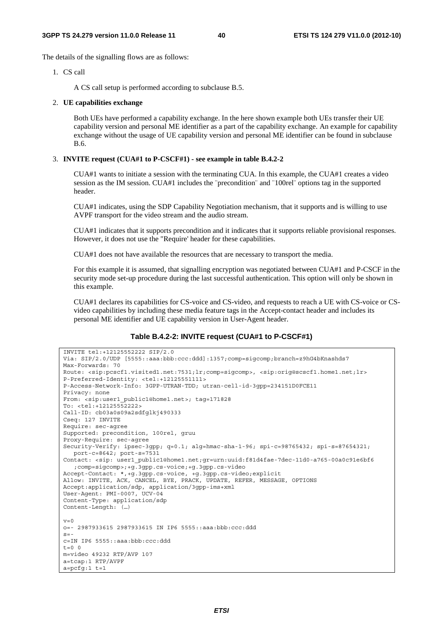The details of the signalling flows are as follows:

1. CS call

A CS call setup is performed according to subclause B.5.

#### 2. **UE capabilities exchange**

 Both UEs have performed a capability exchange. In the here shown example both UEs transfer their UE capability version and personal ME identifier as a part of the capability exchange. An example for capability exchange without the usage of UE capability version and personal ME identifier can be found in subclause B.6.

### 3. **INVITE request (CUA#1 to P-CSCF#1) - see example in table B.4.2-2**

 CUA#1 wants to initiate a session with the terminating CUA. In this example, the CUA#1 creates a video session as the IM session. CUA#1 includes the ¨precondition¨ and ¨100rel¨ options tag in the supported header.

 CUA#1 indicates, using the SDP Capability Negotiation mechanism, that it supports and is willing to use AVPF transport for the video stream and the audio stream.

 CUA#1 indicates that it supports precondition and it indicates that it supports reliable provisional responses. However, it does not use the "Require' header for these capabilities.

CUA#1 does not have available the resources that are necessary to transport the media.

 For this example it is assumed, that signalling encryption was negotiated between CUA#1 and P-CSCF in the security mode set-up procedure during the last successful authentication. This option will only be shown in this example.

CUA#1 declares its capabilities for CS-voice and CS-video, and requests to reach a UE with CS-voice or CSvideo capabilities by including these media feature tags in the Accept-contact header and includes its personal ME identifier and UE capability version in User-Agent header.

#### **Table B.4.2-2: INVITE request (CUA#1 to P-CSCF#1)**

```
INVITE tel:+12125552222 SIP/2.0 
Via: SIP/2.0/UDP [5555::aaa:bbb:ccc:ddd]:1357;comp=sigcomp;branch=z9hG4bKnashds7 
Max-Forwards: 70 
Route: <sip:pcscf1.visited1.net:7531;lr;comp=sigcomp>, <sip:orig@scscf1.home1.net;lr> 
P-Preferred-Identity: <tel:+12125551111> 
P-Access-Network-Info: 3GPP-UTRAN-TDD; utran-cell-id-3gpp=234151D0FCE11 
Privacy: none 
From: <sip:user1 public1@home1.net>; tag=171828
To: <tel:+12125552222> 
Call-ID: cb03a0s09a2sdfglkj490333 
Cseq: 127 INVITE 
Require: sec-agree 
Supported: precondition, 100rel, gruu 
Proxy-Require: sec-agree 
Security-Verify: ipsec-3gpp; q=0.1; alg=hmac-sha-1-96; spi-c=98765432; spi-s=87654321; 
  port-c=8642; port-s=7531 
Contact: <sip: user1 public1@home1.net;gr=urn:uuid:f81d4fae-7dec-11d0-a765-00a0c91e6bf6
  ;comp=sigcomp>;+g.3gpp.cs-voice;+g.3gpp.cs-video 
Accept-Contact: *,+g.3gpp.cs-voice, +g.3gpp.cs-video;explicit 
Allow: INVITE, ACK, CANCEL, BYE, PRACK, UPDATE, REFER, MESSAGE, OPTIONS 
Accept:application/sdp, application/3gpp-ims+xml 
User-Agent: PMI-0007, UCV-04 
Content-Type: application/sdp 
Content-Length: (…) 
v=0o=- 2987933615 2987933615 IN IP6 5555::aaa:bbb:ccc:ddd 
s=-c=IN IP6 5555::aaa:bbb:ccc:ddd 
t=0 0
m=video 49232 RTP/AVP 107 
a=tcap:1 RTP/AVPF 
a=pcfg:1 t=1
```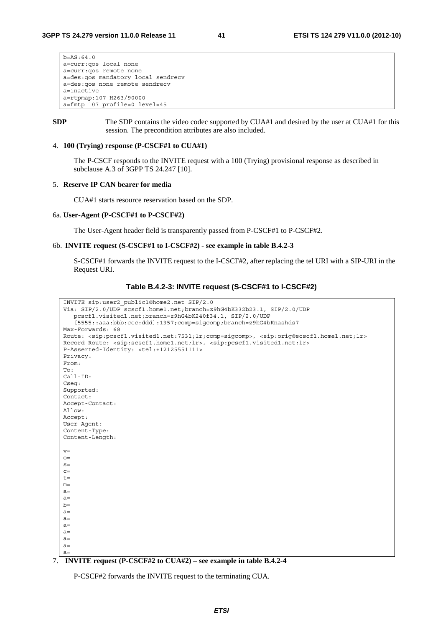$b=AS:64.0$ a=curr:qos local none a=curr:qos remote none a=des:qos mandatory local sendrecv a=des:qos none remote sendrecv a=inactive a=rtpmap:107 H263/90000 a=fmtp 107 profile=0 level=45

**SDP** The SDP contains the video codec supported by CUA#1 and desired by the user at CUA#1 for this session. The precondition attributes are also included.

### 4. **100 (Trying) response (P-CSCF#1 to CUA#1)**

 The P-CSCF responds to the INVITE request with a 100 (Trying) provisional response as described in subclause A.3 of 3GPP TS 24.247 [10].

### 5. **Reserve IP CAN bearer for media**

CUA#1 starts resource reservation based on the SDP.

#### 6a. **User-Agent (P-CSCF#1 to P-CSCF#2)**

The User-Agent header field is transparently passed from P-CSCF#1 to P-CSCF#2.

#### 6b. **INVITE request (S-CSCF#1 to I-CSCF#2) - see example in table B.4.2-3**

 S-CSCF#1 forwards the INVITE request to the I-CSCF#2, after replacing the tel URI with a SIP-URI in the Request URI.

## **Table B.4.2-3: INVITE request (S-CSCF#1 to I-CSCF#2)**

```
INVITE sip:user2_public1@home2.net SIP/2.0 
Via: SIP/2.0/UDP scscf1.home1.net;branch=z9hG4bK332b23.1, SIP/2.0/UDP 
  pcscf1.visited1.net;branch=z9hG4bK240f34.1, SIP/2.0/UDP 
   [5555::aaa:bbb:ccc:ddd]:1357;comp=sigcomp;branch=z9hG4bKnashds7 
Max-Forwards: 68 
Route: <sip:pcscf1.visited1.net:7531;lr;comp=sigcomp>, <sip:orig@scscf1.home1.net;lr> 
Record-Route: <sip:scscf1.home1.net;lr>, <sip:pcscf1.visited1.net;lr> 
P-Asserted-Identity: <tel:+12125551111> 
Privacy: 
From: 
To: 
Call-ID: 
Cseq: 
Supported: 
Contact: 
Accept-Contact: 
Allow: 
Accept: 
User-Agent: 
Content-Type: 
Content-Length: 
v= 
O=s=\Gammat=m=a=a=b=a=a=a=a=a=a=a=
```
## 7. **INVITE request (P-CSCF#2 to CUA#2) – see example in table B.4.2-4**

P-CSCF#2 forwards the INVITE request to the terminating CUA.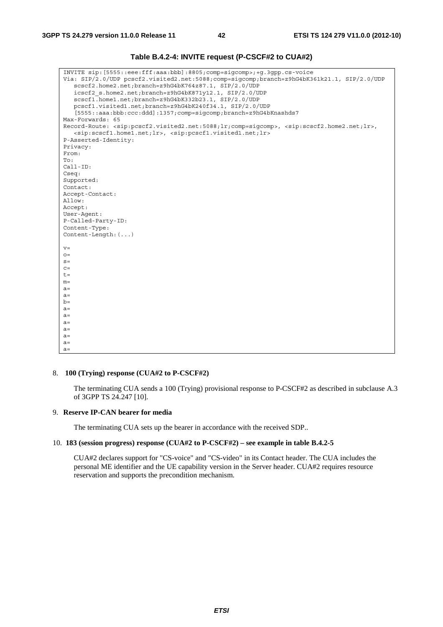| Table B.4.2-4: INVITE request (P-CSCF#2 to CUA#2) |  |
|---------------------------------------------------|--|
|---------------------------------------------------|--|

| INVITE sip: [5555::eee:fff:aaa:bbb]:8805;comp=sigcomp>;+q.3qpp.cs-voice                                                                                           |
|-------------------------------------------------------------------------------------------------------------------------------------------------------------------|
| Via: SIP/2.0/UDP pcscf2.visited2.net:5088;comp=sigcomp;branch=z9hG4bK361k21.1, SIP/2.0/UDP                                                                        |
| scscf2.home2.net;branch=z9hG4bK764z87.1, SIP/2.0/UDP                                                                                                              |
| icscf2 s.home2.net;branch=z9hG4bK871y12.1, SIP/2.0/UDP                                                                                                            |
| scscf1.home1.net;branch=z9hG4bK332b23.1, SIP/2.0/UDP                                                                                                              |
| pcscf1.visited1.net;branch=z9hG4bK240f34.1, SIP/2.0/UDP                                                                                                           |
| [5555::aaa:bbb:ccc:ddd]:1357;comp=sigcomp;branch=z9hG4bKnashds7                                                                                                   |
| Max-Forwards: 65                                                                                                                                                  |
| Record-Route: <sip:pcscf2.visited2.net:5088;lr;comp=sigcomp>, <sip:scscf2.home2.net;lr>,</sip:scscf2.home2.net;lr></sip:pcscf2.visited2.net:5088;lr;comp=sigcomp> |
| <sip:scscf1.home1.net;lr>, <sip:pcscf1.visited1.net;lr></sip:pcscf1.visited1.net;lr></sip:scscf1.home1.net;lr>                                                    |
| P-Asserted-Identity:                                                                                                                                              |
| Privacy:                                                                                                                                                          |
| From:                                                                                                                                                             |
| To:                                                                                                                                                               |
| $Call-ID:$                                                                                                                                                        |
| Cseq:                                                                                                                                                             |
| Supported:                                                                                                                                                        |
| Contact:                                                                                                                                                          |
| Accept-Contact:                                                                                                                                                   |
| Allow:                                                                                                                                                            |
| Accept:                                                                                                                                                           |
| User-Agent:                                                                                                                                                       |
| P-Called-Party-ID:                                                                                                                                                |
| Content-Type:                                                                                                                                                     |
| Content-Length: $(\ldots)$                                                                                                                                        |
|                                                                                                                                                                   |
| $V =$                                                                                                                                                             |
| $O =$                                                                                                                                                             |
| $S =$                                                                                                                                                             |
| $C =$                                                                                                                                                             |
| $t =$                                                                                                                                                             |
| $m=$                                                                                                                                                              |
| $a =$                                                                                                                                                             |
| $a =$                                                                                                                                                             |
| $b=$                                                                                                                                                              |
| $a =$                                                                                                                                                             |
| $a =$                                                                                                                                                             |
| $a =$                                                                                                                                                             |
| $a =$                                                                                                                                                             |
| $a =$                                                                                                                                                             |
| $a =$                                                                                                                                                             |
| $a =$                                                                                                                                                             |

## 8. **100 (Trying) response (CUA#2 to P-CSCF#2)**

 The terminating CUA sends a 100 (Trying) provisional response to P-CSCF#2 as described in subclause A.3 of 3GPP TS 24.247 [10].

## 9. **Reserve IP-CAN bearer for media**

The terminating CUA sets up the bearer in accordance with the received SDP..

## 10. **183 (session progress) response (CUA#2 to P-CSCF#2) – see example in table B.4.2-5**

CUA#2 declares support for "CS-voice" and "CS-video" in its Contact header. The CUA includes the personal ME identifier and the UE capability version in the Server header. CUA#2 requires resource reservation and supports the precondition mechanism.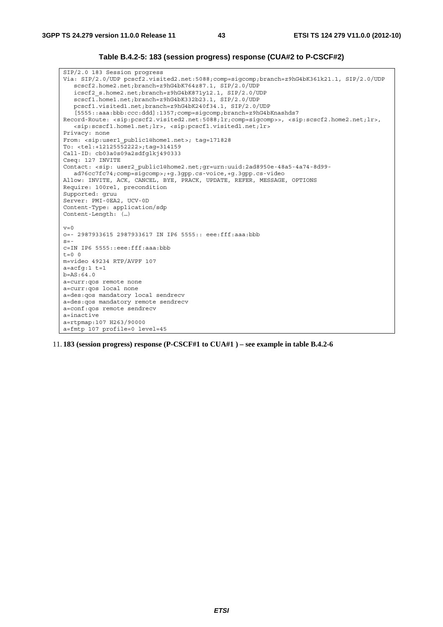## **Table B.4.2-5: 183 (session progress) response (CUA#2 to P-CSCF#2)**

SIP/2.0 183 Session progress Via: SIP/2.0/UDP pcscf2.visited2.net:5088;comp=sigcomp;branch=z9hG4bK361k21.1, SIP/2.0/UDP scscf2.home2.net;branch=z9hG4bK764z87.1, SIP/2.0/UDP icscf2\_s.home2.net;branch=z9hG4bK871y12.1, SIP/2.0/UDP scscf1.home1.net;branch=z9hG4bK332b23.1, SIP/2.0/UDP pcscf1.visited1.net;branch=z9hG4bK240f34.1, SIP/2.0/UDP [5555::aaa:bbb:ccc:ddd]:1357;comp=sigcomp;branch=z9hG4bKnashds7 Record-Route: <sip:pcscf2.visited2.net:5088;lr;comp=sigcomp>>, <sip:scscf2.home2.net;lr>, <sip:scscf1.home1.net;lr>, <sip:pcscf1.visited1.net;lr> Privacy: none From: <sip:user1\_public1@home1.net>; tag=171828 To: <tel:+12125552222>;tag=314159 Call-ID: cb03a0s09a2sdfglkj490333 Cseq: 127 INVITE Contact: <sip: user2\_public1@home2.net;gr=urn:uuid:2ad8950e-48a5-4a74-8d99 ad76cc7fc74;comp=sigcomp>;+g.3gpp.cs-voice,+g.3gpp.cs-video Allow: INVITE, ACK, CANCEL, BYE, PRACK, UPDATE, REFER, MESSAGE, OPTIONS Require: 100rel, precondition Supported: gruu Server: PMI-0EA2, UCV-0D Content-Type: application/sdp Content-Length: (…)  $v=0$ o=- 2987933615 2987933617 IN IP6 5555:: eee:fff:aaa:bbb  $s=$ c=IN IP6 5555::eee:fff:aaa:bbb  $t=0$  0 m=video 49234 RTP/AVPF 107 a=acfg:1 t=1 b=AS:64.0 a=curr:qos remote none a=curr:qos local none a=des:qos mandatory local sendrecv a=des:qos mandatory remote sendrecv a=conf:qos remote sendrecv a=inactive a=rtpmap:107 H263/90000 a=fmtp 107 profile=0 level=45

11. **183 (session progress) response (P-CSCF#1 to CUA#1 ) – see example in table B.4.2-6**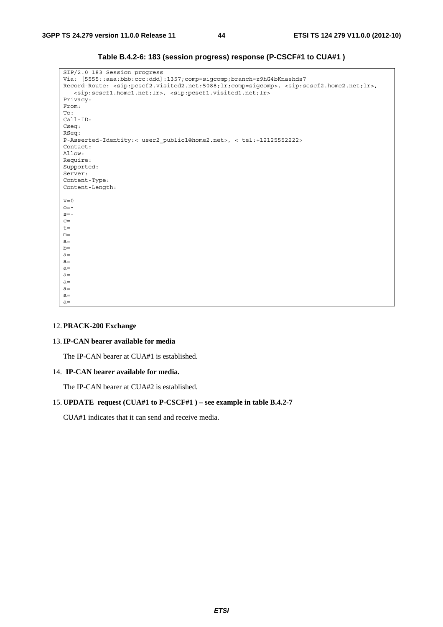| SIP/2.0 183 Session progress                                                                                                                                      |
|-------------------------------------------------------------------------------------------------------------------------------------------------------------------|
| Via: [5555::aaa:bbb:ccc:ddd]:1357;comp=sigcomp;branch=z9hG4bKnashds7                                                                                              |
| Record-Route: <sip:pcscf2.visited2.net:5088;lr;comp=sigcomp>, <sip:scscf2.home2.net;lr>,</sip:scscf2.home2.net;lr></sip:pcscf2.visited2.net:5088;lr;comp=sigcomp> |
| <sip:scscf1.home1.net;lr>, <sip:pcscf1.visited1.net;lr></sip:pcscf1.visited1.net;lr></sip:scscf1.home1.net;lr>                                                    |
| Privacy:                                                                                                                                                          |
| From:                                                                                                                                                             |
| To:                                                                                                                                                               |
| $Call-ID:$                                                                                                                                                        |
| Cseq:                                                                                                                                                             |
| RSeq:                                                                                                                                                             |
| P-Asserted-Identity:< user2 public1@home2.net>, < tel:+12125552222>                                                                                               |
| Contact:                                                                                                                                                          |
| Allow:                                                                                                                                                            |
| Require:                                                                                                                                                          |
| Supported:                                                                                                                                                        |
| Server:                                                                                                                                                           |
| Content-Type:                                                                                                                                                     |
| Content-Length:                                                                                                                                                   |
|                                                                                                                                                                   |
| $v=0$                                                                                                                                                             |
| $Q = -$                                                                                                                                                           |
| $S = -$                                                                                                                                                           |
| $C =$                                                                                                                                                             |
| $t =$                                                                                                                                                             |
| $m=$                                                                                                                                                              |
| $a=$                                                                                                                                                              |
| $b=$                                                                                                                                                              |
| $a=$                                                                                                                                                              |
| $a=$                                                                                                                                                              |
| $a=$                                                                                                                                                              |
| $a=$                                                                                                                                                              |
| $a=$                                                                                                                                                              |
| $a=$                                                                                                                                                              |
| $a=$                                                                                                                                                              |
| $a=$                                                                                                                                                              |
|                                                                                                                                                                   |

**Table B.4.2-6: 183 (session progress) response (P-CSCF#1 to CUA#1 )** 

## 12. **PRACK-200 Exchange**

## 13. **IP-CAN bearer available for media**

The IP-CAN bearer at CUA#1 is established.

## 14. **IP-CAN bearer available for media.**

The IP-CAN bearer at CUA#2 is established.

## 15. **UPDATE request (CUA#1 to P-CSCF#1 ) – see example in table B.4.2-7**

CUA#1 indicates that it can send and receive media.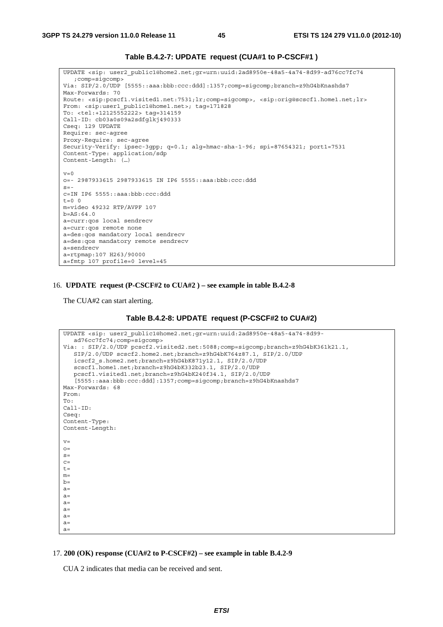## **Table B.4.2-7: UPDATE request (CUA#1 to P-CSCF#1 )**

UPDATE <sip: user2\_public1@home2.net;gr=urn:uuid:2ad8950e-48a5-4a74-8d99-ad76cc7fc74 ;comp=sigcomp> Via: SIP/2.0/UDP [5555::aaa:bbb:ccc:ddd]:1357;comp=sigcomp;branch=z9hG4bKnashds7 Max-Forwards: 70 Route: <sip:pcscf1.visited1.net:7531;lr;comp=sigcomp>, <sip:orig@scscf1.home1.net;lr> From: <sip:user1\_public1@home1.net>; tag=171828 To: <tel:+12125552222> tag=314159 Call-ID: cb03a0s09a2sdfglkj490333 Cseq: 129 UPDATE Require: sec-agree Proxy-Require: sec-agree Security-Verify: ipsec-3gpp; q=0.1; alg=hmac-sha-1-96; spi=87654321; port1=7531 Content-Type: application/sdp Content-Length: (…)  $v=0$ o=- 2987933615 2987933615 IN IP6 5555::aaa:bbb:ccc:ddd  $s=$ c=IN IP6 5555::aaa:bbb:ccc:ddd  $t=0$  0 m=video 49232 RTP/AVPF 107 b=AS:64.0 a=curr:qos local sendrecv a=curr:qos remote none a=des:qos mandatory local sendrecv a=des:qos mandatory remote sendrecv a=sendrecv a=rtpmap:107 H263/90000 a=fmtp 107 profile=0 level=45

#### 16. **UPDATE request (P-CSCF#2 to CUA#2 ) – see example in table B.4.2-8**

The CUA#2 can start alerting.

#### **Table B.4.2-8: UPDATE request (P-CSCF#2 to CUA#2)**

```
UPDATE <sip: user2_public1@home2.net;gr=urn:uuid:2ad8950e-48a5-4a74-8d99-
  ad76cc7fc74;comp=sigcomp> 
Via: : SIP/2.0/UDP pcscf2.visited2.net:5088;comp=sigcomp;branch=z9hG4bK361k21.1, 
  SIP/2.0/UDP scscf2.home2.net;branch=z9hG4bK764z87.1, SIP/2.0/UDP 
   icscf2_s.home2.net;branch=z9hG4bK871y12.1, SIP/2.0/UDP 
   scscf1.home1.net;branch=z9hG4bK332b23.1, SIP/2.0/UDP 
  pcscf1.visited1.net;branch=z9hG4bK240f34.1, SIP/2.0/UDP 
   [5555::aaa:bbb:ccc:ddd]:1357;comp=sigcomp;branch=z9hG4bKnashds7 
Max-Forwards: 68 
From: 
To: 
Call-ID: 
Cseq: 
Content-Type: 
Content-Length: 
v=\caps=C=t=m=b=a=a=a=a=a=a=a=
```
### 17. **200 (OK) response (CUA#2 to P-CSCF#2) – see example in table B.4.2-9**

CUA 2 indicates that media can be received and sent.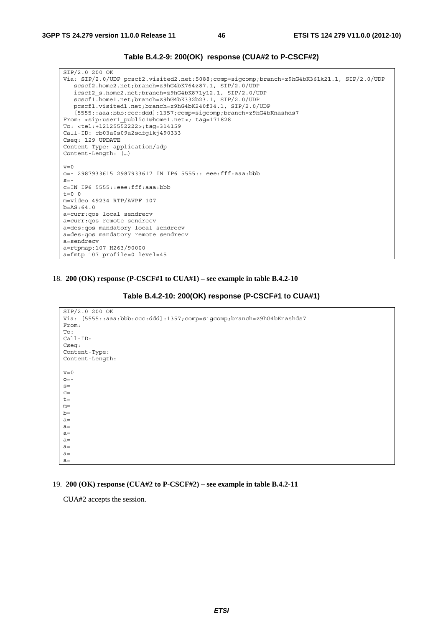| Table B.4.2-9: 200(OK) response (CUA#2 to P-CSCF#2) |  |  |
|-----------------------------------------------------|--|--|
|-----------------------------------------------------|--|--|

SIP/2.0 200 OK Via: SIP/2.0/UDP pcscf2.visited2.net:5088;comp=sigcomp;branch=z9hG4bK361k21.1, SIP/2.0/UDP scscf2.home2.net;branch=z9hG4bK764z87.1, SIP/2.0/UDP icscf2\_s.home2.net;branch=z9hG4bK871y12.1, SIP/2.0/UDP scscf1.home1.net;branch=z9hG4bK332b23.1, SIP/2.0/UDP pcscf1.visited1.net;branch=z9hG4bK240f34.1, SIP/2.0/UDP [5555::aaa:bbb:ccc:ddd]:1357;comp=sigcomp;branch=z9hG4bKnashds7 From: <sip:user1\_public1@home1.net>; tag=171828 To: <tel:+12125552222>;tag=314159 Call-ID: cb03a0s09a2sdfglkj490333 Cseq: 129 UPDATE Content-Type: application/sdp Content-Length: (…)  $v=0$ o=- 2987933615 2987933617 IN IP6 5555:: eee:fff:aaa:bbb  $s=$ c=IN IP6 5555::eee:fff:aaa:bbb  $t=0$  0 m=video 49234 RTP/AVPF 107 b=AS:64.0 a=curr:qos local sendrecv a=curr:qos remote sendrecv a=des:qos mandatory local sendrecv a=des:qos mandatory remote sendrecv a=sendrecv a=rtpmap:107 H263/90000 a=fmtp 107 profile=0 level=45

18. **200 (OK) response (P-CSCF#1 to CUA#1) – see example in table B.4.2-10** 

**Table B.4.2-10: 200(OK) response (P-CSCF#1 to CUA#1)** 

```
SIP/2.0 200 OK 
Via: [5555::aaa:bbb:ccc:ddd]:1357;comp=sigcomp;branch=z9hG4bKnashds7 
From: 
To: 
Call-ID: 
Cseq: 
Content-Type: 
Content-Length: 
v=0Q = -s=-C=t=m=b=a=a=a=a=a=a=a=
```
## 19. **200 (OK) response (CUA#2 to P-CSCF#2) – see example in table B.4.2-11**

CUA#2 accepts the session.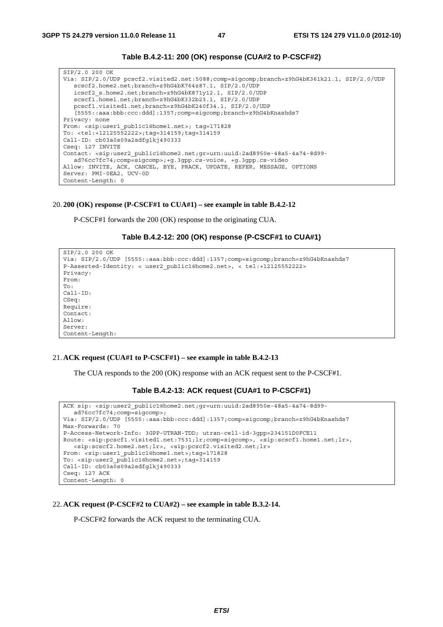

SIP/2.0 200 OK Via: SIP/2.0/UDP pcscf2.visited2.net:5088;comp=sigcomp;branch=z9hG4bK361k21.1, SIP/2.0/UDP scscf2.home2.net;branch=z9hG4bK764z87.1, SIP/2.0/UDP icscf2\_s.home2.net;branch=z9hG4bK871y12.1, SIP/2.0/UDP scscf1.home1.net;branch=z9hG4bK332b23.1, SIP/2.0/UDP pcscf1.visited1.net;branch=z9hG4bK240f34.1, SIP/2.0/UDP [5555::aaa:bbb:ccc:ddd]:1357;comp=sigcomp;branch=z9hG4bKnashds7 Privacy: none From: <sip:user1\_public1@home1.net>; tag=171828 To: <tel:+12125552222>;tag=314159;tag=314159 Call-ID: cb03a0s09a2sdfglkj490333 Cseq: 127 INVITE Contact: <sip:user2\_public1@home2.net;gr=urn:uuid:2ad8950e-48a5-4a74-8d99 ad76cc7fc74;comp=sigcomp>;+g.3gpp.cs-voice, +g.3gpp.cs-video Allow: INVITE, ACK, CANCEL, BYE, PRACK, UPDATE, REFER, MESSAGE, OPTIONS Server: PMI-0EA2, UCV-0D Content-Length: 0

#### 20. **200 (OK) response (P-CSCF#1 to CUA#1) – see example in table B.4.2-12**

P-CSCF#1 forwards the 200 (OK) response to the originating CUA.

```
Table B.4.2-12: 200 (OK) response (P-CSCF#1 to CUA#1)
```

```
SIP/2.0 200 OK 
Via: SIP/2.0/UDP [5555::aaa:bbb:ccc:ddd]:1357;comp=sigcomp;branch=z9hG4bKnashds7 
P-Asserted-Identity: < user2_public1@home2.net>, < tel:+12125552222> 
Privacy: 
From: 
To: 
Call-ID: 
CSeq: 
Require: 
Contact: 
Allow: 
Server: 
Content-Length:
```
#### 21. **ACK request (CUA#1 to P-CSCF#1) – see example in table B.4.2-13**

The CUA responds to the 200 (OK) response with an ACK request sent to the P-CSCF#1.

### **Table B.4.2-13: ACK request (CUA#1 to P-CSCF#1)**

```
ACK sip: <sip:user2_public1@home2.net;gr=urn:uuid:2ad8950e-48a5-4a74-8d99-
   ad76cc7fc74;comp=sigcomp>; 
Via: SIP/2.0/UDP [5555::aaa:bbb:ccc:ddd]:1357;comp=sigcomp;branch=z9hG4bKnashds7 
Max-Forwards: 70 
P-Access-Network-Info: 3GPP-UTRAN-TDD; utran-cell-id-3gpp=234151D0FCE11 
Route: <sip:pcscf1.visited1.net:7531;lr;comp=sigcomp>, <sip:scscf1.home1.net;lr>, 
   <sip:scscf2.home2.net;lr>, <sip:pcscf2.visited2.net;lr> 
From: <sip:user1 public1@home1.net>;tag=171828
To: <sip:user2_public1@home2.net>;tag=314159 
Call-ID: cb03a0s09a2sdfglkj490333 
Cseq: 127 ACK 
Content-Length: 0
```
#### 22. **ACK request (P-CSCF#2 to CUA#2) – see example in table B.3.2-14.**

P-CSCF#2 forwards the ACK request to the terminating CUA.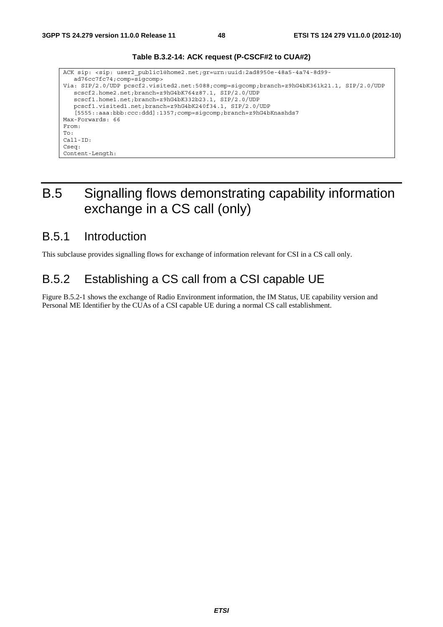

## **Table B.3.2-14: ACK request (P-CSCF#2 to CUA#2)**

## B.5 Signalling flows demonstrating capability information exchange in a CS call (only)

## B.5.1 Introduction

This subclause provides signalling flows for exchange of information relevant for CSI in a CS call only.

## B.5.2 Establishing a CS call from a CSI capable UE

Figure B.5.2-1 shows the exchange of Radio Environment information, the IM Status, UE capability version and Personal ME Identifier by the CUAs of a CSI capable UE during a normal CS call establishment.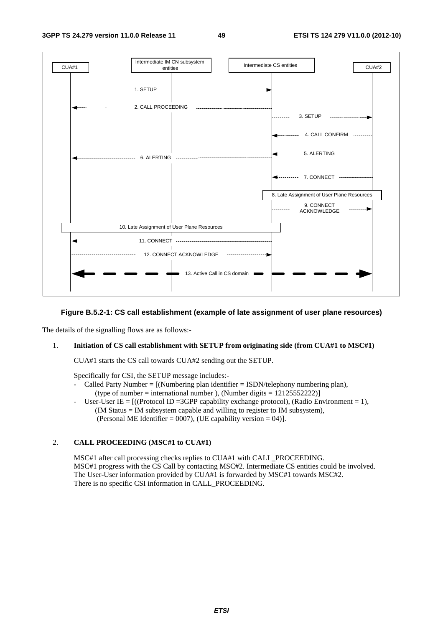

## **Figure B.5.2-1: CS call establishment (example of late assignment of user plane resources)**

The details of the signalling flows are as follows:-

## 1. **Initiation of CS call establishment with SETUP from originating side (from CUA#1 to MSC#1)**

CUA#1 starts the CS call towards CUA#2 sending out the SETUP.

Specifically for CSI, the SETUP message includes:-

- Called Party Number =  $[(Numbering plan identifier = ISBN/telephony numbering plan)]$ (type of number = international number), (Number digits =  $12125552222$ )]
- User-User IE =  $((\text{Protocol ID} = 3GPP \text{ capability exchange protocol}), (\text{Radio Environment} = 1),$  (IM Status = IM subsystem capable and willing to register to IM subsystem), (Personal ME Identifier =  $0007$ ), (UE capability version = 04)].

#### 2. **CALL PROCEEDING (MSC#1 to CUA#1)**

MSC#1 after call processing checks replies to CUA#1 with CALL\_PROCEEDING. MSC#1 progress with the CS Call by contacting MSC#2. Intermediate CS entities could be involved. The User-User information provided by CUA#1 is forwarded by MSC#1 towards MSC#2. There is no specific CSI information in CALL\_PROCEEDING.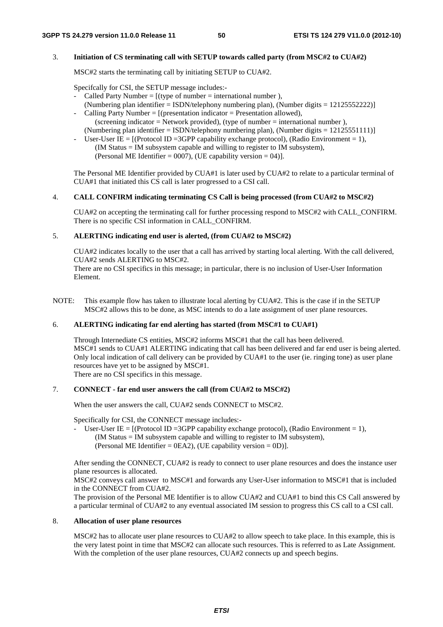## 3. **Initiation of CS terminating call with SETUP towards called party (from MSC#2 to CUA#2)**

MSC#2 starts the terminating call by initiating SETUP to CUA#2.

Specifcally for CSI, the SETUP message includes:-

- Called Party Number =  $f(t)$  type of number = international number ).
- (Numbering plan identifier = ISDN/telephony numbering plan), (Number digits =  $12125552222$ ) Calling Party Number =  $[$ (presentation indicator = Presentation allowed),
- (screening indicator = Network provided), (type of number = international number ), (Numbering plan identifier = ISDN/telephony numbering plan), (Number digits =  $12125551111$ )]
- User-User IE =  $[$ (Protocol ID = 3GPP capability exchange protocol), (Radio Environment = 1), (IM Status = IM subsystem capable and willing to register to IM subsystem), (Personal ME Identifier =  $0007$ ), (UE capability version = 04)].

The Personal ME Identifier provided by CUA#1 is later used by CUA#2 to relate to a particular terminal of CUA#1 that initiated this CS call is later progressed to a CSI call.

### 4. **CALL CONFIRM indicating terminating CS Call is being processed (from CUA#2 to MSC#2)**

CUA#2 on accepting the terminating call for further processing respond to MSC#2 with CALL\_CONFIRM. There is no specific CSI information in CALL\_CONFIRM.

#### 5. **ALERTING indicating end user is alerted, (from CUA#2 to MSC#2)**

CUA#2 indicates locally to the user that a call has arrived by starting local alerting. With the call delivered, CUA#2 sends ALERTING to MSC#2.

There are no CSI specifics in this message; in particular, there is no inclusion of User-User Information Element.

NOTE: This example flow has taken to illustrate local alerting by CUA#2. This is the case if in the SETUP MSC#2 allows this to be done, as MSC intends to do a late assignment of user plane resources.

## 6. **ALERTING indicating far end alerting has started (from MSC#1 to CUA#1)**

Through Internediate CS entities, MSC#2 informs MSC#1 that the call has been delivered. MSC#1 sends to CUA#1 ALERTING indicating that call has been delivered and far end user is being alerted. Only local indication of call delivery can be provided by CUA#1 to the user (ie. ringing tone) as user plane resources have yet to be assigned by MSC#1. There are no CSI specifics in this message.

## 7. **CONNECT - far end user answers the call (from CUA#2 to MSC#2)**

When the user answers the call, CUA#2 sends CONNECT to MSC#2.

Specifically for CSI, the CONNECT message includes:-

User-User IE =  $[(Protocol ID = 3GPP capability exchange protocol), (Radio Environment = 1),]$  $(IM Status = IM subsystem capable and willing to register to IM subsystem),$ (Personal ME Identifier  $=$  0EA2), (UE capability version  $=$  0D)].

After sending the CONNECT, CUA#2 is ready to connect to user plane resources and does the instance user plane resources is allocated.

MSC#2 conveys call answer to MSC#1 and forwards any User-User information to MSC#1 that is included in the CONNECT from CUA#2.

The provision of the Personal ME Identifier is to allow CUA#2 and CUA#1 to bind this CS Call answered by a particular terminal of CUA#2 to any eventual associated IM session to progress this CS call to a CSI call.

## 8. **Allocation of user plane resources**

MSC#2 has to allocate user plane resources to CUA#2 to allow speech to take place. In this example, this is the very latest point in time that MSC#2 can allocate such resources. This is referred to as Late Assignment. With the completion of the user plane resources, CUA#2 connects up and speech begins.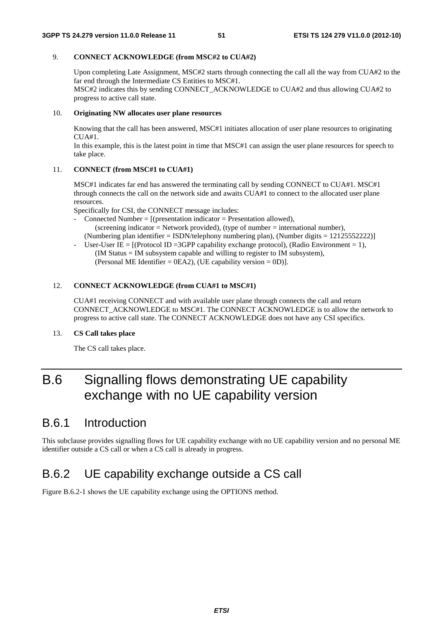## 9. **CONNECT ACKNOWLEDGE (from MSC#2 to CUA#2)**

Upon completing Late Assignment, MSC#2 starts through connecting the call all the way from CUA#2 to the far end through the Intermediate CS Entities to MSC#1. MSC#2 indicates this by sending CONNECT\_ACKNOWLEDGE to CUA#2 and thus allowing CUA#2 to progress to active call state.

#### 10. **Originating NW allocates user plane resources**

Knowing that the call has been answered, MSC#1 initiates allocation of user plane resources to originating  $CIIA#1$ 

In this example, this is the latest point in time that MSC#1 can assign the user plane resources for speech to take place.

## 11. **CONNECT (from MSC#1 to CUA#1)**

MSC#1 indicates far end has answered the terminating call by sending CONNECT to CUA#1. MSC#1 through connects the call on the network side and awaits CUA#1 to connect to the allocated user plane resources.

Specifically for CSI, the CONNECT message includes:

- Connected Number =  $[$ (presentation indicator = Presentation allowed),  $(\text{screening indicator} = \text{Network provided})$ ,  $(\text{type of number} = \text{interrational number})$ , (Numbering plan identifier = ISDN/telephony numbering plan), (Number digits =  $12125552222$ )
- User-User IE =  $[(Protocol ID = 3GPP capability exchange protocol), (Radio Environment = 1),$  (IM Status = IM subsystem capable and willing to register to IM subsystem), (Personal ME Identifier  $=$  0EA2), (UE capability version  $=$  0D)].

#### 12. **CONNECT ACKNOWLEDGE (from CUA#1 to MSC#1)**

CUA#1 receiving CONNECT and with available user plane through connects the call and return CONNECT\_ACKNOWLEDGE to MSC#1. The CONNECT ACKNOWLEDGE is to allow the network to progress to active call state. The CONNECT ACKNOWLEDGE does not have any CSI specifics.

### 13. **CS Call takes place**

The CS call takes place.

# B.6 Signalling flows demonstrating UE capability exchange with no UE capability version

## B.6.1 Introduction

This subclause provides signalling flows for UE capability exchange with no UE capability version and no personal ME identifier outside a CS call or when a CS call is already in progress.

## B.6.2 UE capability exchange outside a CS call

Figure B.6.2-1 shows the UE capability exchange using the OPTIONS method.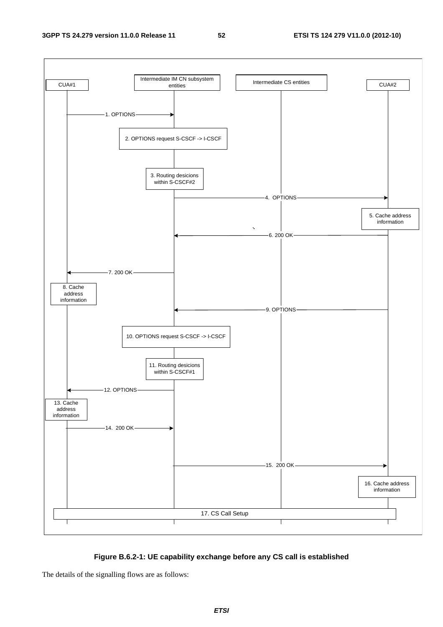## **3GPP TS 24.279 version 11.0.0 Release 11 52 ETSI TS 124 279 V11.0.0 (2012-10)**



## **Figure B.6.2-1: UE capability exchange before any CS call is established**

The details of the signalling flows are as follows: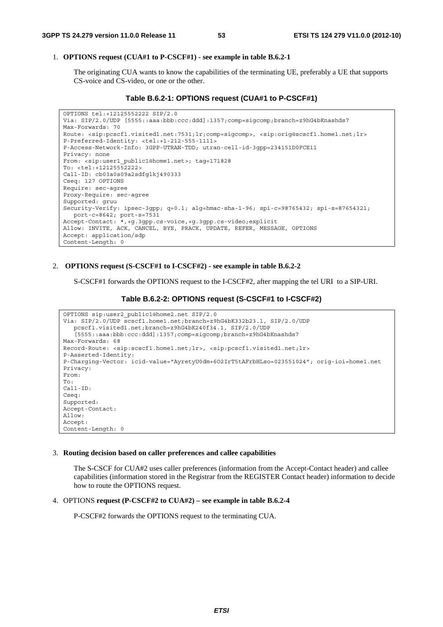## 1. **OPTIONS request (CUA#1 to P-CSCF#1) - see example in table B.6.2-1**

 The originating CUA wants to know the capabilities of the terminating UE, preferably a UE that supports CS-voice and CS-video, or one or the other.

## **Table B.6.2-1: OPTIONS request (CUA#1 to P-CSCF#1)**

```
OPTIONS tel:+12125552222 SIP/2.0 
Via: SIP/2.0/UDP [5555::aaa:bbb:ccc:ddd]:1357;comp=sigcomp;branch=z9hG4bKnashds7 
Max-Forwards: 70 
Route: <sip:pcscf1.visited1.net:7531;lr;comp=sigcomp>, <sip:orig@scscf1.home1.net;lr> 
P-Preferred-Identity: <tel:+1-212-555-1111> 
P-Access-Network-Info: 3GPP-UTRAN-TDD; utran-cell-id-3gpp=234151D0FCE11 
Privacy: none 
From: <sip:user1 public1@home1.net>; tag=171828
To: <tel:+12125552222> 
Call-ID: cb03a0s09a2sdfglkj490333 
Cseq: 127 OPTIONS 
Require: sec-agree 
Proxy-Require: sec-agree 
Supported: gruu 
Security-Verify: ipsec-3gpp; q=0.1; alg=hmac-sha-1-96; spi-c=98765432; spi-s=87654321; 
  port-c=8642; port-s=7531 
Accept-Contact: *,+g.3gpp.cs-voice,+g.3gpp.cs-video;explicit 
Allow: INVITE, ACK, CANCEL, BYE, PRACK, UPDATE, REFER, MESSAGE, OPTIONS 
Accept: application/sdp 
Content-Length: 0
```
## 2. **OPTIONS request (S-CSCF#1 to I-CSCF#2) - see example in table B.6.2-2**

S-CSCF#1 forwards the OPTIONS request to the I-CSCF#2, after mapping the tel URI to a SIP-URI.

## **Table B.6.2-2: OPTIONS request (S-CSCF#1 to I-CSCF#2)**

```
OPTIONS sip:user2_public1@home2.net SIP/2.0 
Via: SIP/2.0/UDP scscf1.home1.net;branch=z9hG4bK332b23.1, SIP/2.0/UDP 
   pcscf1.visited1.net;branch=z9hG4bK240f34.1, SIP/2.0/UDP 
   [5555::aaa:bbb:ccc:ddd]:1357;comp=sigcomp;branch=z9hG4bKnashds7 
Max-Forwards: 68 
Record-Route: <sip:scscf1.home1.net;lr>, <sip:pcscf1.visited1.net;lr> 
P-Asserted-Identity: 
P-Charging-Vector: icid-value="AyretyU0dm+6O2IrT5tAFrbHLso=023551024"; orig-ioi=home1.net 
Privacy: 
From: 
To: 
Call-ID: 
Cseq: 
Supported\cdotAccept-Contact: 
Allow: 
Accept: 
Content-Length: 0
```
#### 3. **Routing decision based on caller preferences and callee capabilities**

 The S-CSCF for CUA#2 uses caller preferences (information from the Accept-Contact header) and callee capabilities (information stored in the Registrar from the REGISTER Contact header) information to decide how to route the OPTIONS request.

### 4. OPTIONS **request (P-CSCF#2 to CUA#2) – see example in table B.6.2-4**

P-CSCF#2 forwards the OPTIONS request to the terminating CUA.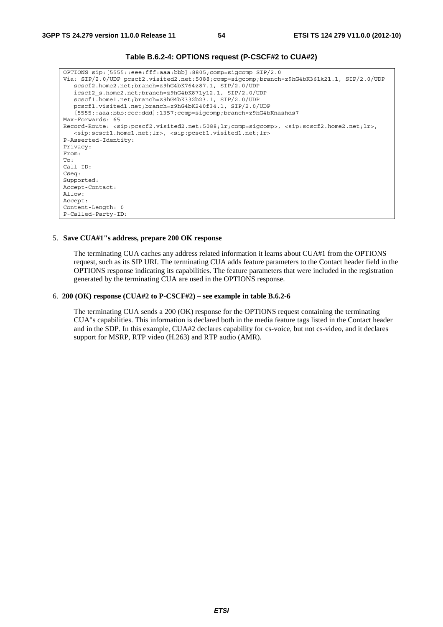| OPTIONS sip: [5555::eee:fff:aaa:bbb]:8805;comp=sigcomp SIP/2.0                                                                                                    |
|-------------------------------------------------------------------------------------------------------------------------------------------------------------------|
| Via: SIP/2.0/UDP pcscf2.visited2.net:5088;comp=sigcomp;branch=z9hG4bK361k21.1, SIP/2.0/UDP                                                                        |
| scscf2.home2.net;branch=z9hG4bK764z87.1, SIP/2.0/UDP                                                                                                              |
| icscf2 s.home2.net;branch=z9hG4bK871y12.1, SIP/2.0/UDP                                                                                                            |
| scscf1.home1.net;branch=z9hG4bK332b23.1, SIP/2.0/UDP                                                                                                              |
| pcscf1.visited1.net;branch=z9hG4bK240f34.1, SIP/2.0/UDP                                                                                                           |
| [5555::aaa:bbb:ccc:ddd]:1357;comp=sigcomp;branch=z9hG4bKnashds7                                                                                                   |
| Max-Forwards: 65                                                                                                                                                  |
| Record-Route: <sip:pcscf2.visited2.net:5088;lr;comp=sigcomp>, <sip:scscf2.home2.net;lr>,</sip:scscf2.home2.net;lr></sip:pcscf2.visited2.net:5088;lr;comp=sigcomp> |
| <sip:scscf1.home1.net;lr>, <sip:pcscf1.visited1.net;lr></sip:pcscf1.visited1.net;lr></sip:scscf1.home1.net;lr>                                                    |
| P-Asserted-Identity:                                                                                                                                              |
| Privacy:                                                                                                                                                          |
| From:                                                                                                                                                             |
| To:                                                                                                                                                               |
| $Call-ID:$                                                                                                                                                        |
| Cseq:                                                                                                                                                             |
| Supported:                                                                                                                                                        |
| Accept-Contact:                                                                                                                                                   |
| Allow:                                                                                                                                                            |
| Accept:                                                                                                                                                           |
| Content-Length: 0                                                                                                                                                 |
| P-Called-Party-ID:                                                                                                                                                |

**Table B.6.2-4: OPTIONS request (P-CSCF#2 to CUA#2)** 

#### 5. **Save CUA#1"s address, prepare 200 OK response**

The terminating CUA caches any address related information it learns about CUA#1 from the OPTIONS request, such as its SIP URI. The terminating CUA adds feature parameters to the Contact header field in the OPTIONS response indicating its capabilities. The feature parameters that were included in the registration generated by the terminating CUA are used in the OPTIONS response.

## 6. **200 (OK) response (CUA#2 to P-CSCF#2) – see example in table B.6.2-6**

The terminating CUA sends a 200 (OK) response for the OPTIONS request containing the terminating CUA"s capabilities. This information is declared both in the media feature tags listed in the Contact header and in the SDP. In this example, CUA#2 declares capability for cs-voice, but not cs-video, and it declares support for MSRP, RTP video (H.263) and RTP audio (AMR).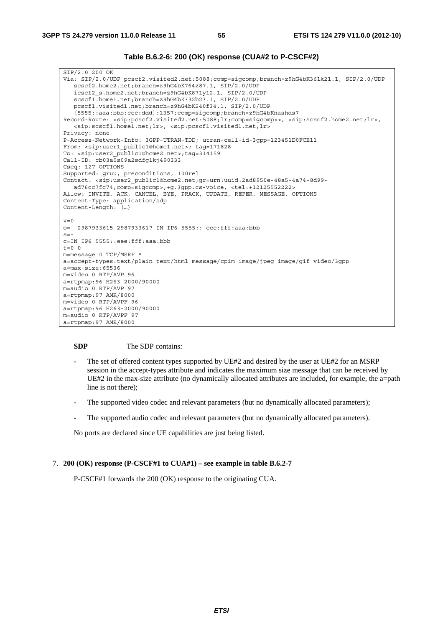## **Table B.6.2-6: 200 (OK) response (CUA#2 to P-CSCF#2)**

SIP/2.0 200 OK Via: SIP/2.0/UDP pcscf2.visited2.net:5088;comp=sigcomp;branch=z9hG4bK361k21.1, SIP/2.0/UDP scscf2.home2.net;branch=z9hG4bK764z87.1, SIP/2.0/UDP icscf2\_s.home2.net;branch=z9hG4bK871y12.1, SIP/2.0/UDP scscf1.home1.net;branch=z9hG4bK332b23.1, SIP/2.0/UDP pcscf1.visited1.net;branch=z9hG4bK240f34.1, SIP/2.0/UDP [5555::aaa:bbb:ccc:ddd]:1357;comp=sigcomp;branch=z9hG4bKnashds7 Record-Route: <sip:pcscf2.visited2.net:5088;lr;comp=sigcomp>>, <sip:scscf2.home2.net;lr>, <sip:scscf1.home1.net;lr>, <sip:pcscf1.visited1.net;lr> Privacy: none P-Access-Network-Info: 3GPP-UTRAN-TDD; utran-cell-id-3gpp=123451D0FCE11 From: <sip:user1 public1@home1.net>; tag=171828 To: <sip:user2\_public1@home2.net>;tag=314159 Call-ID: cb03a0s09a2sdfglkj490333 Cseq: 127 OPTIONS Supported: gruu, preconditions, 100rel Contact: <sip:user2\_public1@home2.net;gr=urn:uuid:2ad8950e-48a5-4a74-8d99 ad76cc7fc74;comp=sigcomp>;+g.3gpp.cs-voice, <tel:+12125552222> Allow: INVITE, ACK, CANCEL, BYE, PRACK, UPDATE, REFER, MESSAGE, OPTIONS Content-Type: application/sdp Content-Length: (…)  $v=0$ o=- 2987933615 2987933617 IN IP6 5555:: eee:fff:aaa:bbb  $s=$ c=IN IP6 5555::eee:fff:aaa:bbb  $t=0$  0 m=message 0 TCP/MSRP \* a=accept-types:text/plain text/html message/cpim image/jpeg image/gif video/3gpp a=max-size:65536 m=video 0 RTP/AVP 96 a=rtpmap:96 H263-2000/90000 m=audio 0 RTP/AVP 97 a=rtpmap:97 AMR/8000 m=video 0 RTP/AVPF 96 a=rtpmap:96 H263-2000/90000 m=audio 0 RTP/AVPF 97 a=rtpmap:97 AMR/8000

#### **SDP** The SDP contains:

- **-** The set of offered content types supported by UE#2 and desired by the user at UE#2 for an MSRP session in the accept-types attribute and indicates the maximum size message that can be received by UE#2 in the max-size attribute (no dynamically allocated attributes are included, for example, the a=path line is not there);
- **-** The supported video codec and relevant parameters (but no dynamically allocated parameters);
- **-** The supported audio codec and relevant parameters (but no dynamically allocated parameters).

No ports are declared since UE capabilities are just being listed.

#### 7. **200 (OK) response (P-CSCF#1 to CUA#1) – see example in table B.6.2-7**

P-CSCF#1 forwards the 200 (OK) response to the originating CUA.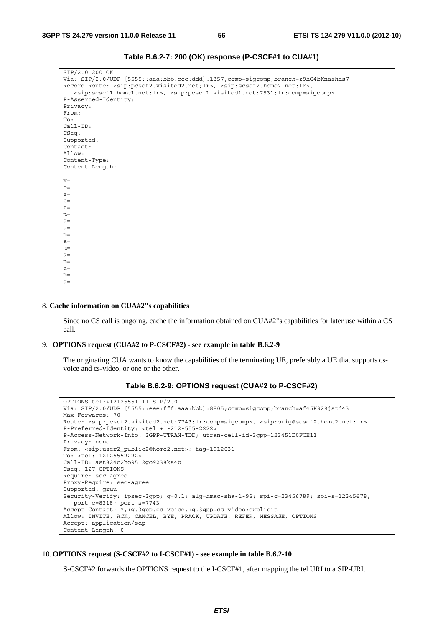| SIP/2.0 200 OK                                                                                                                                     |
|----------------------------------------------------------------------------------------------------------------------------------------------------|
| Via: SIP/2.0/UDP [5555::aaa:bbb:ccc:ddd]:1357;comp=siqcomp;branch=z9hG4bKnashds7                                                                   |
| Record-Route: <sip:pcscf2.visited2.net;lr>, <sip:scscf2.home2.net;lr>,</sip:scscf2.home2.net;lr></sip:pcscf2.visited2.net;lr>                      |
| <sip:scscf1.home1.net;lr>, <sip:pcscf1.visited1.net:7531;lr;comp=sigcomp></sip:pcscf1.visited1.net:7531;lr;comp=sigcomp></sip:scscf1.home1.net;lr> |
| P-Asserted-Identity:                                                                                                                               |
|                                                                                                                                                    |
| Privacy:                                                                                                                                           |
| From:                                                                                                                                              |
| To:                                                                                                                                                |
| $Call-ID:$                                                                                                                                         |
| CSeq:                                                                                                                                              |
| Supported:                                                                                                                                         |
| Contact:                                                                                                                                           |
| Allow:                                                                                                                                             |
| Content-Type:                                                                                                                                      |
| Content-Length:                                                                                                                                    |
|                                                                                                                                                    |
| $V =$                                                                                                                                              |
| $O =$                                                                                                                                              |
| $S =$                                                                                                                                              |
| $C =$                                                                                                                                              |
| $t =$                                                                                                                                              |
| $m=$                                                                                                                                               |
| $a =$                                                                                                                                              |
| $a =$                                                                                                                                              |
| $m=$                                                                                                                                               |
| $a =$                                                                                                                                              |
| $m=$                                                                                                                                               |
| $a =$                                                                                                                                              |
| $m=$                                                                                                                                               |
| $a =$                                                                                                                                              |
| $m=$                                                                                                                                               |
| $a =$                                                                                                                                              |

**Table B.6.2-7: 200 (OK) response (P-CSCF#1 to CUA#1)** 

#### 8. **Cache information on CUA#2"s capabilities**

Since no CS call is ongoing, cache the information obtained on CUA#2"s capabilities for later use within a CS call.

#### 9. **OPTIONS request (CUA#2 to P-CSCF#2) - see example in table B.6.2-9**

 The originating CUA wants to know the capabilities of the terminating UE, preferably a UE that supports csvoice and cs-video, or one or the other.

## **Table B.6.2-9: OPTIONS request (CUA#2 to P-CSCF#2)**

```
OPTIONS tel:+12125551111 SIP/2.0 
Via: SIP/2.0/UDP [5555::eee:fff:aaa:bbb]:8805;comp=sigcomp;branch=af45K329jstd43 
Max-Forwards: 70 
Route: <sip:pcscf2.visited2.net:7743;lr;comp=sigcomp>, <sip:orig@scscf2.home2.net;lr> 
P-Preferred-Identity: <tel:+1-212-555-2222> 
P-Access-Network-Info: 3GPP-UTRAN-TDD; utran-cell-id-3gpp=123451D0FCE11 
Privacy: none 
From: <sip:user2_public2@home2.net>; tag=1912031 
To: <tel:+12125552222> 
Call-ID: ast324c2ho9512go9238ks4b 
Cseq: 127 OPTIONS 
Require: sec-agree 
Proxy-Require: sec-agree 
Supported: gruu 
Security-Verify: ipsec-3gpp; q=0.1; alg=hmac-sha-1-96; spi-c=23456789; spi-s=12345678; 
  port-c=8318; port-s=7743 
Accept-Contact: *,+g.3gpp.cs-voice,+g.3gpp.cs-video;explicit 
Allow: INVITE, ACK, CANCEL, BYE, PRACK, UPDATE, REFER, MESSAGE, OPTIONS 
Accept: application/sdp 
Content-Length: 0
```
#### 10. **OPTIONS request (S-CSCF#2 to I-CSCF#1) - see example in table B.6.2-10**

S-CSCF#2 forwards the OPTIONS request to the I-CSCF#1, after mapping the tel URI to a SIP-URI.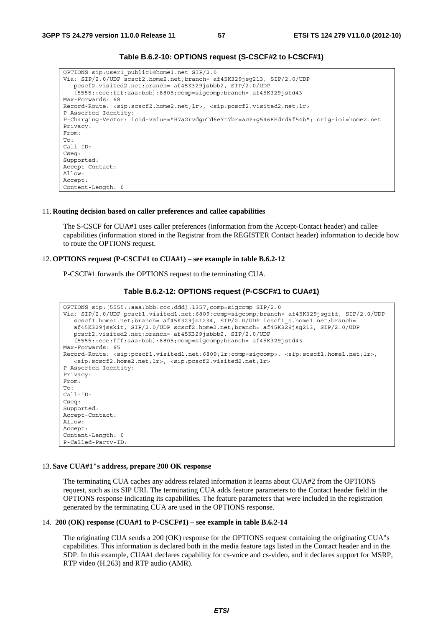| OPTIONS sip:user1 public1@home1.net SIP/2.0<br>Via: SIP/2.0/UDP scscf2.home2.net;branch= af45K329jsq213, SIP/2.0/UDP         |
|------------------------------------------------------------------------------------------------------------------------------|
| pcscf2.visited2.net;branch= af45K329jsbbb2, SIP/2.0/UDP                                                                      |
| $[5555::eee:fft:aaa:bbb]$ : 8805; comp=sigcomp; branch= af45K329jstd43                                                       |
| Max-Forwards: 68                                                                                                             |
| Record-Route: <sip:scscf2.home2.net;lr>, <sip:pcscf2.visited2.net;lr></sip:pcscf2.visited2.net;lr></sip:scscf2.home2.net;lr> |
| P-Asserted-Identity:                                                                                                         |
| P-Charging-Vector: icid-value="H7a2rvdguTd6eYt7br=ac?+q5468HdrdRf54b"; orig-ioi=home2.net                                    |
| Privacy:                                                                                                                     |
| From:                                                                                                                        |
|                                                                                                                              |
| To :                                                                                                                         |
| $Call-ID:$                                                                                                                   |
| Cseq:                                                                                                                        |
| Supported:                                                                                                                   |
| Accept-Contact:                                                                                                              |
| Allow:                                                                                                                       |
| Accept:                                                                                                                      |
| Content-Length: 0                                                                                                            |

## **Table B.6.2-10: OPTIONS request (S-CSCF#2 to I-CSCF#1)**

#### 11. **Routing decision based on caller preferences and callee capabilities**

 The S-CSCF for CUA#1 uses caller preferences (information from the Accept-Contact header) and callee capabilities (information stored in the Registrar from the REGISTER Contact header) information to decide how to route the OPTIONS request.

#### 12. **OPTIONS request (P-CSCF#1 to CUA#1) – see example in table B.6.2-12**

P-CSCF#1 forwards the OPTIONS request to the terminating CUA.

```
Table B.6.2-12: OPTIONS request (P-CSCF#1 to CUA#1)
```

```
OPTIONS sip:[5555::aaa:bbb:ccc:ddd]:1357;comp=sigcomp SIP/2.0 
Via: SIP/2.0/UDP pcscf1.visited1.net:6809;comp=sigcomp;branch= af45K329jsgfff, SIP/2.0/UDP 
   scscf1.home1.net;branch= af45K329js1234, SIP/2.0/UDP icscf1_s.home1.net;branch= 
   af45K329jsskit, SIP/2.0/UDP scscf2.home2.net;branch= af45K329jsg213, SIP/2.0/UDP 
   pcscf2.visited2.net;branch= af45K329jsbbb2, SIP/2.0/UDP 
   [5555::eee:fff:aaa:bbb]:8805;comp=sigcomp;branch= af45K329jstd43 
Max-Forwards: 65 
Record-Route: <sip:pcscf1.visited1.net:6809;lr;comp=sigcomp>, <sip:scscf1.home1.net;lr>, 
   <sip:scscf2.home2.net;lr>, <sip:pcscf2.visited2.net;lr> 
P-Asserted-Identity: 
Privacy: 
From: 
To: 
Call-ID: 
Cseq: 
Supported: 
Accept-Contact: 
Allow: 
Accept: 
Content-Length: 0 
P-Called-Party-ID:
```
#### 13. **Save CUA#1"s address, prepare 200 OK response**

 The terminating CUA caches any address related information it learns about CUA#2 from the OPTIONS request, such as its SIP URI. The terminating CUA adds feature parameters to the Contact header field in the OPTIONS response indicating its capabilities. The feature parameters that were included in the registration generated by the terminating CUA are used in the OPTIONS response.

### 14. **200 (OK) response (CUA#1 to P-CSCF#1) – see example in table B.6.2-14**

 The originating CUA sends a 200 (OK) response for the OPTIONS request containing the originating CUA"s capabilities. This information is declared both in the media feature tags listed in the Contact header and in the SDP. In this example, CUA#1 declares capability for cs-voice and cs-video, and it declares support for MSRP, RTP video (H.263) and RTP audio (AMR).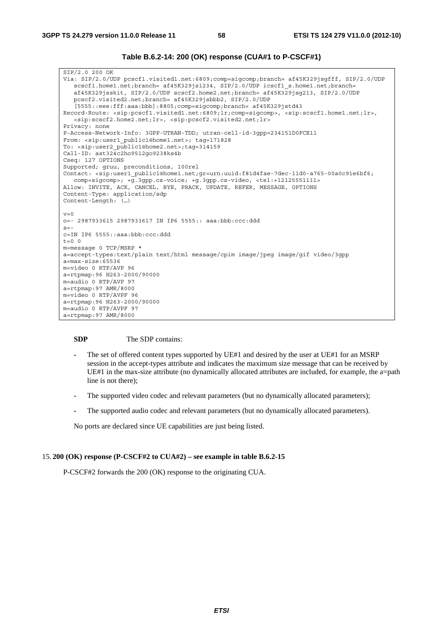**Table B.6.2-14: 200 (OK) response (CUA#1 to P-CSCF#1)** 

SIP/2.0 200 OK Via: SIP/2.0/UDP pcscf1.visited1.net:6809;comp=sigcomp;branch= af45K329jsgfff, SIP/2.0/UDP scscf1.home1.net;branch= af45K329js1234, SIP/2.0/UDP icscf1 s.home1.net;branch= af45K329jsskit, SIP/2.0/UDP scscf2.home2.net;branch= af45K329jsg213, SIP/2.0/UDP pcscf2.visited2.net;branch= af45K329jsbbb2, SIP/2.0/UDP [5555::eee:fff:aaa:bbb]:8805;comp=sigcomp;branch= af45K329jstd43 Record-Route: <sip:pcscf1.visited1.net:6809;lr;comp=sigcomp>, <sip:scscf1.home1.net;lr>, <sip:scscf2.home2.net;lr>, <sip:pcscf2.visited2.net;lr> Privacy: none P-Access-Network-Info: 3GPP-UTRAN-TDD; utran-cell-id-3gpp=234151D0FCE11 From: <sip:user1 public1@home1.net>; tag=171828 To: <sip:user2\_public1@home2.net>;tag=314159 Call-ID: ast324c2ho9512go9238ks4b Cseq: 127 OPTIONS Supported; gruu, preconditions, 100rel Contact: <sip:user1\_public1@home1.net;gr=urn:uuid:f81d4fae-7dec-11d0-a765-00a0c91e6bf6; comp=sigcomp>; +g.3gpp.cs-voice; +g.3gpp.cs-video, <tel:+12125551111> Allow: INVITE, ACK, CANCEL, BYE, PRACK, UPDATE, REFER, MESSAGE, OPTIONS Content-Type: application/sdp Content-Length: (…)  $v=0$ o=- 2987933615 2987933617 IN IP6 5555:: aaa:bbb:ccc:ddd  $s=$ c=IN IP6 5555::aaa:bbb:ccc:ddd  $t=0$  0 m=message 0 TCP/MSRP \* a=accept-types:text/plain text/html message/cpim image/jpeg image/gif video/3gpp a=max-size:65536 m=video 0 RTP/AVP 96 a=rtpmap:96 H263-2000/90000 m=audio 0 RTP/AVP 97 a=rtpmap:97 AMR/8000 m=video 0 RTP/AVPF 96 a=rtpmap:96 H263-2000/90000 m=audio 0 RTP/AVPF 97 a=rtpmap:97 AMR/8000

## **SDP** The SDP contains:

- **-** The set of offered content types supported by UE#1 and desired by the user at UE#1 for an MSRP session in the accept-types attribute and indicates the maximum size message that can be received by UE#1 in the max-size attribute (no dynamically allocated attributes are included, for example, the a=path line is not there);
- **-** The supported video codec and relevant parameters (but no dynamically allocated parameters);
- **-** The supported audio codec and relevant parameters (but no dynamically allocated parameters).

No ports are declared since UE capabilities are just being listed.

#### 15. **200 (OK) response (P-CSCF#2 to CUA#2) – see example in table B.6.2-15**

P-CSCF#2 forwards the 200 (OK) response to the originating CUA.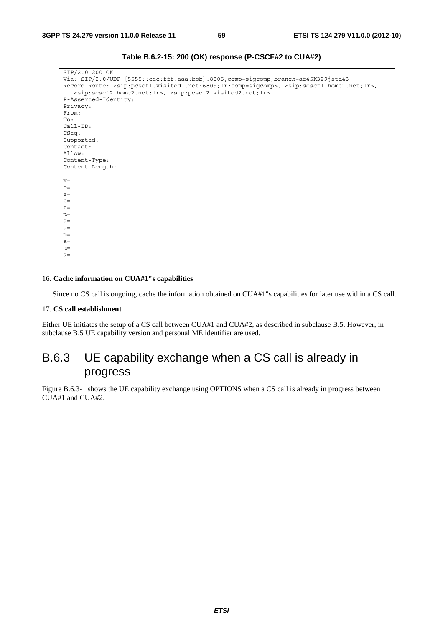| SIP/2.0 200 OK                                                                                                                                                    |
|-------------------------------------------------------------------------------------------------------------------------------------------------------------------|
| Via: SIP/2.0/UDP [5555::eee:fff:aaa:bbb]:8805;comp=sigcomp;branch=af45K329jstd43                                                                                  |
| Record-Route: <sip:pcscf1.visited1.net:6809;lr;comp=sigcomp>, <sip:scscf1.home1.net;lr>,</sip:scscf1.home1.net;lr></sip:pcscf1.visited1.net:6809;lr;comp=sigcomp> |
| <sip:scscf2.home2.net;lr>, <sip:pcscf2.visited2.net;lr></sip:pcscf2.visited2.net;lr></sip:scscf2.home2.net;lr>                                                    |
| P-Asserted-Identity:                                                                                                                                              |
| Privacy:                                                                                                                                                          |
| From:                                                                                                                                                             |
| To:                                                                                                                                                               |
| $Call-ID:$                                                                                                                                                        |
| CSeq:                                                                                                                                                             |
| Supported:                                                                                                                                                        |
| Contact:                                                                                                                                                          |
| Allow:                                                                                                                                                            |
| Content-Type:                                                                                                                                                     |
| Content-Length:                                                                                                                                                   |
|                                                                                                                                                                   |
| $V =$                                                                                                                                                             |
| $Q =$                                                                                                                                                             |
| $S =$                                                                                                                                                             |
| $C =$                                                                                                                                                             |
| $t =$                                                                                                                                                             |
| $m=$                                                                                                                                                              |
| $a=$                                                                                                                                                              |
| $a=$                                                                                                                                                              |
| $m=$                                                                                                                                                              |
| $a=$                                                                                                                                                              |
| $m=$                                                                                                                                                              |
| $a=$                                                                                                                                                              |

**Table B.6.2-15: 200 (OK) response (P-CSCF#2 to CUA#2)** 

## 16. **Cache information on CUA#1"s capabilities**

Since no CS call is ongoing, cache the information obtained on CUA#1"s capabilities for later use within a CS call.

## 17. **CS call establishment**

Either UE initiates the setup of a CS call between CUA#1 and CUA#2, as described in subclause B.5. However, in subclause B.5 UE capability version and personal ME identifier are used.

## B.6.3 UE capability exchange when a CS call is already in progress

Figure B.6.3-1 shows the UE capability exchange using OPTIONS when a CS call is already in progress between CUA#1 and CUA#2.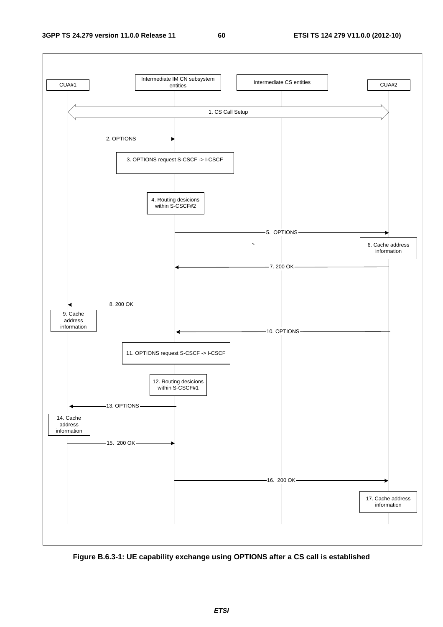

**Figure B.6.3-1: UE capability exchange using OPTIONS after a CS call is established**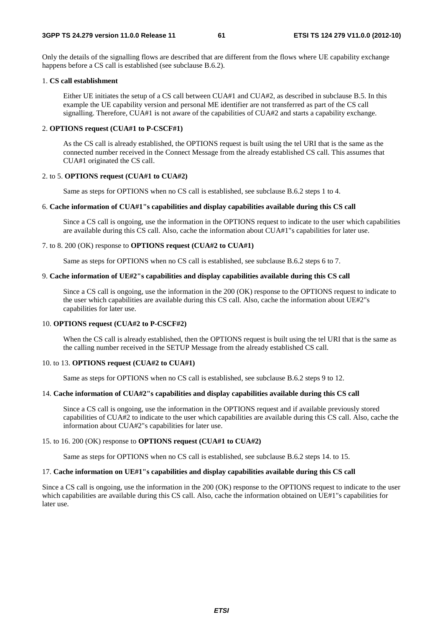Only the details of the signalling flows are described that are different from the flows where UE capability exchange happens before a CS call is established (see subclause B.6.2).

## 1. **CS call establishment**

Either UE initiates the setup of a CS call between CUA#1 and CUA#2, as described in subclause B.5. In this example the UE capability version and personal ME identifier are not transferred as part of the CS call signalling. Therefore, CUA#1 is not aware of the capabilities of CUA#2 and starts a capability exchange.

## 2. **OPTIONS request (CUA#1 to P-CSCF#1)**

As the CS call is already established, the OPTIONS request is built using the tel URI that is the same as the connected number received in the Connect Message from the already established CS call. This assumes that CUA#1 originated the CS call.

## 2. to 5. **OPTIONS request (CUA#1 to CUA#2)**

Same as steps for OPTIONS when no CS call is established, see subclause B.6.2 steps 1 to 4.

## 6. **Cache information of CUA#1"s capabilities and display capabilities available during this CS call**

Since a CS call is ongoing, use the information in the OPTIONS request to indicate to the user which capabilities are available during this CS call. Also, cache the information about CUA#1"s capabilities for later use.

#### 7. to 8. 200 (OK) response to **OPTIONS request (CUA#2 to CUA#1)**

Same as steps for OPTIONS when no CS call is established, see subclause B.6.2 steps 6 to 7.

## 9. **Cache information of UE#2"s capabilities and display capabilities available during this CS call**

Since a CS call is ongoing, use the information in the 200 (OK) response to the OPTIONS request to indicate to the user which capabilities are available during this CS call. Also, cache the information about UE#2"s capabilities for later use.

### 10. **OPTIONS request (CUA#2 to P-CSCF#2)**

When the CS call is already established, then the OPTIONS request is built using the tel URI that is the same as the calling number received in the SETUP Message from the already established CS call.

## 10. to 13. **OPTIONS request (CUA#2 to CUA#1)**

Same as steps for OPTIONS when no CS call is established, see subclause B.6.2 steps 9 to 12.

## 14. **Cache information of CUA#2"s capabilities and display capabilities available during this CS call**

Since a CS call is ongoing, use the information in the OPTIONS request and if available previously stored capabilities of CUA#2 to indicate to the user which capabilities are available during this CS call. Also, cache the information about CUA#2"s capabilities for later use.

## 15. to 16. 200 (OK) response to **OPTIONS request (CUA#1 to CUA#2)**

Same as steps for OPTIONS when no CS call is established, see subclause B.6.2 steps 14. to 15.

## 17. **Cache information on UE#1"s capabilities and display capabilities available during this CS call**

Since a CS call is ongoing, use the information in the 200 (OK) response to the OPTIONS request to indicate to the user which capabilities are available during this CS call. Also, cache the information obtained on UE#1"s capabilities for later use.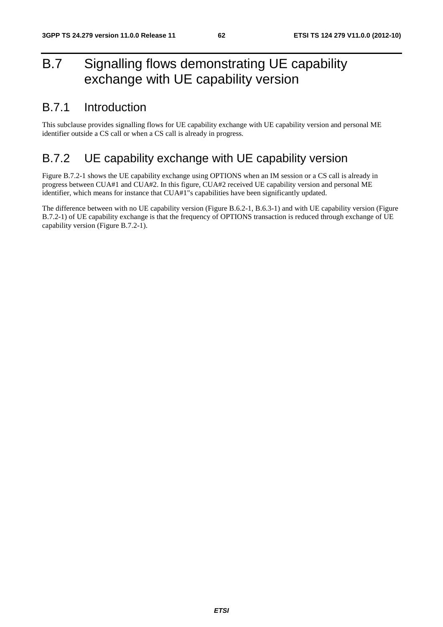# B.7 Signalling flows demonstrating UE capability exchange with UE capability version

## B.7.1 Introduction

This subclause provides signalling flows for UE capability exchange with UE capability version and personal ME identifier outside a CS call or when a CS call is already in progress.

## B.7.2 UE capability exchange with UE capability version

Figure B.7.2-1 shows the UE capability exchange using OPTIONS when an IM session or a CS call is already in progress between CUA#1 and CUA#2. In this figure, CUA#2 received UE capability version and personal ME identifier, which means for instance that CUA#1"s capabilities have been significantly updated.

The difference between with no UE capability version (Figure B.6.2-1, B.6.3-1) and with UE capability version (Figure B.7.2-1) of UE capability exchange is that the frequency of OPTIONS transaction is reduced through exchange of UE capability version (Figure B.7.2-1).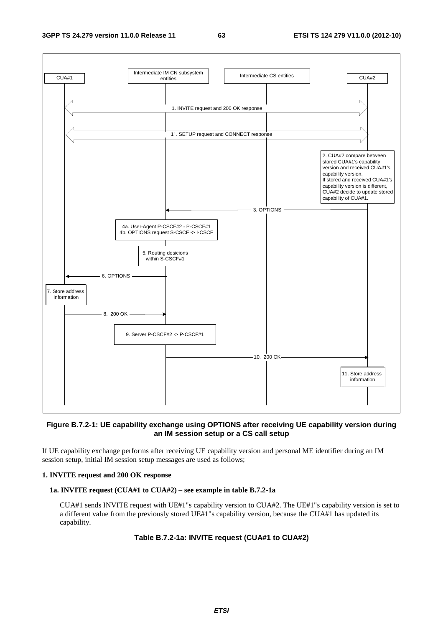#### **3GPP TS 24.279 version 11.0.0 Release 11 63 ETSI TS 124 279 V11.0.0 (2012-10)**



## **Figure B.7.2-1: UE capability exchange using OPTIONS after receiving UE capability version during an IM session setup or a CS call setup**

If UE capability exchange performs after receiving UE capability version and personal ME identifier during an IM session setup, initial IM session setup messages are used as follows;

## **1. INVITE request and 200 OK response**

## **1a. INVITE request (CUA#1 to CUA#2) – see example in table B.7.2-1a**

CUA#1 sends INVITE request with UE#1"s capability version to CUA#2. The UE#1"s capability version is set to a different value from the previously stored UE#1"s capability version, because the CUA#1 has updated its capability.

## **Table B.7.2-1a: INVITE request (CUA#1 to CUA#2)**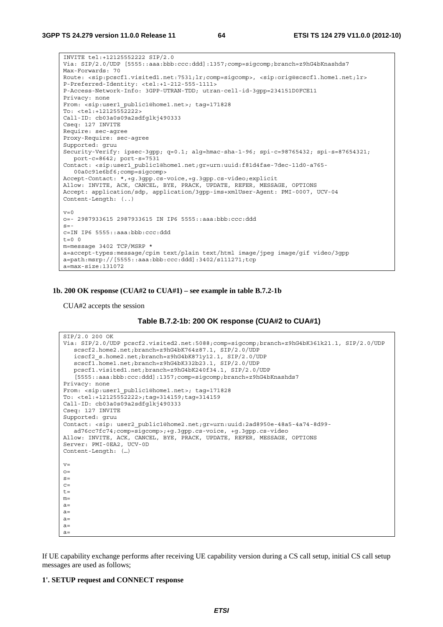```
INVITE tel:+12125552222 SIP/2.0 
Via: SIP/2.0/UDP [5555::aaa:bbb:ccc:ddd]:1357;comp=sigcomp;branch=z9hG4bKnashds7 
Max-Forwards: 70 
Route: <sip:pcscf1.visited1.net:7531;lr;comp=sigcomp>, <sip:orig@scscf1.home1.net;lr> 
P-Preferred-Identity: <tel:+1-212-555-1111> 
P-Access-Network-Info: 3GPP-UTRAN-TDD; utran-cell-id-3gpp=234151D0FCE11 
Privacy: none 
From: <sip:user1 public1@home1.net>; tag=171828
To: <tel:+12125552222> 
Call-ID: cb03a0s09a2sdfglkj490333 
Cseq: 127 INVITE 
Require: sec-agree 
Proxy-Require: sec-agree 
Supported: gruu 
Security-Verify: ipsec-3gpp; q=0.1; alg=hmac-sha-1-96; spi-c=98765432; spi-s=87654321; 
  port-c=8642; port-s=7531 
Contact: <sip:user1_public1@home1.net;gr=urn:uuid:f81d4fae-7dec-11d0-a765-
   00a0c91e6bf6;comp=sigcomp> 
Accept-Contact: *,+g.3gpp.cs-voice,+g.3gpp.cs-video;explicit 
Allow: INVITE, ACK, CANCEL, BYE, PRACK, UPDATE, REFER, MESSAGE, OPTIONS 
Accept: application/sdp, application/3gpp-ims+xmlUser-Agent: PMI-0007, UCV-04 
Content-Length: (..) 
v=0o=- 2987933615 2987933615 IN IP6 5555::aaa:bbb:ccc:ddd 
s=-c=IN IP6 5555::aaa:bbb:ccc:ddd 
t=0 0
m=message 3402 TCP/MSRP * 
a=accept-types:message/cpim text/plain text/html image/jpeg image/gif video/3gpp 
a=path:msrp://[5555::aaa:bbb:ccc:ddd]:3402/s111271;tcp 
a=max-size:131072
```
## **1b. 200 OK response (CUA#2 to CUA#1) – see example in table B.7.2-1b**

CUA#2 accepts the session

```
SIP/2.0 200 OK 
Via: SIP/2.0/UDP pcscf2.visited2.net:5088;comp=sigcomp;branch=z9hG4bK361k21.1, SIP/2.0/UDP 
  scscf2.home2.net;branch=z9hG4bK764z87.1, SIP/2.0/UDP 
   icscf2_s.home2.net;branch=z9hG4bK871y12.1, SIP/2.0/UDP 
   scscf1.home1.net;branch=z9hG4bK332b23.1, SIP/2.0/UDP 
  pcscf1.visited1.net;branch=z9hG4bK240f34.1, SIP/2.0/UDP 
   [5555::aaa:bbb:ccc:ddd]:1357;comp=sigcomp;branch=z9hG4bKnashds7 
Privacy: none 
From: <sip:user1_public1@home1.net>; tag=171828 
To: <tel:+12125552222>;tag=314159;tag=314159 
Call-ID: cb03a0s09a2sdfglkj490333 
Cseq: 127 INVITE 
Supported: gruu 
Contact: <sip: user2_public1@home2.net;gr=urn:uuid:2ad8950e-48a5-4a74-8d99-
   ad76cc7fc74;comp=sigcomp>;+g.3gpp.cs-voice, +g.3gpp.cs-video 
Allow: INVITE, ACK, CANCEL, BYE, PRACK, UPDATE, REFER, MESSAGE, OPTIONS 
Server: PMI-0EA2, UCV-0D 
Content-Length: (…) 
v=O=s=C=t=m=a=a=a=a=a=
```
If UE capability exchange performs after receiving UE capability version during a CS call setup, initial CS call setup messages are used as follows;

#### **1'. SETUP request and CONNECT response**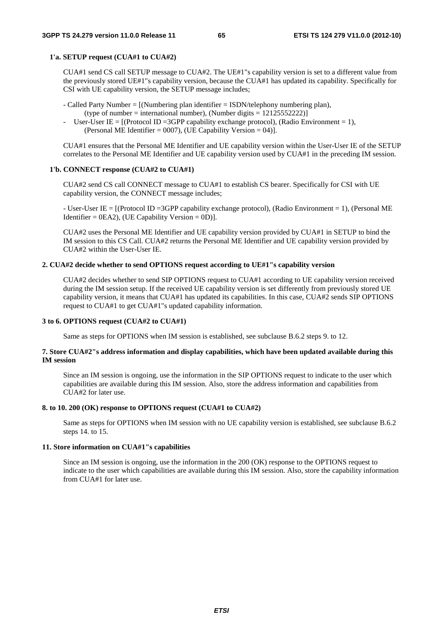## **1'a. SETUP request (CUA#1 to CUA#2)**

CUA#1 send CS call SETUP message to CUA#2. The UE#1"s capability version is set to a different value from the previously stored UE#1"s capability version, because the CUA#1 has updated its capability. Specifically for CSI with UE capability version, the SETUP message includes;

- Called Party Number = [(Numbering plan identifier = ISDN/telephony numbering plan), (type of number = international number), (Number digits =  $12125552222$ )
- User-User IE =  $[$ (Protocol ID = 3GPP capability exchange protocol), (Radio Environment = 1), (Personal ME Identifier = 0007), (UE Capability Version = 04)].

CUA#1 ensures that the Personal ME Identifier and UE capability version within the User-User IE of the SETUP correlates to the Personal ME Identifier and UE capability version used by CUA#1 in the preceding IM session.

### **1'b. CONNECT response (CUA#2 to CUA#1)**

CUA#2 send CS call CONNECT message to CUA#1 to establish CS bearer. Specifically for CSI with UE capability version, the CONNECT message includes;

- User-User IE = [(Protocol ID =3GPP capability exchange protocol), (Radio Environment = 1), (Personal ME Identifier =  $0EA2$ ), (UE Capability Version =  $0D$ )].

CUA#2 uses the Personal ME Identifier and UE capability version provided by CUA#1 in SETUP to bind the IM session to this CS Call. CUA#2 returns the Personal ME Identifier and UE capability version provided by CUA#2 within the User-User IE.

## **2. CUA#2 decide whether to send OPTIONS request according to UE#1"s capability version**

CUA#2 decides whether to send SIP OPTIONS request to CUA#1 according to UE capability version received during the IM session setup. If the received UE capability version is set differently from previously stored UE capability version, it means that CUA#1 has updated its capabilities. In this case, CUA#2 sends SIP OPTIONS request to CUA#1 to get CUA#1"s updated capability information.

## **3 to 6. OPTIONS request (CUA#2 to CUA#1)**

Same as steps for OPTIONS when IM session is established, see subclause B.6.2 steps 9. to 12.

## **7. Store CUA#2"s address information and display capabilities, which have been updated available during this IM session**

Since an IM session is ongoing, use the information in the SIP OPTIONS request to indicate to the user which capabilities are available during this IM session. Also, store the address information and capabilities from CUA#2 for later use.

## **8. to 10. 200 (OK) response to OPTIONS request (CUA#1 to CUA#2)**

Same as steps for OPTIONS when IM session with no UE capability version is established, see subclause B.6.2 steps 14. to 15.

## **11. Store information on CUA#1"s capabilities**

Since an IM session is ongoing, use the information in the 200 (OK) response to the OPTIONS request to indicate to the user which capabilities are available during this IM session. Also, store the capability information from CUA#1 for later use.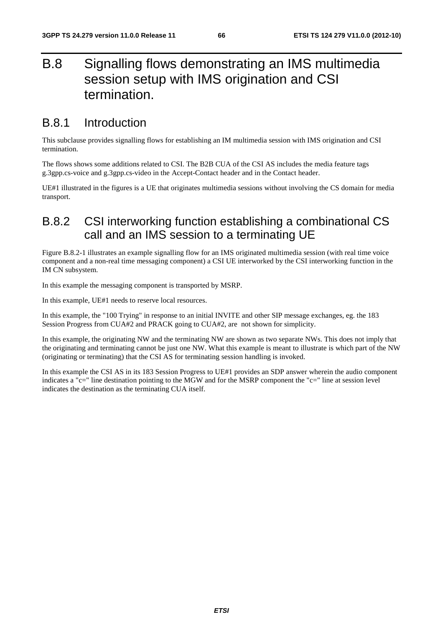# B.8 Signalling flows demonstrating an IMS multimedia session setup with IMS origination and CSI termination.

## B.8.1 Introduction

This subclause provides signalling flows for establishing an IM multimedia session with IMS origination and CSI termination.

The flows shows some additions related to CSI. The B2B CUA of the CSI AS includes the media feature tags g.3gpp.cs-voice and g.3gpp.cs-video in the Accept-Contact header and in the Contact header.

UE#1 illustrated in the figures is a UE that originates multimedia sessions without involving the CS domain for media transport.

## B.8.2 CSI interworking function establishing a combinational CS call and an IMS session to a terminating UE

Figure B.8.2-1 illustrates an example signalling flow for an IMS originated multimedia session (with real time voice component and a non-real time messaging component) a CSI UE interworked by the CSI interworking function in the IM CN subsystem.

In this example the messaging component is transported by MSRP.

In this example, UE#1 needs to reserve local resources.

In this example, the "100 Trying" in response to an initial INVITE and other SIP message exchanges, eg. the 183 Session Progress from CUA#2 and PRACK going to CUA#2, are not shown for simplicity.

In this example, the originating NW and the terminating NW are shown as two separate NWs. This does not imply that the originating and terminating cannot be just one NW. What this example is meant to illustrate is which part of the NW (originating or terminating) that the CSI AS for terminating session handling is invoked.

In this example the CSI AS in its 183 Session Progress to UE#1 provides an SDP answer wherein the audio component indicates a "c=" line destination pointing to the MGW and for the MSRP component the "c=" line at session level indicates the destination as the terminating CUA itself.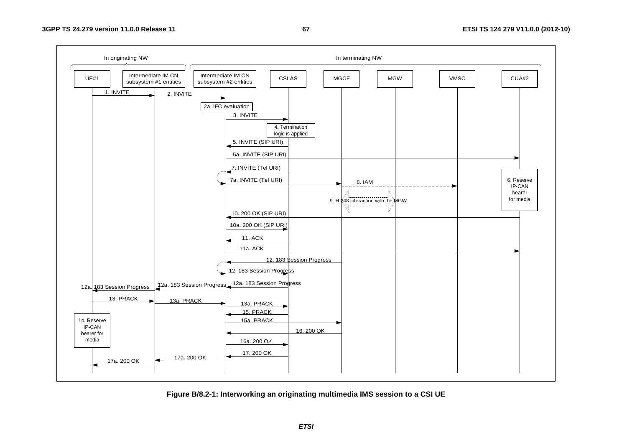

**Figure B/8.2-1: Interworking an originating multimedia IMS session to a CSI UE**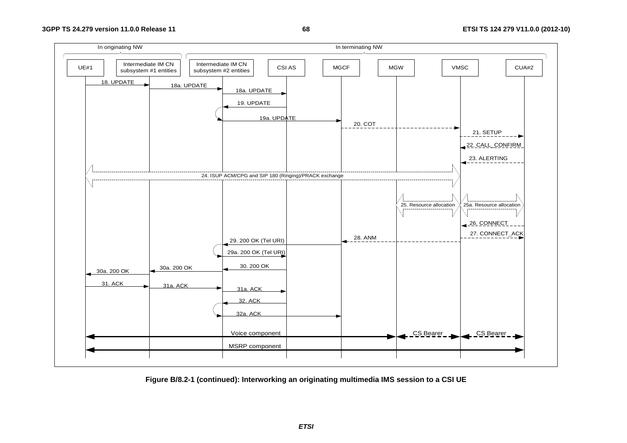## **68 ETSI TS 124 279 V11.0.0 (2012-10)**



**Figure B/8.2-1 (continued): Interworking an originating multimedia IMS session to a CSI UE** 

*ETSI*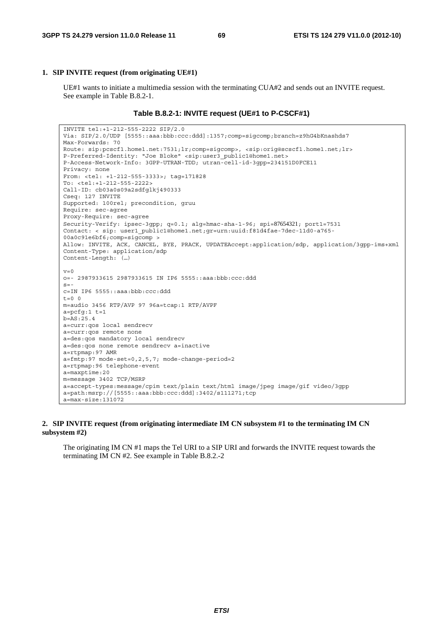## **1. SIP INVITE request (from originating UE#1)**

 UE#1 wants to initiate a multimedia session with the terminating CUA#2 and sends out an INVITE request. See example in Table B.8.2-1.

#### **Table B.8.2-1: INVITE request (UE#1 to P-CSCF#1)**

```
INVITE tel:+1-212-555-2222 SIP/2.0 
Via: SIP/2.0/UDP [5555::aaa:bbb:ccc:ddd]:1357;comp=sigcomp;branch=z9hG4bKnashds7 
Max-Forwards: 70 
Route: sip:pcscf1.home1.net:7531;lr;comp=sigcomp>, <sip:orig@scscf1.home1.net;lr> 
P-Preferred-Identity: "Joe Bloke" <sip:user3_public1@home1.net> 
P-Access-Network-Info: 3GPP-UTRAN-TDD; utran-cell-id-3gpp=234151D0FCE11 
Privacy: none 
From: <tel: +1-212-555-3333>; tag=171828 
To: <tel:+1-212-555-2222> 
Call-ID: cb03a0s09a2sdfglkj490333 
Cseq: 127 INVITE 
Supported: 100rel; precondition, gruu 
Require: sec-agree 
Proxy-Require: sec-agree 
Security-Verify: ipsec-3gpp; q=0.1; alg=hmac-sha-1-96; spi=87654321; port1=7531 
Contact: < sip: user1_public1@home1.net;gr=urn:uuid:f81d4fae-7dec-11d0-a765-
00a0c91e6bf6;comp=sigcomp > 
Allow: INVITE, ACK, CANCEL, BYE, PRACK, UPDATEAccept:application/sdp, application/3gpp-ims+xml 
Content-Type: application/sdp 
Content-Length: (…) 
v=0o=- 2987933615 2987933615 IN IP6 5555::aaa:bbb:ccc:ddd 
s=-c=IN IP6 5555::aaa:bbb:ccc:ddd 
t=0 0
m=audio 3456 RTP/AVP 97 96a=tcap:1 RTP/AVPF 
a=pcfg:1 t=1 
b=AS:25.4 
a=curr:qos local sendrecv 
a=curr:qos remote none 
a=des:qos mandatory local sendrecv 
a=des:qos none remote sendrecv a=inactive 
a=rtpmap:97 AMR 
a=fmtp:97 mode-set=0,2,5,7; mode-change-period=2 
a=rtpmap:96 telephone-event 
a=maxptime:20 
m=message 3402 TCP/MSRP 
a=accept-types:message/cpim text/plain text/html image/jpeg image/gif video/3gpp 
a=path:msrp://[5555::aaa:bbb:ccc:ddd]:3402/s111271;tcp 
a=max-size:131072
```
### **2. SIP INVITE request (from originating intermediate IM CN subsystem #1 to the terminating IM CN subsystem #2)**

 The originating IM CN #1 maps the Tel URI to a SIP URI and forwards the INVITE request towards the terminating IM CN #2. See example in Table B.8.2.-2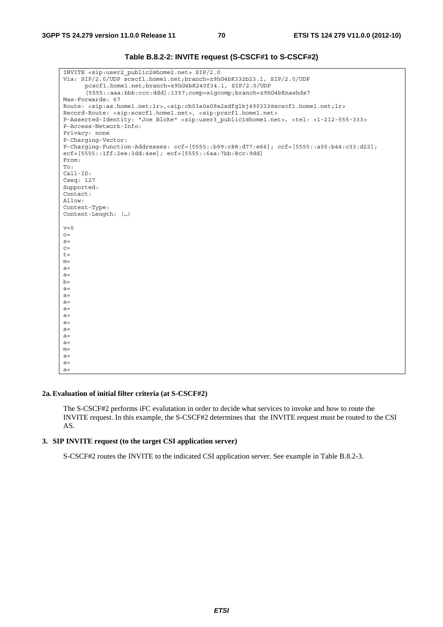| INVITE <sip:user2 public2@home2.net=""> SIP/2.0<br/>Via: SIP/2.0/UDP scscf1.home1.net;branch=z9hG4bK332b23.1, SIP/2.0/UDP<br/>pcscf1.home1.net;branch=z9hG4bK240f34.1, SIP/2.0/UDP<br/>[5555: : aaa : bbb: ccc: ddd]: 1357; comp=sigcomp; branch=z9hG4bKnashds7<br/>Max-Forwards: 67<br/>Route: <sip:as.home1.net;lr>,<sip:cb03a0s09a2sdfqlkj490333@scscf1.home1.net;lr><br/>Record-Route: <sip:scscf1.home1.net>, <sip:pcscf1.home1.net><br/>P-Asserted-Identity: "Joe Bloke" <sip:user3 public1@home1.net="">, <tel: +1-212-555-333=""><br/>P-Access-Network-Info:<br/>Privacy: none<br/>P-Charging-Vector:<br/>P-Charging-Function-Addresses: <math>ccf = [5555::b99:c88:d77:e66]</math>; <math>ccf = [5555::a55:b44:c33:d22]</math>;<br/>ecf=[5555::1ff:2ee:3dd:4ee]; ecf=[5555::6aa:7bb:8cc:9dd]<br/>From:<br/>To:<br/><math>Call-ID:</math><br/>Cseq: 127<br/>Supported:<br/>Contact:<br/>Allow:<br/>Content-Type:<br/>Content-Length: ()<br/><math>v=0</math><br/><math>O =</math><br/><math>S =</math><br/><math>C =</math><br/><math>t =</math><br/><math>m=</math><br/><math>a =</math><br/><math>a =</math><br/><math>b=</math><br/><math>a=</math><br/><math>a=</math><br/><math>a=</math><br/><math>a =</math><br/><math>a =</math><br/><math>a=</math><br/><math>a=</math><br/><math>a=</math><br/><math>a=</math><br/><math>m=</math><br/><math>a=</math><br/><math>a =</math><br/><math>a=</math></tel:></sip:user3></sip:pcscf1.home1.net></sip:scscf1.home1.net></sip:cb03a0s09a2sdfqlkj490333@scscf1.home1.net;lr></sip:as.home1.net;lr></sip:user2> |  |
|-------------------------------------------------------------------------------------------------------------------------------------------------------------------------------------------------------------------------------------------------------------------------------------------------------------------------------------------------------------------------------------------------------------------------------------------------------------------------------------------------------------------------------------------------------------------------------------------------------------------------------------------------------------------------------------------------------------------------------------------------------------------------------------------------------------------------------------------------------------------------------------------------------------------------------------------------------------------------------------------------------------------------------------------------------------------------------------------------------------------------------------------------------------------------------------------------------------------------------------------------------------------------------------------------------------------------------------------------------------------------------------------------------------------------------------------------------------------------------------------------------------------------------------------------------------------------|--|
|                                                                                                                                                                                                                                                                                                                                                                                                                                                                                                                                                                                                                                                                                                                                                                                                                                                                                                                                                                                                                                                                                                                                                                                                                                                                                                                                                                                                                                                                                                                                                                         |  |
|                                                                                                                                                                                                                                                                                                                                                                                                                                                                                                                                                                                                                                                                                                                                                                                                                                                                                                                                                                                                                                                                                                                                                                                                                                                                                                                                                                                                                                                                                                                                                                         |  |
|                                                                                                                                                                                                                                                                                                                                                                                                                                                                                                                                                                                                                                                                                                                                                                                                                                                                                                                                                                                                                                                                                                                                                                                                                                                                                                                                                                                                                                                                                                                                                                         |  |
|                                                                                                                                                                                                                                                                                                                                                                                                                                                                                                                                                                                                                                                                                                                                                                                                                                                                                                                                                                                                                                                                                                                                                                                                                                                                                                                                                                                                                                                                                                                                                                         |  |
|                                                                                                                                                                                                                                                                                                                                                                                                                                                                                                                                                                                                                                                                                                                                                                                                                                                                                                                                                                                                                                                                                                                                                                                                                                                                                                                                                                                                                                                                                                                                                                         |  |
|                                                                                                                                                                                                                                                                                                                                                                                                                                                                                                                                                                                                                                                                                                                                                                                                                                                                                                                                                                                                                                                                                                                                                                                                                                                                                                                                                                                                                                                                                                                                                                         |  |
|                                                                                                                                                                                                                                                                                                                                                                                                                                                                                                                                                                                                                                                                                                                                                                                                                                                                                                                                                                                                                                                                                                                                                                                                                                                                                                                                                                                                                                                                                                                                                                         |  |
|                                                                                                                                                                                                                                                                                                                                                                                                                                                                                                                                                                                                                                                                                                                                                                                                                                                                                                                                                                                                                                                                                                                                                                                                                                                                                                                                                                                                                                                                                                                                                                         |  |
|                                                                                                                                                                                                                                                                                                                                                                                                                                                                                                                                                                                                                                                                                                                                                                                                                                                                                                                                                                                                                                                                                                                                                                                                                                                                                                                                                                                                                                                                                                                                                                         |  |
|                                                                                                                                                                                                                                                                                                                                                                                                                                                                                                                                                                                                                                                                                                                                                                                                                                                                                                                                                                                                                                                                                                                                                                                                                                                                                                                                                                                                                                                                                                                                                                         |  |
|                                                                                                                                                                                                                                                                                                                                                                                                                                                                                                                                                                                                                                                                                                                                                                                                                                                                                                                                                                                                                                                                                                                                                                                                                                                                                                                                                                                                                                                                                                                                                                         |  |
|                                                                                                                                                                                                                                                                                                                                                                                                                                                                                                                                                                                                                                                                                                                                                                                                                                                                                                                                                                                                                                                                                                                                                                                                                                                                                                                                                                                                                                                                                                                                                                         |  |
|                                                                                                                                                                                                                                                                                                                                                                                                                                                                                                                                                                                                                                                                                                                                                                                                                                                                                                                                                                                                                                                                                                                                                                                                                                                                                                                                                                                                                                                                                                                                                                         |  |
|                                                                                                                                                                                                                                                                                                                                                                                                                                                                                                                                                                                                                                                                                                                                                                                                                                                                                                                                                                                                                                                                                                                                                                                                                                                                                                                                                                                                                                                                                                                                                                         |  |
|                                                                                                                                                                                                                                                                                                                                                                                                                                                                                                                                                                                                                                                                                                                                                                                                                                                                                                                                                                                                                                                                                                                                                                                                                                                                                                                                                                                                                                                                                                                                                                         |  |
|                                                                                                                                                                                                                                                                                                                                                                                                                                                                                                                                                                                                                                                                                                                                                                                                                                                                                                                                                                                                                                                                                                                                                                                                                                                                                                                                                                                                                                                                                                                                                                         |  |
|                                                                                                                                                                                                                                                                                                                                                                                                                                                                                                                                                                                                                                                                                                                                                                                                                                                                                                                                                                                                                                                                                                                                                                                                                                                                                                                                                                                                                                                                                                                                                                         |  |
|                                                                                                                                                                                                                                                                                                                                                                                                                                                                                                                                                                                                                                                                                                                                                                                                                                                                                                                                                                                                                                                                                                                                                                                                                                                                                                                                                                                                                                                                                                                                                                         |  |
|                                                                                                                                                                                                                                                                                                                                                                                                                                                                                                                                                                                                                                                                                                                                                                                                                                                                                                                                                                                                                                                                                                                                                                                                                                                                                                                                                                                                                                                                                                                                                                         |  |
|                                                                                                                                                                                                                                                                                                                                                                                                                                                                                                                                                                                                                                                                                                                                                                                                                                                                                                                                                                                                                                                                                                                                                                                                                                                                                                                                                                                                                                                                                                                                                                         |  |
|                                                                                                                                                                                                                                                                                                                                                                                                                                                                                                                                                                                                                                                                                                                                                                                                                                                                                                                                                                                                                                                                                                                                                                                                                                                                                                                                                                                                                                                                                                                                                                         |  |
|                                                                                                                                                                                                                                                                                                                                                                                                                                                                                                                                                                                                                                                                                                                                                                                                                                                                                                                                                                                                                                                                                                                                                                                                                                                                                                                                                                                                                                                                                                                                                                         |  |
|                                                                                                                                                                                                                                                                                                                                                                                                                                                                                                                                                                                                                                                                                                                                                                                                                                                                                                                                                                                                                                                                                                                                                                                                                                                                                                                                                                                                                                                                                                                                                                         |  |
|                                                                                                                                                                                                                                                                                                                                                                                                                                                                                                                                                                                                                                                                                                                                                                                                                                                                                                                                                                                                                                                                                                                                                                                                                                                                                                                                                                                                                                                                                                                                                                         |  |
|                                                                                                                                                                                                                                                                                                                                                                                                                                                                                                                                                                                                                                                                                                                                                                                                                                                                                                                                                                                                                                                                                                                                                                                                                                                                                                                                                                                                                                                                                                                                                                         |  |
|                                                                                                                                                                                                                                                                                                                                                                                                                                                                                                                                                                                                                                                                                                                                                                                                                                                                                                                                                                                                                                                                                                                                                                                                                                                                                                                                                                                                                                                                                                                                                                         |  |
|                                                                                                                                                                                                                                                                                                                                                                                                                                                                                                                                                                                                                                                                                                                                                                                                                                                                                                                                                                                                                                                                                                                                                                                                                                                                                                                                                                                                                                                                                                                                                                         |  |
|                                                                                                                                                                                                                                                                                                                                                                                                                                                                                                                                                                                                                                                                                                                                                                                                                                                                                                                                                                                                                                                                                                                                                                                                                                                                                                                                                                                                                                                                                                                                                                         |  |
|                                                                                                                                                                                                                                                                                                                                                                                                                                                                                                                                                                                                                                                                                                                                                                                                                                                                                                                                                                                                                                                                                                                                                                                                                                                                                                                                                                                                                                                                                                                                                                         |  |
|                                                                                                                                                                                                                                                                                                                                                                                                                                                                                                                                                                                                                                                                                                                                                                                                                                                                                                                                                                                                                                                                                                                                                                                                                                                                                                                                                                                                                                                                                                                                                                         |  |
|                                                                                                                                                                                                                                                                                                                                                                                                                                                                                                                                                                                                                                                                                                                                                                                                                                                                                                                                                                                                                                                                                                                                                                                                                                                                                                                                                                                                                                                                                                                                                                         |  |
|                                                                                                                                                                                                                                                                                                                                                                                                                                                                                                                                                                                                                                                                                                                                                                                                                                                                                                                                                                                                                                                                                                                                                                                                                                                                                                                                                                                                                                                                                                                                                                         |  |
|                                                                                                                                                                                                                                                                                                                                                                                                                                                                                                                                                                                                                                                                                                                                                                                                                                                                                                                                                                                                                                                                                                                                                                                                                                                                                                                                                                                                                                                                                                                                                                         |  |
|                                                                                                                                                                                                                                                                                                                                                                                                                                                                                                                                                                                                                                                                                                                                                                                                                                                                                                                                                                                                                                                                                                                                                                                                                                                                                                                                                                                                                                                                                                                                                                         |  |
|                                                                                                                                                                                                                                                                                                                                                                                                                                                                                                                                                                                                                                                                                                                                                                                                                                                                                                                                                                                                                                                                                                                                                                                                                                                                                                                                                                                                                                                                                                                                                                         |  |
|                                                                                                                                                                                                                                                                                                                                                                                                                                                                                                                                                                                                                                                                                                                                                                                                                                                                                                                                                                                                                                                                                                                                                                                                                                                                                                                                                                                                                                                                                                                                                                         |  |
|                                                                                                                                                                                                                                                                                                                                                                                                                                                                                                                                                                                                                                                                                                                                                                                                                                                                                                                                                                                                                                                                                                                                                                                                                                                                                                                                                                                                                                                                                                                                                                         |  |
|                                                                                                                                                                                                                                                                                                                                                                                                                                                                                                                                                                                                                                                                                                                                                                                                                                                                                                                                                                                                                                                                                                                                                                                                                                                                                                                                                                                                                                                                                                                                                                         |  |
|                                                                                                                                                                                                                                                                                                                                                                                                                                                                                                                                                                                                                                                                                                                                                                                                                                                                                                                                                                                                                                                                                                                                                                                                                                                                                                                                                                                                                                                                                                                                                                         |  |
|                                                                                                                                                                                                                                                                                                                                                                                                                                                                                                                                                                                                                                                                                                                                                                                                                                                                                                                                                                                                                                                                                                                                                                                                                                                                                                                                                                                                                                                                                                                                                                         |  |
|                                                                                                                                                                                                                                                                                                                                                                                                                                                                                                                                                                                                                                                                                                                                                                                                                                                                                                                                                                                                                                                                                                                                                                                                                                                                                                                                                                                                                                                                                                                                                                         |  |
|                                                                                                                                                                                                                                                                                                                                                                                                                                                                                                                                                                                                                                                                                                                                                                                                                                                                                                                                                                                                                                                                                                                                                                                                                                                                                                                                                                                                                                                                                                                                                                         |  |
|                                                                                                                                                                                                                                                                                                                                                                                                                                                                                                                                                                                                                                                                                                                                                                                                                                                                                                                                                                                                                                                                                                                                                                                                                                                                                                                                                                                                                                                                                                                                                                         |  |
|                                                                                                                                                                                                                                                                                                                                                                                                                                                                                                                                                                                                                                                                                                                                                                                                                                                                                                                                                                                                                                                                                                                                                                                                                                                                                                                                                                                                                                                                                                                                                                         |  |
|                                                                                                                                                                                                                                                                                                                                                                                                                                                                                                                                                                                                                                                                                                                                                                                                                                                                                                                                                                                                                                                                                                                                                                                                                                                                                                                                                                                                                                                                                                                                                                         |  |

**Table B.8.2-2: INVITE request (S-CSCF#1 to S-CSCF#2)** 

## **2a. Evaluation of initial filter criteria (at S-CSCF#2)**

 The S-CSCF#2 performs iFC evalutation in order to decide what services to invoke and how to route the INVITE request. In this example, the S-CSCF#2 determines that the INVITE request must be routed to the CSI AS.

## **3. SIP INVITE request (to the target CSI application server)**

S-CSCF#2 routes the INVITE to the indicated CSI application server. See example in Table B.8.2-3.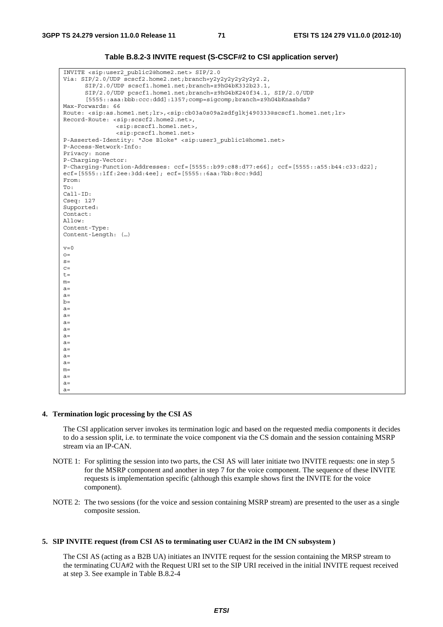## **Table B.8.2-3 INVITE request (S-CSCF#2 to CSI application server)**

```
INVITE <sip:user2_public2@home2.net> SIP/2.0 
Via: SIP/2.0/UDP scscf2.home2.net;branch=y2y2y2y2y2y2y2.2, 
      SIP/2.0/UDP scscf1.home1.net;branch=z9hG4bK332b23.1, 
      SIP/2.0/UDP pcscf1.home1.net;branch=z9hG4bK240f34.1, SIP/2.0/UDP 
      [5555::aaa:bbb:ccc:ddd]:1357;comp=sigcomp;branch=z9hG4bKnashds7 
Max-Forwards: 66 
Route: <sip:as.home1.net;lr>,<sip:cb03a0s09a2sdfglkj490333@scscf1.home1.net;lr> 
Record-Route: <sip:scscf2.home2.net>, 
               <sip:scscf1.home1.net>, 
               <sip:pcscf1.home1.net> 
P-Asserted-Identity: "Joe Bloke" <sip:user3_public1@home1.net> 
P-Access-Network-Info: 
Privacy: none 
P-Charging-Vector: 
P-Charging-Function-Addresses: ccf=[5555::b99:c88:d77:e66]; ccf=[5555::a55:b44:c33:d22]; 
ecf=[5555::1ff:2ee:3dd:4ee]; ecf=[5555::6aa:7bb:8cc:9dd] 
From: 
To: 
Call-ID: 
Cseq: 127 
Supported: 
Contact: 
\Deltallow\cdotContent-Type: 
Content-Length: (…) 
v=0Q =s=C=t=m=a=a=b=a=a=a=a=a=a=a= 
a=a=m=a=a=a=
```
#### **4. Termination logic processing by the CSI AS**

 The CSI application server invokes its termination logic and based on the requested media components it decides to do a session split, i.e. to terminate the voice component via the CS domain and the session containing MSRP stream via an IP-CAN.

- NOTE 1: For splitting the session into two parts, the CSI AS will later initiate two INVITE requests: one in step 5 for the MSRP component and another in step 7 for the voice component. The sequence of these INVITE requests is implementation specific (although this example shows first the INVITE for the voice component).
- NOTE 2: The two sessions (for the voice and session containing MSRP stream) are presented to the user as a single composite session.

## **5. SIP INVITE request (from CSI AS to terminating user CUA#2 in the IM CN subsystem )**

 The CSI AS (acting as a B2B UA) initiates an INVITE request for the session containing the MRSP stream to the terminating CUA#2 with the Request URI set to the SIP URI received in the initial INVITE request received at step 3. See example in Table B.8.2-4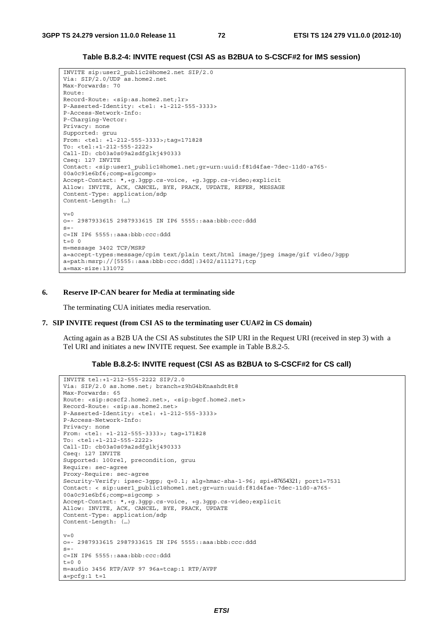#### **Table B.8.2-4: INVITE request (CSI AS as B2BUA to S-CSCF#2 for IMS session)**

```
INVITE sip:user2_public2@home2.net SIP/2.0 
Via: SIP/2.0/UDP as.home2.net 
Max-Forwards: 70 
Route: 
Record-Route: <sip:as.home2.net;lr> 
P-Asserted-Identity: <tel: +1-212-555-3333> 
P-Access-Network-Info: 
P-Charging-Vector: 
Privacy: none 
Supported: gruu 
From: <tel: +1-212-555-3333>;tag=171828 
To: <tel:+1-212-555-2222> 
Call-ID: cb03a0s09a2sdfglkj490333 
Cseq: 127 INVITE 
Contact: <sip:user1_public1@home1.net;gr=urn:uuid:f81d4fae-7dec-11d0-a765-
00a0c91e6bf6;comp=sigcomp> 
Accept-Contact: *,+g.3gpp.cs-voice, +g.3gpp.cs-video;explicit 
Allow: INVITE, ACK, CANCEL, BYE, PRACK, UPDATE, REFER, MESSAGE 
Content-Type: application/sdp 
Content-Length: (…) 
v=0o=- 2987933615 2987933615 IN IP6 5555::aaa:bbb:ccc:ddd 
s=-c=IN IP6 5555::aaa:bbb:ccc:ddd 
t=0 0
m=message 3402 TCP/MSRP 
a=accept-types:message/cpim text/plain text/html image/jpeg image/gif video/3gpp 
a=path:msrp://[5555::aaa:bbb:ccc:ddd]:3402/s111271;tcp 
a=max-size:131072
```
#### **6. Reserve IP-CAN bearer for Media at terminating side**

The terminating CUA initiates media reservation.

#### **7. SIP INVITE request (from CSI AS to the terminating user CUA#2 in CS domain)**

 Acting again as a B2B UA the CSI AS substitutes the SIP URI in the Request URI (received in step 3) with a Tel URI and initiates a new INVITE request. See example in Table B.8.2-5.

#### **Table B.8.2-5: INVITE request (CSI AS as B2BUA to S-CSCF#2 for CS call)**

```
INVITE tel:+1-212-555-2222 SIP/2.0 
Via: SIP/2.0 as.home.net; branch=z9hG4bKnashdt8t8 
Max-Forwards: 65 
Route: <sip:scscf2.home2.net>, <sip:bgcf.home2.net> 
Record-Route: <sip:as.home2.net> 
P-Asserted-Identity: <tel: +1-212-555-3333> 
P-Access-Network-Info: 
Privacy: none 
From: <tel: +1-212-555-3333>; tag=171828 
To: <tel:+1-212-555-2222> 
Call-ID: cb03a0s09a2sdfglkj490333 
Cseq: 127 INVITE 
Supported: 100rel, precondition, gruu 
Require: sec-agree 
Proxy-Require: sec-agree 
Security-Verify: ipsec-3gpp; q=0.1; alg=hmac-sha-1-96; spi=87654321; port1=7531 
Contact: < sip:user1_public1@home1.net;gr=urn:uuid:f81d4fae-7dec-11d0-a765-
00a0c91e6bf6;comp=sigcomp > 
Accept-Contact: *,+g.3gpp.cs-voice, +g.3gpp.cs-video;explicit 
Allow: INVITE, ACK, CANCEL, BYE, PRACK, UPDATE 
Content-Type: application/sdp 
Content-Length: (…) 
v=0o=- 2987933615 2987933615 IN IP6 5555::aaa:bbb:ccc:ddd 
s=-c=IN IP6 5555::aaa:bbb:ccc:ddd 
t=0 0
m=audio 3456 RTP/AVP 97 96a=tcap:1 RTP/AVPF 
a = pcfg:1 t=1
```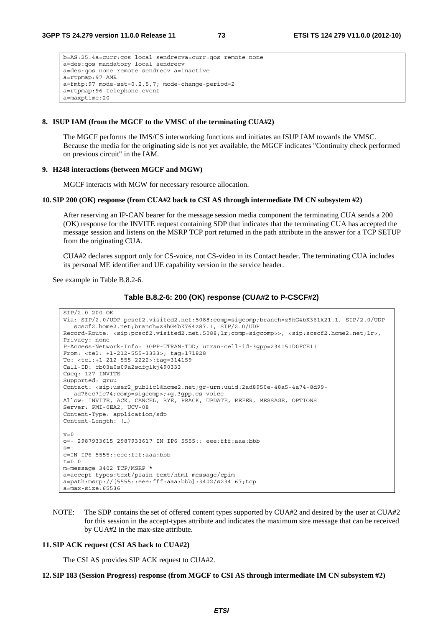```
b=AS:25.4a=curr:qos local sendrecva=curr:qos remote none 
a=des:qos mandatory local sendrecv 
a=des:qos none remote sendrecv a=inactive 
a=rtpmap:97 AMR 
a = fmtp:97 mode-set=0,2,5,7; mode-change-period=2
a=rtpmap:96 telephone-event 
a=maxptime:20
```
#### **8. ISUP IAM (from the MGCF to the VMSC of the terminating CUA#2)**

 The MGCF performs the IMS/CS interworking functions and initiates an ISUP IAM towards the VMSC. Because the media for the originating side is not yet available, the MGCF indicates "Continuity check performed on previous circuit" in the IAM.

#### **9. H248 interactions (between MGCF and MGW)**

MGCF interacts with MGW for necessary resource allocation.

#### **10. SIP 200 (OK) response (from CUA#2 back to CSI AS through intermediate IM CN subsystem #2)**

 After reserving an IP-CAN bearer for the message session media component the terminating CUA sends a 200 (OK) response for the INVITE request containing SDP that indicates that the terminating CUA has accepted the message session and listens on the MSRP TCP port returned in the path attribute in the answer for a TCP SETUP from the originating CUA.

 CUA#2 declares support only for CS-voice, not CS-video in its Contact header. The terminating CUA includes its personal ME identifier and UE capability version in the service header.

See example in Table B.8.2-6.

|  |  | Table B.8.2-6: 200 (OK) response (CUA#2 to P-CSCF#2) |
|--|--|------------------------------------------------------|
|--|--|------------------------------------------------------|

```
SIP/2.0 200 OK 
Via: SIP/2.0/UDP pcscf2.visited2.net:5088;comp=sigcomp;branch=z9hG4bK361k21.1, SIP/2.0/UDP 
  scscf2.home2.net;branch=z9hG4bK764z87.1, SIP/2.0/UDP 
Record-Route: <sip:pcscf2.visited2.net:5088;lr;comp=sigcomp>>, <sip:scscf2.home2.net;lr>, 
Privacy: none 
P-Access-Network-Info: 3GPP-UTRAN-TDD; utran-cell-id-3gpp=234151D0FCE11 
From: <tel: +1-212-555-3333>; tag=171828 
To: <tel:+1-212-555-2222>;tag=314159 
Call-ID: cb03a0s09a2sdfglkj490333 
Cseq: 127 INVITE 
Supported: gruu 
Contact: <sip:user2_public1@home2.net;gr=urn:uuid:2ad8950e-48a5-4a74-8d99-
  ad76cc7fc74;comp=sigcomp>;+g.3gpp.cs-voice 
Allow: INVITE, ACK, CANCEL, BYE, PRACK, UPDATE, REFER, MESSAGE, OPTIONS 
Server: PMI-0EA2, UCV-08 
Content-Type: application/sdp 
Content-Length: (…) 
v=0o=- 2987933615 2987933617 IN IP6 5555:: eee:fff:aaa:bbb 
s=-c=IN IP6 5555::eee:fff:aaa:bbb 
t=0 0
m=message 3402 TCP/MSRP * 
a=accept-types:text/plain text/html message/cpim 
a=path:msrp://[5555::eee:fff:aaa:bbb]:3402/s234167;tcp 
a=max-size:65536
```
NOTE: The SDP contains the set of offered content types supported by CUA#2 and desired by the user at CUA#2 for this session in the accept-types attribute and indicates the maximum size message that can be received by CUA#2 in the max-size attribute.

#### **11. SIP ACK request (CSI AS back to CUA#2)**

The CSI AS provides SIP ACK request to CUA#2.

**12. SIP 183 (Session Progress) response (from MGCF to CSI AS through intermediate IM CN subsystem #2)**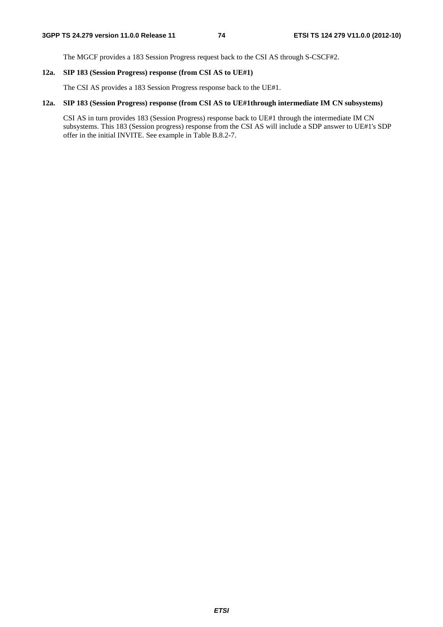The MGCF provides a 183 Session Progress request back to the CSI AS through S-CSCF#2.

## **12a. SIP 183 (Session Progress) response (from CSI AS to UE#1)**

The CSI AS provides a 183 Session Progress response back to the UE#1.

## **12a. SIP 183 (Session Progress) response (from CSI AS to UE#1through intermediate IM CN subsystems)**

 CSI AS in turn provides 183 (Session Progress) response back to UE#1 through the intermediate IM CN subsystems. This 183 (Session progress) response from the CSI AS will include a SDP answer to UE#1's SDP offer in the initial INVITE. See example in Table B.8.2-7.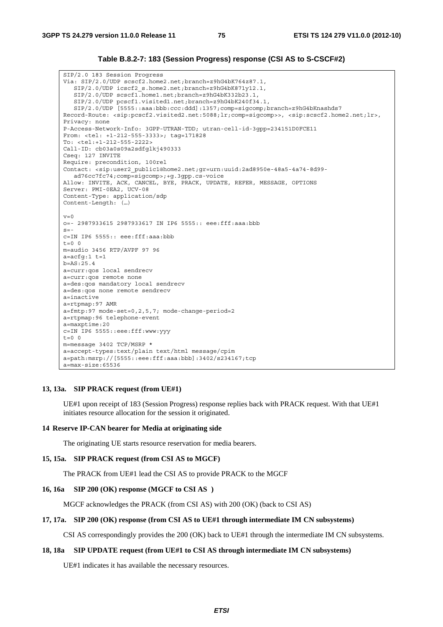#### **Table B.8.2-7: 183 (Session Progress) response (CSI AS to S-CSCF#2)**

SIP/2.0 183 Session Progress Via: SIP/2.0/UDP scscf2.home2.net;branch=z9hG4bK764z87.1, SIP/2.0/UDP icscf2\_s.home2.net;branch=z9hG4bK871y12.1, SIP/2.0/UDP scscf1.home1.net;branch=z9hG4bK332b23.1, SIP/2.0/UDP pcscf1.visited1.net;branch=z9hG4bK240f34.1, SIP/2.0/UDP [5555::aaa:bbb:ccc:ddd]:1357;comp=sigcomp;branch=z9hG4bKnashds7 Record-Route: <sip:pcscf2.visited2.net:5088;lr;comp=sigcomp>>, <sip:scscf2.home2.net;lr>, Privacy: none P-Access-Network-Info: 3GPP-UTRAN-TDD; utran-cell-id-3gpp=234151D0FCE11 From: <tel: +1-212-555-3333>; tag=171828 To: <tel:+1-212-555-2222> Call-ID: cb03a0s09a2sdfglkj490333 Cseq: 127 INVITE Require: precondition, 100rel Contact: <sip:user2\_public1@home2.net;gr=urn:uuid:2ad8950e-48a5-4a74-8d99 ad76cc7fc74;comp=sigcomp>;+g.3gpp.cs-voice Allow: INVITE, ACK, CANCEL, BYE, PRACK, UPDATE, REFER, MESSAGE, OPTIONS Server: PMI-0EA2, UCV-08 Content-Type: application/sdp Content-Length: (…)  $v=0$ o=- 2987933615 2987933617 IN IP6 5555:: eee:fff:aaa:bbb  $s=$ c=IN IP6 5555:: eee:fff:aaa:bbb  $t=0$  0 m=audio 3456 RTP/AVPF 97 96  $a = acfg:1 t=1$ b=AS:25.4 a=curr:qos local sendrecv a=curr:qos remote none a=des:qos mandatory local sendrecv a=des:qos none remote sendrecv a=inactive a=rtpmap:97 AMR a=fmtp:97 mode-set=0,2,5,7; mode-change-period=2 a=rtpmap:96 telephone-event a=maxptime:20 c=IN IP6 5555::eee:fff:www:yyy  $t = 0$  0 m=message 3402 TCP/MSRP \* a=accept-types:text/plain text/html message/cpim a=path:msrp://[5555::eee:fff:aaa:bbb]:3402/s234167;tcp a=max-size:65536

#### **13, 13a. SIP PRACK request (from UE#1)**

 UE#1 upon receipt of 183 (Session Progress) response replies back with PRACK request. With that UE#1 initiates resource allocation for the session it originated.

#### **14 Reserve IP-CAN bearer for Media at originating side**

The originating UE starts resource reservation for media bearers.

#### **15, 15a. SIP PRACK request (from CSI AS to MGCF)**

The PRACK from UE#1 lead the CSI AS to provide PRACK to the MGCF

#### **16, 16a SIP 200 (OK) response (MGCF to CSI AS )**

MGCF acknowledges the PRACK (from CSI AS) with 200 (OK) (back to CSI AS)

#### **17, 17a. SIP 200 (OK) response (from CSI AS to UE#1 through intermediate IM CN subsystems)**

CSI AS correspondingly provides the 200 (OK) back to UE#1 through the intermediate IM CN subsystems.

#### **18, 18a SIP UPDATE request (from UE#1 to CSI AS through intermediate IM CN subsystems)**

UE#1 indicates it has available the necessary resources.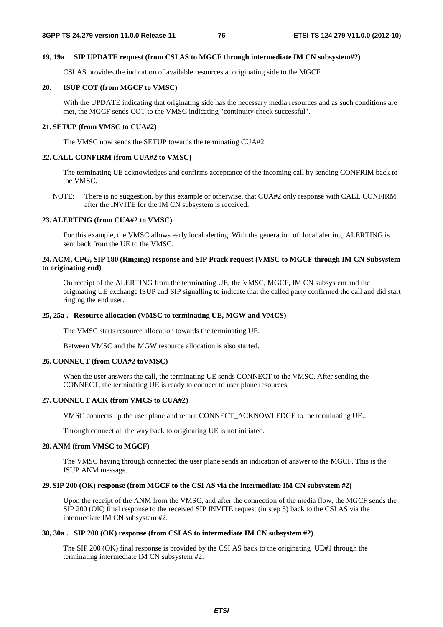#### **19, 19a SIP UPDATE request (from CSI AS to MGCF through intermediate IM CN subsystem#2)**

CSI AS provides the indication of available resources at originating side to the MGCF.

## **20. ISUP COT (from MGCF to VMSC)**

 With the UPDATE indicating that originating side has the necessary media resources and as such conditions are met, the MGCF sends COT to the VMSC indicating "continuity check successful".

### **21. SETUP (from VMSC to CUA#2)**

The VMSC now sends the SETUP towards the terminating CUA#2.

## **22. CALL CONFIRM (from CUA#2 to VMSC)**

 The terminating UE acknowledges and confirms acceptance of the incoming call by sending CONFRIM back to the VMSC.

NOTE: There is no suggestion, by this example or otherwise, that CUA#2 only response with CALL CONFIRM after the INVITE for the IM CN subsystem is received.

## **23. ALERTING (from CUA#2 to VMSC)**

 For this example, the VMSC allows early local alerting. With the generation of local alerting, ALERTING is sent back from the UE to the VMSC.

## **24. ACM, CPG, SIP 180 (Ringing) response and SIP Prack request (VMSC to MGCF through IM CN Subsystem to originating end)**

 On receipt of the ALERTING from the terminating UE, the VMSC, MGCF, IM CN subsystem and the originating UE exchange ISUP and SIP signalling to indicate that the called party confirmed the call and did start ringing the end user.

## **25, 25a . Resource allocation (VMSC to terminating UE, MGW and VMCS)**

The VMSC starts resource allocation towards the terminating UE.

Between VMSC and the MGW resource allocation is also started.

## **26. CONNECT (from CUA#2 toVMSC)**

 When the user answers the call, the terminating UE sends CONNECT to the VMSC. After sending the CONNECT, the terminating UE is ready to connect to user plane resources.

## **27. CONNECT ACK (from VMCS to CUA#2)**

VMSC connects up the user plane and return CONNECT\_ACKNOWLEDGE to the terminating UE..

Through connect all the way back to originating UE is not initiated.

## **28. ANM (from VMSC to MGCF)**

 The VMSC having through connected the user plane sends an indication of answer to the MGCF. This is the ISUP ANM message.

## **29. SIP 200 (OK) response (from MGCF to the CSI AS via the intermediate IM CN subsystem #2)**

 Upon the receipt of the ANM from the VMSC, and after the connection of the media flow, the MGCF sends the SIP 200 (OK) final response to the received SIP INVITE request (in step 5) back to the CSI AS via the intermediate IM CN subsystem #2.

## **30, 30a . SIP 200 (OK) response (from CSI AS to intermediate IM CN subsystem #2)**

 The SIP 200 (OK) final response is provided by the CSI AS back to the originating UE#1 through the terminating intermediate IM CN subsystem #2.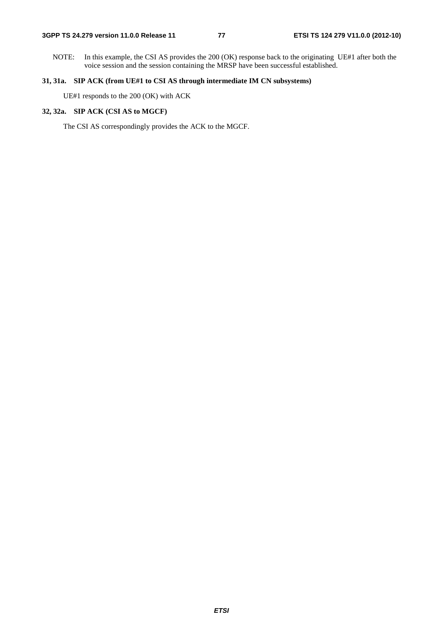NOTE: In this example, the CSI AS provides the 200 (OK) response back to the originating UE#1 after both the voice session and the session containing the MRSP have been successful established.

## **31, 31a. SIP ACK (from UE#1 to CSI AS through intermediate IM CN subsystems)**

UE#1 responds to the 200 (OK) with ACK

## **32, 32a. SIP ACK (CSI AS to MGCF)**

The CSI AS correspondingly provides the ACK to the MGCF.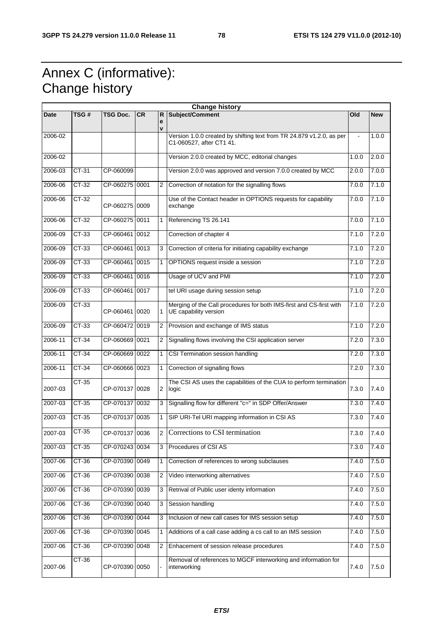## Annex C (informative): Change history

| <b>Change history</b> |         |                |           |                |                                                                                                  |       |            |
|-----------------------|---------|----------------|-----------|----------------|--------------------------------------------------------------------------------------------------|-------|------------|
| <b>Date</b>           | TSG#    | TSG Doc.       | <b>CR</b> | R              | Subject/Comment                                                                                  | Old   | <b>New</b> |
|                       |         |                |           | е<br>v         |                                                                                                  |       |            |
| 2006-02               |         |                |           |                | Version 1.0.0 created by shifting text from TR 24.879 v1.2.0, as per<br>C1-060527, after CT1 41. |       | 1.0.0      |
| 2006-02               |         |                |           |                | Version 2.0.0 created by MCC, editorial changes                                                  | 1.0.0 | 2.0.0      |
| 2006-03               | CT-31   | CP-060099      |           |                | Version 2.0.0 was approved and version 7.0.0 created by MCC                                      | 2.0.0 | 7.0.0      |
| 2006-06               | $CT-32$ | CP-060275 0001 |           | $\overline{2}$ | Correction of notation for the signalling flows                                                  | 7.0.0 | 7.1.0      |
| 2006-06               | CT-32   | CP-060275 0009 |           |                | Use of the Contact header in OPTIONS requests for capability<br>exchange                         | 7.0.0 | 7.1.0      |
| 2006-06               | CT-32   | CP-060275 0011 |           |                | Referencing TS 26.141                                                                            | 7.0.0 | 7.1.0      |
| 2006-09               | CT-33   | CP-060461 0012 |           |                | Correction of chapter 4                                                                          | 7.1.0 | 7.2.0      |
| 2006-09               | $CT-33$ | CP-060461 0013 |           | 3              | Correction of criteria for initiating capability exchange                                        | 7.1.0 | 7.2.0      |
| 2006-09               | CT-33   | CP-060461 0015 |           | 1              | OPTIONS request inside a session                                                                 | 7.1.0 | 7.2.0      |
| 2006-09               | $CT-33$ | CP-060461      | 0016      |                | Usage of UCV and PMI                                                                             | 7.1.0 | 7.2.0      |
| 2006-09               | CT-33   | CP-060461 0017 |           |                | tel URI usage during session setup                                                               | 7.1.0 | 7.2.0      |
| 2006-09               | $CT-33$ | CP-060461 0020 |           | 1.             | Merging of the Call procedures for both IMS-first and CS-first with<br>UE capability version     | 7.1.0 | 7.2.0      |
| 2006-09               | CT-33   | CP-060472 0019 |           | 2              | Provision and exchange of IMS status                                                             | 7.1.0 | 7.2.0      |
| 2006-11               | CT-34   | CP-060669 0021 |           | 2              | Signalling flows involving the CSI application server                                            | 7.2.0 | 7.3.0      |
| 2006-11               | CT-34   | CP-060669 0022 |           | 1              | CSI Termination session handling                                                                 | 7.2.0 | 7.3.0      |
| 2006-11               | CT-34   | CP-060666 0023 |           | 1              | Correction of signalling flows                                                                   | 7.2.0 | 7.3.0      |
| 2007-03               | CT-35   | CP-070137 0028 |           | $\overline{2}$ | The CSI AS uses the capabilities of the CUA to perform termination<br>logic                      | 7.3.0 | 7.4.0      |
| 2007-03               | CT-35   | CP-070137 0032 |           | 3              | Signalling flow for different "c=" in SDP Offer/Answer                                           | 7.3.0 | 7.4.0      |
| 2007-03               | $CT-35$ | CP-070137 0035 |           | 1              | SIP URI-Tel URI mapping information in CSI AS                                                    | 7.3.0 | 7.4.0      |
| 2007-03               | $CT-35$ | CP-070137 0036 |           | $\overline{2}$ | Corrections to CSI termination                                                                   | 7.3.0 | 7.4.0      |
| 2007-03               | CT-35   | CP-070243 0034 |           | 3              | Procedures of CSI AS                                                                             | 7.3.0 | 7.4.0      |
| 2007-06               | $CT-36$ | CP-070390 0049 |           | 1              | Correction of references to wrong subclauses                                                     | 7.4.0 | 7.5.0      |
| 2007-06               | $CT-36$ | CP-070390 0038 |           | 2              | Video interworking alternatives                                                                  | 7.4.0 | 7.5.0      |
| 2007-06               | $CT-36$ | CP-070390 0039 |           | 3              | Retrival of Public user identy information                                                       | 7.4.0 | 7.5.0      |
| 2007-06               | CT-36   | CP-070390 0040 |           | 3              | Session handling                                                                                 | 7.4.0 | 7.5.0      |
| 2007-06               | CT-36   | CP-070390 0044 |           | 3              | Inclusion of new call cases for IMS session setup                                                | 7.4.0 | 7.5.0      |
| 2007-06               | $CT-36$ | CP-070390 0045 |           | $\mathbf{1}$   | Additions of a call case adding a cs call to an IMS session                                      | 7.4.0 | 7.5.0      |
| 2007-06               | CT-36   | CP-070390 0048 |           | 2              | Enhacement of session release procedures                                                         | 7.4.0 | 7.5.0      |
| 2007-06               | CT-36   | CP-070390 0050 |           |                | Removal of references to MGCF interworking and information for<br>interworking                   | 7.4.0 | 7.5.0      |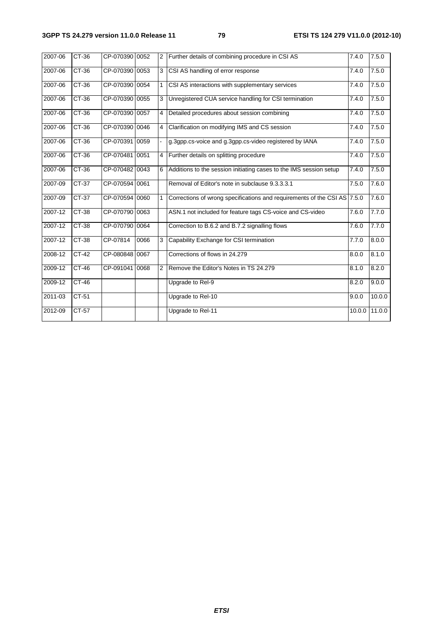| 2007-06 | CT-36   | CP-070390 0052 |      | $\overline{2}$ | Further details of combining procedure in CSI AS                         | 7.4.0  | 7.5.0  |
|---------|---------|----------------|------|----------------|--------------------------------------------------------------------------|--------|--------|
| 2007-06 | CT-36   | CP-070390 0053 |      | 3              | CSI AS handling of error response                                        | 7.4.0  | 7.5.0  |
| 2007-06 | CT-36   | CP-070390 0054 |      | 1              | CSI AS interactions with supplementary services                          | 7.4.0  | 7.5.0  |
| 2007-06 | $CT-36$ | CP-070390 0055 |      | 3              | Unregistered CUA service handling for CSI termination                    | 7.4.0  | 7.5.0  |
| 2007-06 | CT-36   | CP-070390 0057 |      | 4              | Detailed procedures about session combining                              | 7.4.0  | 7.5.0  |
| 2007-06 | $CT-36$ | CP-070390 0046 |      | 4              | Clarification on modifying IMS and CS session                            | 7.4.0  | 7.5.0  |
| 2007-06 | $CT-36$ | CP-070391 0059 |      |                | g.3gpp.cs-voice and g.3gpp.cs-video registered by IANA                   | 7.4.0  | 7.5.0  |
| 2007-06 | $CT-36$ | CP-070481 0051 |      | 4              | Further details on splitting procedure                                   | 7.4.0  | 7.5.0  |
| 2007-06 | $CT-36$ | CP-070482 0043 |      |                | Additions to the session initiating cases to the IMS session setup       | 7.4.0  | 7.5.0  |
| 2007-09 | CT-37   | CP-070594 0061 |      |                | Removal of Editor's note in subclause 9.3.3.3.1                          | 7.5.0  | 7.6.0  |
| 2007-09 | $CT-37$ | CP-070594 0060 |      | 1              | Corrections of wrong specifications and requirements of the CSI AS 7.5.0 |        | 7.6.0  |
| 2007-12 | CT-38   | CP-070790 0063 |      |                | ASN.1 not included for feature tags CS-voice and CS-video                | 7.6.0  | 7.7.0  |
| 2007-12 | $CT-38$ | CP-070790 0064 |      |                | Correction to B.6.2 and B.7.2 signalling flows                           | 7.6.0  | 7.7.0  |
| 2007-12 | CT-38   | CP-07814       | 0066 |                | Capability Exchange for CSI termination                                  | 7.7.0  | 8.0.0  |
| 2008-12 | CT-42   | CP-080848 0067 |      |                | Corrections of flows in 24.279                                           | 8.0.0  | 8.1.0  |
| 2009-12 | CT-46   | CP-091041 0068 |      | $\overline{2}$ | Remove the Editor's Notes in TS 24.279                                   | 8.1.0  | 8.2.0  |
| 2009-12 | CT-46   |                |      |                | Upgrade to Rel-9                                                         | 8.2.0  | 9.0.0  |
| 2011-03 | CT-51   |                |      |                | Upgrade to Rel-10                                                        | 9.0.0  | 10.0.0 |
| 2012-09 | CT-57   |                |      |                | Upgrade to Rel-11                                                        | 10.0.0 | 11.0.0 |